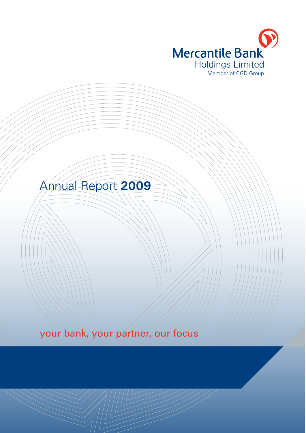

# Annual Report **2009**

your bank, your partner, our focus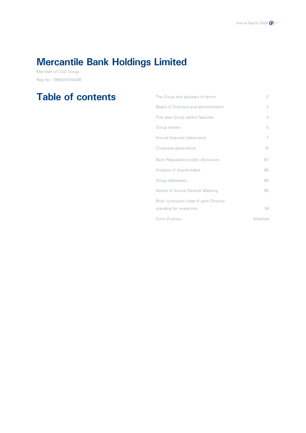## **Mercantile Bank Holdings Limited**

Member of CGD Group Reg No: 1989/000164/06

## **Table of contents**

| The Group and glossary of terms         | 2        |
|-----------------------------------------|----------|
| Board of Directors and administration   | 3        |
| Five year Group salient features        | 4        |
| Group review                            | 5        |
| Annual financial statements             | 7        |
| Corporate governance                    | 74       |
| Bank Regulations public disclosure      | 87       |
| Analysis of shareholders                | 88       |
| Group addresses                         | 89       |
| Notice of Annual General Meeting        | 90       |
| Brief curriculum vitae of each Director |          |
| standing for re-election                | 94       |
| Form of proxy                           | Attached |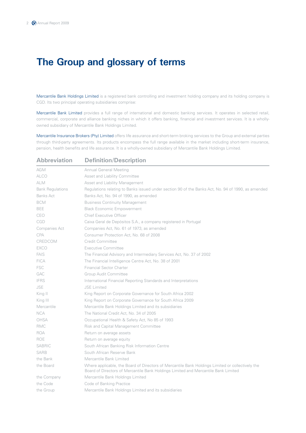## **The Group and glossary of terms**

Mercantile Bank Holdings Limited is a registered bank controlling and investment holding company and its holding company is CGD. Its two principal operating subsidiaries comprise:

Mercantile Bank Limited provides a full range of international and domestic banking services. It operates in selected retail, commercial, corporate and alliance banking niches in which it offers banking, financial and investment services. It is a whollyowned subsidiary of Mercantile Bank Holdings Limited.

Mercantile Insurance Brokers (Pty) Limited offers life assurance and short-term broking services to the Group and external parties through third-party agreements. Its products encompass the full range available in the market including short-term insurance, pension, health benefits and life assurance. It is a wholly-owned subsidiary of Mercantile Bank Holdings Limited.

#### **Abbreviation Definition/Description** AGM Annual General Meeting ALCO Asset and Liability Committee ALM Asset and Liability Management Bank Regulations Regulations relating to Banks issued under section 90 of the Banks Act, No. 94 of 1990, as amended Banks Act Banks Act, No. 94 of 1990, as amended BCM Business Continuity Management BEE Black Economic Empowerment CEO Chief Executive Officer CGD Caixa Geral de Depósitos S.A., a company registered in Portugal Companies Act Companies Act, No. 61 of 1973, as amended CPA Consumer Protection Act, No. 68 of 2008 CREDCOM Credit Committee EXCO Executive Committee FAIS The Financial Advisory and Intermediary Services Act, No. 37 of 2002 FICA The Financial Intelligence Centre Act, No. 38 of 2001 FSC Financial Sector Charter GAC Group Audit Committee IFRS International Financial Reporting Standards and Interpretations JSE JSE Limited King II King Report on Corporate Governance for South Africa 2002 King III King Report on Corporate Governance for South Africa 2009 Mercantile Mercantile Bank Holdings Limited and its subsidiaries NCA The National Credit Act, No. 34 of 2005 OHSA Occupational Health & Safety Act, No 85 of 1993 RMC Risk and Capital Management Committee ROA Return on average assets ROE Return on average equity SABRIC South African Banking Risk Information Centre SARB South African Reserve Bank the Bank Mercantile Bank Limited the Board Where applicable, the Board of Directors of Mercantile Bank Holdings Limited or collectively the Board of Directors of Mercantile Bank Holdings Limited and Mercantile Bank Limited the Company Mercantile Bank Holdings Limited the Code Code of Banking Practice the Group Mercantile Bank Holdings Limited and its subsidiaries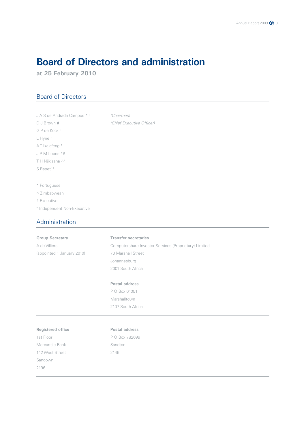## **Board of Directors and administration**

**at 25 February 2010**

#### Board of Directors

| J A S de Andrade Campos * ° | (Chairman)                                            |
|-----------------------------|-------------------------------------------------------|
| D J Brown #                 | (Chief Executive Officer)                             |
| G P de Kock °               |                                                       |
| L Hyne <sup>o</sup>         |                                                       |
| AT Ikalafeng <sup>°</sup>   |                                                       |
| JPM Lopes *#                |                                                       |
| T H Njikizana ^°            |                                                       |
| S Rapeti <sup>o</sup>       |                                                       |
| * Portuguese                |                                                       |
| ^ Zimbabwean                |                                                       |
| # Executive                 |                                                       |
| ° Independent Non-Executive |                                                       |
| Administration              |                                                       |
| <b>Group Secretary</b>      | <b>Transfer secretaries</b>                           |
| A de Villiers               | Computershare Investor Services (Proprietary) Limited |
| (appointed 1 January 2010)  | 70 Marshall Street                                    |
|                             | Johannesburg                                          |
|                             | 2001 South Africa                                     |
|                             | Postal address                                        |
|                             | P O Box 61051                                         |
|                             | Marshalltown                                          |

| <b>Registered office</b> | Postal address |
|--------------------------|----------------|
| 1st Floor                | P O Box 782699 |
| Mercantile Bank          | Sandton        |
| 142 West Street          | 2146           |
| Sandown                  |                |
| 2196                     |                |
|                          |                |

2107 South Africa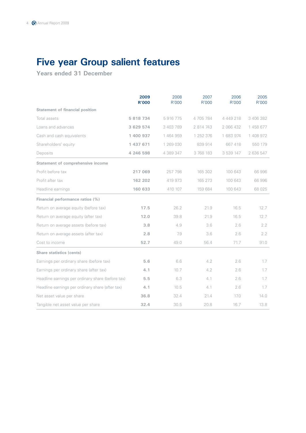# **Five year Group salient features**

**Years ended 31 December**

|                                                   | 2009<br><b>R'000</b> | 2008<br>R'000 | 2007<br>R'000 | 2006<br>R'000 | 2005<br>R'000 |
|---------------------------------------------------|----------------------|---------------|---------------|---------------|---------------|
| Statement of financial position                   |                      |               |               |               |               |
| Total assets                                      | 5 818 734            | 5916775       | 4705784       | 4 4 4 9 2 1 8 | 3 406 382     |
| Loans and advances                                | 3 629 574            | 3 403 789     | 2 814 743     | 2 066 432     | 1 458 677     |
| Cash and cash equivalents                         | 1 400 937            | 1 464 959     | 1 252 376     | 1 683 974     | 1 408 972     |
| Shareholders' equity                              | 1 437 671            | 1 269 030     | 839 914       | 667 418       | 550 179       |
| Deposits                                          | 4 246 598            | 4 389 347     | 3 768 183     | 3 539 147     | 2 636 547     |
| Statement of comprehensive income                 |                      |               |               |               |               |
| Profit before tax                                 | 217 069              | 257 798       | 165 302       | 100 643       | 66 996        |
| Profit after tax                                  | 162 202              | 419 973       | 165 273       | 100 643       | 66 996        |
| Headline earnings                                 | 160 633              | 410 107       | 159 684       | 100 643       | 68 0 25       |
| Financial performance ratios (%)                  |                      |               |               |               |               |
| Return on average equity (before tax)             | 17.5                 | 26.2          | 21.9          | 16.5          | 12.7          |
| Return on average equity (after tax)              | 12.0                 | 39.8          | 21.9          | 16.5          | 12.7          |
| Return on average assets (before tax)             | 3.8                  | 4.9           | 3.6           | 2.6           | 2.2           |
| Return on average assets (after tax)              | 2.8                  | 7.9           | 3.6           | 2.6           | 2.2           |
| Cost to income                                    | 52.7                 | 49.0          | 56.4          | 71.7          | 91.0          |
| Share statistics (cents)                          |                      |               |               |               |               |
| Earnings per ordinary share (before tax)          | 5.6                  | 6.6           | 4.2           | 2.6           | 1.7           |
| Earnings per ordinary share (after tax)           | 4.1                  | 10.7          | 4.2           | 2.6           | 1.7           |
| Headline earnings per ordinary share (before tax) | 5.5                  | 6.3           | 4.1           | 2.6           | 1.7           |
| Headline earnings per ordinary share (after tax)  | 4.1                  | 10.5          | 4.1           | 2.6           | 1.7           |
| Net asset value per share                         | 36.8                 | 32.4          | 21.4          | 17.0          | 14.0          |
| Tangible net asset value per share                | 32.4                 | 30.5          | 20.8          | 16.7          | 13.8          |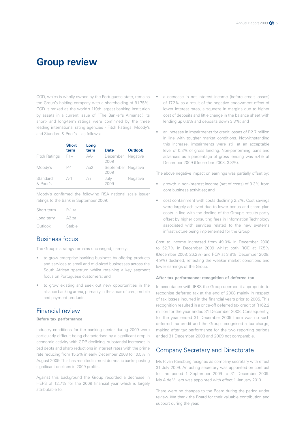### **Group review**

CGD, which is wholly owned by the Portuguese state, remains the Group's holding company with a shareholding of 91.75%. CGD is ranked as the world's 119th largest banking institution by assets in a current issue of "The Banker's Almanac". Its short- and long-term ratings were confirmed by the three leading international rating agencies - Fitch Ratings, Moody's and Standard & Poor's - as follows:

|                      | <b>Short</b><br>term | Long<br>term | <b>Date</b>                | <b>Outlook</b> |
|----------------------|----------------------|--------------|----------------------------|----------------|
| <b>Fitch Ratings</b> | $F1+$                | $AA-$        | December Negative<br>2009  |                |
| Moody's              | $P-1$                | Aa2          | September Negative<br>2009 |                |
| Standard<br>& Poor's | $A-1$                | $A+$         | July<br>2009               | Negative       |

Moody's confirmed the following RSA national scale issuer ratings to the Bank in September 2009:

| Short term | $P-1$ za |
|------------|----------|
| Long term  | A2 za    |
| Outlook    | Stable   |

#### Business focus

The Group's strategy remains unchanged, namely:

- to grow enterprise banking business by offering products and services to small and mid-sized businesses across the South African spectrum whilst retaining a key segment focus on Portuguese customers; and
- to grow existing and seek out new opportunities in the alliance banking arena, primarily in the areas of card, mobile and payment products.

#### Financial review

#### **Before tax performance**

Industry conditions for the banking sector during 2009 were particularly difficult being characterised by a significant drop in economic activity with GDP declining, substantial increases in bad debts and sharp reductions in interest rates with the prime rate reducing from 15.5% in early December 2008 to 10.5% in August 2009. This has resulted in most domestic banks posting significant declines in 2009 profits.

Against this background the Group recorded a decrease in HEPS of 12.7% for the 2009 financial year which is largely attributable to:

- a decrease in net interest income (before credit losses) of 17.2% as a result of the negative endowment effect of lower interest rates, a squeeze in margins due to higher cost of deposits and little change in the balance sheet with lending up 6.6% and deposits down 3.3%; and
- an increase in impairments for credit losses of R2.7 million in line with tougher market conditions. Notwithstanding this increase, impairments were still at an acceptable level of 0.3% of gross lending. Non-performing loans and advances as a percentage of gross lending was 5.4% at December 2009 (December 2008: 3.8%).

The above negative impact on earnings was partially offset by:

- growth in non-interest income (net of costs) of 9.3% from core business activities; and
- cost containment with costs declining 2.2%. Cost savings were largely achieved due to lower bonus and share plan costs in line with the decline of the Group's results partly offset by higher consulting fees in Information Technology associated with services related to the new systems infrastructure being implemented for the Group.

Cost to income increased from 49.0% in December 2008 to 52.7% in December 2009 whilst both ROE at 17.5% (December 2008: 26.2%) and ROA at 3.8% (December 2008: 4.9%) declined, reflecting the weaker market conditions and lower earnings of the Group.

#### **After tax performance: recognition of deferred tax**

In accordance with IFRS the Group deemed it appropriate to recognise deferred tax at the end of 2008 mainly in respect of tax losses incurred in the financial years prior to 2005. This recognition resulted in a once-off deferred tax credit of R162.2 million for the year ended 31 December 2008. Consequently, for the year ended 31 December 2009 there was no such deferred tax credit and the Group recognised a tax charge, making after tax performance for the two reporting periods ended 31 December 2008 and 2009 not comparable.

#### Company Secretary and Directorate

Ms R van Rensburg resigned as company secretary with effect 31 July 2009. An acting secretary was appointed on contract for the period 1 September 2009 to 31 December 2009. Ms A de Villiers was appointed with effect 1 January 2010.

There were no changes to the Board during the period under review. We thank the Board for their valuable contribution and support during the year.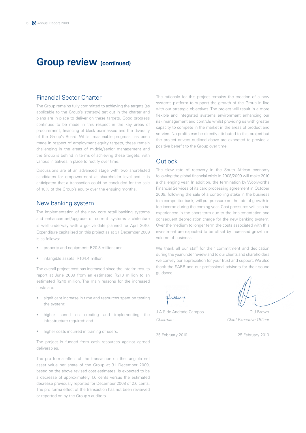### **Group review (continued)**

#### Financial Sector Charter

The Group remains fully committed to achieving the targets (as applicable to the Group's strategy) set out in the charter and plans are in place to deliver on these targets. Good progress continues to be made in this respect in the key areas of procurement, financing of black businesses and the diversity of the Group's Board. Whilst reasonable progress has been made in respect of employment equity targets, these remain challenging in the areas of middle/senior management and the Group is behind in terms of achieving these targets, with various initiatives in place to rectify over time.

Discussions are at an advanced stage with two short-listed candidates for empowerment at shareholder level and it is anticipated that a transaction could be concluded for the sale of 10% of the Group's equity over the ensuing months.

#### New banking system

The implementation of the new core retail banking systems and enhancement/upgrade of current systems architecture is well underway with a go-live date planned for April 2010. Expenditure capitalised on this project as at 31 December 2009 is as follows:

- property and equipment: R20.8 million; and
- intangible assets: R164.4 million

The overall project cost has increased since the interim results report at June 2009 from an estimated R210 million to an estimated R240 million. The main reasons for the increased costs are:

- significant increase in time and resources spent on testing the system:
- higher spend on creating and implementing the infrastructure required: and
- higher costs incurred in training of users.

The project is funded from cash resources against agreed deliverables.

The pro forma effect of the transaction on the tangible net asset value per share of the Group at 31 December 2009, based on the above revised cost estimates, is expected to be a decrease of approximately 1.6 cents versus the estimated decrease previously reported for December 2008 of 2.6 cents. The pro forma effect of the transaction has not been reviewed or reported on by the Group's auditors.

The rationale for this project remains the creation of a new systems platform to support the growth of the Group in line with our strategic objectives. The project will result in a more flexible and integrated systems environment enhancing our risk management and controls whilst providing us with greater capacity to compete in the market in the areas of product and service. No profits can be directly attributed to this project but the project drivers outlined above are expected to provide a positive benefit to the Group over time.

#### **Outlook**

The slow rate of recovery in the South African economy following the global financial crisis in 2008/2009 will make 2010 a challenging year. In addition, the termination by Woolworths Financial Services of its card processing agreement in October 2009, following the sale of a controlling stake in the business to a competitor bank, will put pressure on the rate of growth in fee income during the coming year. Cost pressures will also be experienced in the short term due to the implementation and consequent depreciation charge for the new banking system. Over the medium to longer term the costs associated with this investment are expected to be offset by increased growth in volume of business.

We thank all our staff for their commitment and dedication during the year under review and to our clients and shareholders we convey our appreciation for your trust and support. We also thank the SARB and our professional advisors for their sound guidance.

through

*Chairman Chief Executive Officer*

25 February 2010 25 February 2010

J A S de Andrade Campos D J Brown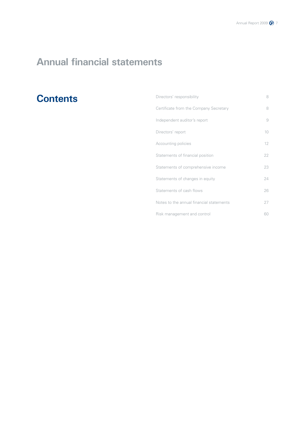## **Annual financial statements**

## **Contents**

| Directors' responsibility                | 8  |
|------------------------------------------|----|
| Certificate from the Company Secretary   | 8  |
| Independent auditor's report             | 9  |
| Directors' report                        | 10 |
| Accounting policies                      | 12 |
| Statements of financial position         | 22 |
| Statements of comprehensive income       | 23 |
| Statements of changes in equity          | 24 |
| Statements of cash flows                 | 26 |
| Notes to the annual financial statements | 27 |
| Risk management and control              | 60 |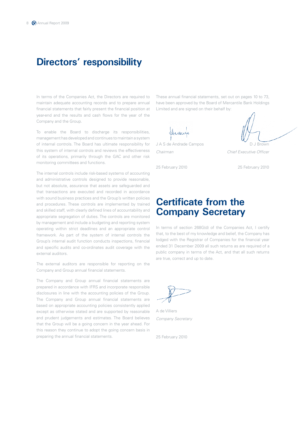## **Directors' responsibility**

In terms of the Companies Act, the Directors are required to maintain adequate accounting records and to prepare annual financial statements that fairly present the financial position at year-end and the results and cash flows for the year of the Company and the Group.

To enable the Board to discharge its responsibilities, management has developed and continues to maintain a system of internal controls. The Board has ultimate responsibility for this system of internal controls and reviews the effectiveness of its operations, primarily through the GAC and other risk monitoring committees and functions.

The internal controls include risk-based systems of accounting and administrative controls designed to provide reasonable, but not absolute, assurance that assets are safeguarded and that transactions are executed and recorded in accordance with sound business practices and the Group's written policies and procedures. These controls are implemented by trained and skilled staff, with clearly defined lines of accountability and appropriate segregation of duties. The controls are monitored by management and include a budgeting and reporting system operating within strict deadlines and an appropriate control framework. As part of the system of internal controls the Group's internal audit function conducts inspections, financial and specific audits and co-ordinates audit coverage with the external auditors.

The external auditors are responsible for reporting on the Company and Group annual financial statements.

The Company and Group annual financial statements are prepared in accordance with IFRS and incorporate responsible disclosures in line with the accounting policies of the Group. The Company and Group annual financial statements are based on appropriate accounting policies consistently applied except as otherwise stated and are supported by reasonable and prudent judgements and estimates. The Board believes that the Group will be a going concern in the year ahead. For this reason they continue to adopt the going concern basis in preparing the annual financial statements.

These annual financial statements, set out on pages 10 to 73, have been approved by the Board of Mercantile Bank Holdings Limited and are signed on their behalf by:



*Chairman Chief Executive Officer*



25 February 2010 25 February 2010

### **Certificate from the Company Secretary**

In terms of section 268G(d) of the Companies Act, I certify that, to the best of my knowledge and belief, the Company has lodged with the Registrar of Companies for the financial year ended 31 December 2009 all such returns as are required of a public company in terms of the Act, and that all such returns are true, correct and up to date.

A de Villiers *Company Secretary*

25 February 2010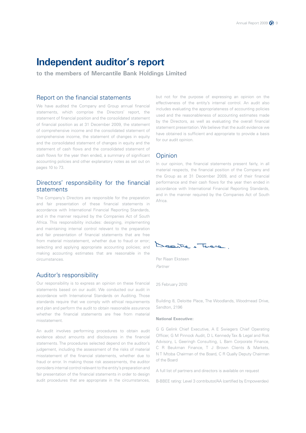### **Independent auditor's report**

**to the members of Mercantile Bank Holdings Limited**

#### Report on the financial statements

We have audited the Company and Group annual financial statements, which comprise the Directors' report, the statement of financial position and the consolidated statement of financial position as at 31 December 2009, the statement of comprehensive income and the consolidated statement of comprehensive income, the statement of changes in equity and the consolidated statement of changes in equity and the statement of cash flows and the consolidated statement of cash flows for the year then ended, a summary of significant accounting policies and other explanatory notes as set out on pages 10 to 73.

#### Directors' responsibility for the financial statements

The Company's Directors are responsible for the preparation and fair presentation of these financial statements in accordance with International Financial Reporting Standards, and in the manner required by the Companies Act of South Africa. This responsibility includes: designing, implementing and maintaining internal control relevant to the preparation and fair presentation of financial statements that are free from material misstatement, whether due to fraud or error; selecting and applying appropriate accounting policies; and making accounting estimates that are reasonable in the circumstances.

#### Auditor's responsibility

Our responsibility is to express an opinion on these financial statements based on our audit. We conducted our audit in accordance with International Standards on Auditing. Those standards require that we comply with ethical requirements and plan and perform the audit to obtain reasonable assurance whether the financial statements are free from material misstatement.

An audit involves performing procedures to obtain audit evidence about amounts and disclosures in the financial statements. The procedures selected depend on the auditor's judgement, including the assessment of the risks of material misstatement of the financial statements, whether due to fraud or error. In making those risk assessments, the auditor considers internal control relevant to the entity's preparation and fair presentation of the financial statements in order to design audit procedures that are appropriate in the circumstances,

but not for the purpose of expressing an opinion on the effectiveness of the entity's internal control. An audit also includes evaluating the appropriateness of accounting policies used and the reasonableness of accounting estimates made by the Directors, as well as evaluating the overall financial statement presentation. We believe that the audit evidence we have obtained is sufficient and appropriate to provide a basis for our audit opinion.

#### **Opinion**

In our opinion, the financial statements present fairly, in all material respects, the financial position of the Company and the Group as at 31 December 2009, and of their financial performance and their cash flows for the year then ended in accordance with International Financial Reporting Standards, and in the manner required by the Companies Act of South Africa.

Deather Take

Per Riaan Eksteen *Partner*

25 February 2010

Building 8, Deloitte Place, The Woodlands, Woodmead Drive, Sandton, 2196

#### **National Executive:**

G G Gelink Chief Executive, A E Swiegers Chief Operating Officer, G M Pinnock Audit, D L Kennedy Tax & Legal and Risk Advisory, L Geeringh Consulting, L Bam Corporate Finance, C R Beukman Finance, T J Brown Clients & Markets, N T Mtoba Chairman of the Board, C R Qually Deputy Chairman of the Board

A full list of partners and directors is available on request

B-BBEE rating: Level 3 contributor/AA (certified by Empowerdex)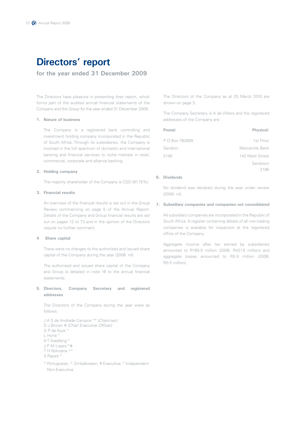### **Directors' report**

**for the year ended 31 December 2009**

The Directors have pleasure in presenting their report, which forms part of the audited annual financial statements of the Company and the Group for the year ended 31 December 2009.

#### **1. Nature of business**

The Company is a registered bank controlling and investment holding company incorporated in the Republic of South Africa. Through its subsidiaries, the Company is involved in the full spectrum of domestic and international banking and financial services to niche markets in retail, commercial, corporate and alliance banking.

#### **2. Holding company**

The majority shareholder of the Company is CGD (91.75%).

#### **3. Financial results**

An overview of the financial results is set out in the Group Review commencing on page 5 of the Annual Report. Details of the Company and Group financial results are set out on pages 12 to 73 and in the opinion of the Directors require no further comment.

#### **4 Share capital**

There were no changes to the authorised and issued share capital of the Company during the year (2008: nil).

The authorised and issued share capital of the Company and Group is detailed in note 16 to the annual financial statements.

#### **5. Directors, Company Secretary and registered addresses**

The Directors of the Company during the year were as follows:

```
J A S de Andrade Campos *° (Chairman)
D J Brown # (Chief Executive Officer)
G P de Kock °
L Hyne °
A T Ikalafeng °
J P M Lopes *#
T H Njikizana ^°
S Rapeti °
```
\* Portuguese, ^ Zimbabwean, # Executive, ° Independent Non-Executive

The Directors of the Company as at 25 March 2010 are shown on page 3.

The Company Secretary is A de Villiers and the registered addresses of the Company are:

| Postal:        | Physical:       |
|----------------|-----------------|
| P O Box 782699 | 1st Floor       |
| Sandton        | Mercantile Bank |
| 2146           | 142 West Street |
|                | Sandown         |
|                |                 |

#### **6. Dividends**

No dividend was declared during the year under review (2008: nil).

#### **7. Subsidiary companies and companies not consolidated**

All subsidiary companies are incorporated in the Republic of South Africa. A register containing details of all non-trading companies is available for inspection at the registered office of the Company.

Aggregate income after tax earned by subsidiaries amounted to R169.0 million (2008: R421.5 million) and aggregate losses amounted to R5.9 million (2008: R0.5 million).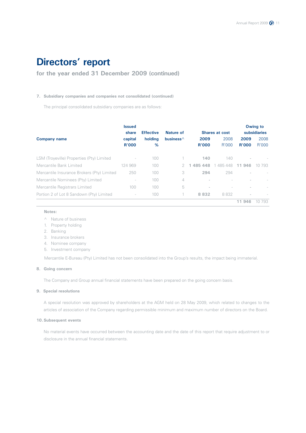## **Directors' report**

**for the year ended 31 December 2009 (continued)**

#### **7. Subsidiary companies and companies not consolidated (continued)**

The principal consolidated subsidiary companies are as follows:

|                                            | <b>Issued</b>                    |                                  |                                |                      |                                        |                          | <b>Owing to</b>               |
|--------------------------------------------|----------------------------------|----------------------------------|--------------------------------|----------------------|----------------------------------------|--------------------------|-------------------------------|
| <b>Company name</b>                        | share<br>capital<br><b>R'000</b> | <b>Effective</b><br>holding<br>% | Nature of<br>business $\wedge$ | 2009<br><b>R'000</b> | <b>Shares at cost</b><br>2008<br>R'000 | 2009<br><b>R'000</b>     | subsidiaries<br>2008<br>R'000 |
| LSM (Troveville) Properties (Pty) Limited  |                                  | 100                              |                                | 140                  | 140                                    | $\overline{\phantom{a}}$ |                               |
| Mercantile Bank Limited                    | 124 969                          | 100                              |                                | 1 485 448            | 1485448                                | 11 946                   | 10 793                        |
| Mercantile Insurance Brokers (Pty) Limited | 250                              | 100                              | 3                              | 294                  | 294                                    |                          |                               |
| Mercantile Nominees (Pty) Limited          |                                  | 100                              | 4                              | $\sim$               |                                        |                          |                               |
| Mercantile Registrars Limited              | 100                              | 100                              | 5                              | $\sim$               |                                        |                          |                               |
| Portion 2 of Lot 8 Sandown (Pty) Limited   | $\sim$                           | 100                              |                                | 8 8 3 2              | 8832                                   | $\overline{\phantom{a}}$ |                               |
|                                            |                                  |                                  |                                |                      |                                        | 11 946                   | 10 793                        |

#### **Notes:**

- ^ Nature of business
- 1. Property holding
- 2. Banking
- 3. Insurance brokers
- 4. Nominee company
- 5. Investment company

Mercantile E-Bureau (Pty) Limited has not been consolidated into the Group's results, the impact being immaterial.

#### **8. Going concern**

The Company and Group annual financial statements have been prepared on the going concern basis.

#### **9. Special resolutions**

A special resolution was approved by shareholders at the AGM held on 28 May 2009, which related to changes to the articles of association of the Company regarding permissible minimum and maximum number of directors on the Board.

#### **10.Subsequent events**

No material events have occurred between the accounting date and the date of this report that require adjustment to or disclosure in the annual financial statements.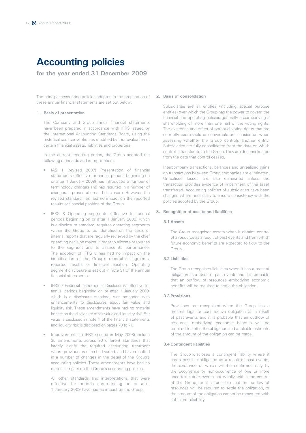**for the year ended 31 December 2009**

The principal accounting policies adopted in the preparation of these annual financial statements are set out below:

#### **1. Basis of presentation**

The Company and Group annual financial statements have been prepared in accordance with IFRS issued by the International Accounting Standards Board, using the historical cost convention as modified by the revaluation of certain financial assets, liabilities and properties.

In the current reporting period, the Group adopted the following standards and interpretations:

- • IAS 1 (revised 2007) Presentation of financial statements (effective for annual periods beginning on or after 1 January 2009) has introduced a number of terminology changes and has resulted in a number of changes in presentation and disclosure. However, the revised standard has had no impact on the reported results or financial position of the Group.
- IFRS 8 Operating segments (effective for annual periods beginning on or after 1 January 2009) which is a disclosure standard, requires operating segments within the Group to be identified on the basis of internal reports that are regularly reviewed by the chief operating decision maker in order to allocate resources to the segment and to assess its performance. The adoption of IFRS 8 has had no impact on the identification of the Group's reportable segments, reported results or financial position. Operating segment disclosure is set out in note 31 of the annual financial statements.
- IFRS 7 Financial instruments: Disclosures (effective for annual periods beginning on or after 1 January 2009) which is a disclosure standard, was amended with enhancements to disclosures about fair value and liquidity risk. These amendments have had no material impact on the disclosure of fair value and liquidity risk. Fair value is disclosed in note 1 of the financial statements and liquidity risk is disclosed on pages 70 to 71.
- Improvements to IFRS (issued in May 2008) include 35 amendments across 20 different standards that largely clarify the required accounting treatment where previous practice had varied, and have resulted in a number of changes in the detail of the Group's accounting policies. These amendments have had no material impact on the Group's accounting policies.

All other standards and interpretations that were effective for periods commencing on or after 1 January 2009 have had no impact on the Group.

#### **2. Basis of consolidation**

Subsidiaries are all entities (including special purpose entities) over which the Group has the power to govern the financial and operating policies generally accompanying a shareholding of more than one half of the voting rights. The existence and effect of potential voting rights that are currently exercisable or convertible are considered when assessing whether the Group controls another entity. Subsidiaries are fully consolidated from the date on which control is transferred to the Group. They are deconsolidated from the date that control ceases.

Intercompany transactions, balances and unrealised gains on transactions between Group companies are eliminated. Unrealised losses are also eliminated unless the transaction provides evidence of impairment of the asset transferred. Accounting policies of subsidiaries have been changed where necessary to ensure consistency with the policies adopted by the Group.

#### **3. Recognition of assets and liabilities**

#### **3.1 Assets**

The Group recognises assets when it obtains control of a resource as a result of past events and from which future economic benefits are expected to flow to the Group

#### **3.2 Liabilities**

The Group recognises liabilities when it has a present obligation as a result of past events and it is probable that an outflow of resources embodying economic benefits will be required to settle the obligation.

#### **3.3 Provisions**

Provisions are recognised when the Group has a present legal or constructive obligation as a result of past events and it is probable that an outflow of resources embodying economic benefits will be required to settle the obligation and a reliable estimate of the amount of the obligation can be made.

#### **3.4 Contingent liabilities**

The Group discloses a contingent liability where it has a possible obligation as a result of past events, the existence of which will be confirmed only by the occurrence or non-occurrence of one or more uncertain future events not wholly within the control of the Group, or it is possible that an outflow of resources will be required to settle the obligation, or the amount of the obligation cannot be measured with sufficient reliability.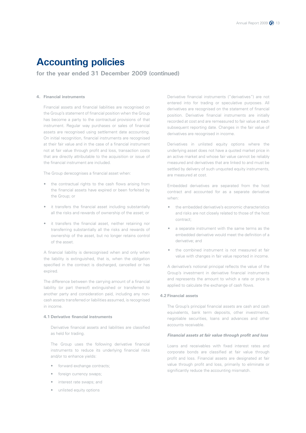**for the year ended 31 December 2009 (continued)**

#### **4. Financial instruments**

Financial assets and financial liabilities are recognised on the Group's statement of financial position when the Group has become a party to the contractual provisions of that instrument. Regular way purchases or sales of financial assets are recognised using settlement date accounting. On initial recognition, financial instruments are recognised at their fair value and in the case of a financial instrument not at fair value through profit and loss, transaction costs that are directly attributable to the acquisition or issue of the financial instrument are included.

The Group derecognises a financial asset when:

- the contractual rights to the cash flows arising from the financial assets have expired or been forfeited by the Group; or
- it transfers the financial asset including substantially all the risks and rewards of ownership of the asset; or
- it transfers the financial asset, neither retaining nor transferring substantially all the risks and rewards of ownership of the asset, but no longer retains control of the asset.

A financial liability is derecognised when and only when the liability is extinguished, that is, when the obligation specified in the contract is discharged, cancelled or has expired.

The difference between the carrying amount of a financial liability (or part thereof) extinguished or transferred to another party and consideration paid, including any noncash assets transferred or liabilities assumed, is recognised in income.

#### **4.1 Derivative financial instruments**

Derivative financial assets and liabilities are classified as held for trading.

The Group uses the following derivative financial instruments to reduce its underlying financial risks and/or to enhance yields:

- forward exchange contracts;
- foreign currency swaps;
- interest rate swaps; and
- unlisted equity options

Derivative financial instruments ("derivatives") are not entered into for trading or speculative purposes. All derivatives are recognised on the statement of financial position. Derivative financial instruments are initially recorded at cost and are remeasured to fair value at each subsequent reporting date. Changes in the fair value of derivatives are recognised in income.

Derivatives in unlisted equity options where the underlying asset does not have a quoted market price in an active market and whose fair value cannot be reliably measured and derivatives that are linked to and must be settled by delivery of such unquoted equity instruments, are measured at cost.

Embedded derivatives are separated from the host contract and accounted for as a separate derivative when:

- the embedded derivative's economic characteristics and risks are not closely related to those of the host contract;
- a separate instrument with the same terms as the embedded derivative would meet the definition of a derivative; and
- the combined instrument is not measured at fair value with changes in fair value reported in income.

A derivative's notional principal reflects the value of the Group's investment in derivative financial instruments and represents the amount to which a rate or price is applied to calculate the exchange of cash flows.

#### **4.2 Financial assets**

The Group's principal financial assets are cash and cash equivalents, bank term deposits, other investments, negotiable securities, loans and advances and other accounts receivable.

#### *Financial assets at fair value through profit and loss*

Loans and receivables with fixed interest rates and corporate bonds are classified at fair value through profit and loss. Financial assets are designated at fair value through profit and loss, primarily to eliminate or significantly reduce the accounting mismatch.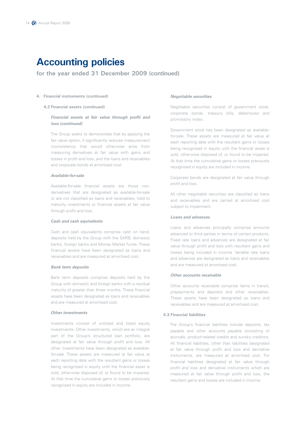**for the year ended 31 December 2009 (continued)**

#### **4. Financial instruments (continued)**

#### **4.2 Financial assets (continued)**

#### *Financial assets at fair value through profit and loss (continued)*

The Group seeks to demonstrate that by applying the fair value option, it significantly reduces measurement inconsistency that would otherwise arise from measuring derivatives at fair value with gains and losses in profit and loss, and the loans and receivables and corporate bonds at amortised cost.

#### *Available-for-sale*

Available-for-sale financial assets are those nonderivatives that are designated as available-for-sale or are not classified as loans and receivables, held to maturity investments or financial assets at fair value through profit and loss.

#### *Cash and cash equivalents*

Cash and cash equivalents comprise cash on hand, deposits held by the Group with the SARB, domestic banks, foreign banks and Money Market funds. These financial assets have been designated as loans and receivables and are measured at amortised cost.

#### *Bank term deposits*

Bank term deposits comprise deposits held by the Group with domestic and foreign banks with a residual maturity of greater than three months. These financial assets have been designated as loans and receivables and are measured at amortised cost.

#### *Other investments*

Investments consist of unlisted and listed equity investments. Other investments, which are an integral part of the Group's structured loan portfolio, are designated at fair value through profit and loss. All other investments have been designated as availablefor-sale. These assets are measured at fair value at each reporting date with the resultant gains or losses being recognised in equity until the financial asset is sold, otherwise disposed of, or found to be impaired. At that time the cumulative gains or losses previously recognised in equity are included in income.

#### *Negotiable securities*

Negotiable securities consist of government stock, corporate bonds, treasury bills, debentures and promissory notes.

Government stock has been designated as availablefor-sale. These assets are measured at fair value at each reporting date with the resultant gains or losses being recognised in equity until the financial asset is sold, otherwise disposed of, or found to be impaired. At that time the cumulative gains or losses previously recognised in equity are included in income.

Corporate bonds are designated at fair value through profit and loss.

All other negotiable securities are classified as loans and receivables and are carried at amortised cost subject to impairment.

#### *Loans and advances*

Loans and advances principally comprise amounts advanced to third parties in terms of certain products. Fixed rate loans and advances are designated at fair value through profit and loss with resultant gains and losses being included in income. Variable rate loans and advances are designated as loans and receivables and are measured at amortised cost.

#### *Other accounts receivable*

Other accounts receivable comprise items in transit, prepayments and deposits and other receivables. These assets have been designated as loans and receivables and are measured at amortised cost.

#### **4.3 Financial liabilities**

The Group's financial liabilities include deposits, tax payable and other accounts payable consisting of accruals, product-related credits and sundry creditors. All financial liabilities, other than liabilities designated at fair value through profit and loss and derivative instruments, are measured at amortised cost. For financial liabilities designated at fair value through profit and loss and derivative instruments which are measured at fair value through profit and loss, the resultant gains and losses are included in income.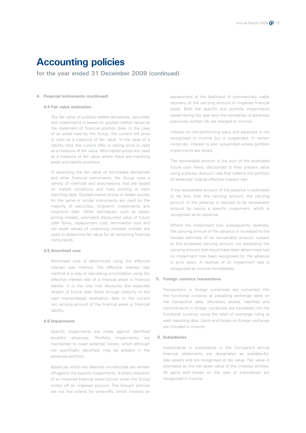**for the year ended 31 December 2009 (continued)**

#### **4. Financial instruments (continued)**

#### **4.4 Fair value estimation**

The fair value of publicly traded derivatives, securities and investments is based on quoted market values at the statement of financial position date. In the case of an asset held by the Group, the current bid price is used as a measure of fair value. In the case of a liability held, the current offer or asking price is used as a measure of fair value. Mid-market prices are used as a measure of fair value where there are matching asset and liability positions.

In assessing the fair value of non-traded derivatives and other financial instruments, the Group uses a variety of methods and assumptions that are based on market conditions and risks existing at each reporting date. Quoted market prices or dealer quotes for the same or similar instruments are used for the majority of securities, long-term investments and long-term debt. Other techniques, such as option pricing models, estimated discounted value of future cash flows, replacement cost, termination cost and net asset values of underlying investee entities are used to determine fair value for all remaining financial instruments.

#### **4.5 Amortised cost**

Amortised cost is determined using the effective interest rate method. The effective interest rate method is a way of calculating amortisation using the effective interest rate of a financial asset or financial liability. It is the rate that discounts the expected stream of future cash flows through maturity or the next market-based revaluation date to the current net carrying amount of the financial asset or financial liability.

#### **4.6 Impairments**

Specific impairments are made against identified doubtful advances. Portfolio impairments are maintained to cover potential losses, which although not specifically identified, may be present in the advances portfolio.

Advances which are deemed uncollectible are written off against the specific impairments. A direct reduction of an impaired financial asset occurs when the Group writes off an impaired account. The Group's policies set out the criteria for write-offs, which involves an assessment of the likelihood of commercially viable recovery of the carrying amount of impaired financial asset. Both the specific and portfolio impairments raised during the year less the recoveries of advances previously written off, are charged to income.

Interest on non-performing loans and advances is not recognised to income but is suspended. In certain instances, interest is also suspended where portfolio impairments are raised.

The recoverable amount is the sum of the estimated future cash flows, discounted to their present value using a pre-tax discount rate that reflects the portfolio of advances' original effective interest rate.

If the recoverable amount of the advance is estimated to be less than the carrying amount, the carrying amount of the advance is reduced to its recoverable amount by raising a specific impairment, which is recognised as an expense.

Where the impairment loss subsequently reverses, the carrying amount of the advance is increased to the revised estimate of its recoverable amount, subject to the increased carrying amount not exceeding the carrying amount that would have been determined had no impairment loss been recognised for the advance in prior years. A reversal of an impairment loss is recognised as income immediately.

#### **5. Foreign currency transactions**

Transactions in foreign currencies are converted into the functional currency at prevailing exchange rates on the transaction date. Monetary assets, liabilities and commitments in foreign currencies are translated into the functional currency using the rates of exchange ruling at each reporting date. Gains and losses on foreign exchange are included in income.

#### **6. Subsidiaries**

Investments in subsidiaries in the Company's annual financial statements are designated as available-forsale assets and are recognised at fair value. Fair value is estimated as the net asset value of the investee entities. All gains and losses on the sale of subsidiaries are recognised in income.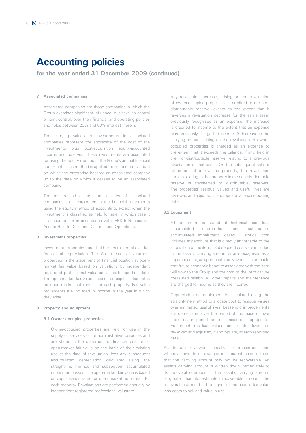**for the year ended 31 December 2009 (continued)**

#### **7. Associated companies**

Associated companies are those companies in which the Group exercises significant influence, but have no control or joint control, over their financial and operating policies and holds between 20% and 50% interest therein.

The carrying values of investments in associated companies represent the aggregate of the cost of the investments plus post-acquisition equity-accounted income and reserves. These investments are accounted for using the equity method in the Group's annual financial statements. This method is applied from the effective date on which the enterprise became an associated company up to the date on which it ceases to be an associated company.

The results and assets and liabilities of associated companies are incorporated in the financial statements using the equity method of accounting, except when the investment is classified as held for sale, in which case it is accounted for in accordance with IFRS 5 Non-current Assets Held for Sale and Discontinued Operations.

#### **8. Investment properties**

Investment properties are held to earn rentals and/or for capital appreciation. The Group carries investment properties in the statement of financial position at openmarket fair value based on valuations by independent registered professional valuators at each reporting date. The open-market fair value is based on capitalisation rates for open market net rentals for each property. Fair value movements are included in income in the year in which they arise.

#### **9. Property and equipment**

#### **9.1 Owner-occupied properties**

Owner-occupied properties are held for use in the supply of services or for administrative purposes and are stated in the statement of financial position at open-market fair value on the basis of their existing use at the date of revaluation, less any subsequent accumulated depreciation calculated using the straight-line method and subsequent accumulated impairment losses. The open-market fair value is based on capitalisation rates for open market net rentals for each property. Revaluations are performed annually by independent registered professional valuators.

Any revaluation increase, arising on the revaluation of owner-occupied properties, is credited to the nondistributable reserve, except to the extent that it reverses a revaluation decrease for the same asset previously recognised as an expense. The increase is credited to income to the extent that an expense was previously charged to income. A decrease in the carrying amount arising on the revaluation of owneroccupied properties is charged as an expense to the extent that it exceeds the balance, if any, held in the non-distributable reserve relating to a previous revaluation of that asset. On the subsequent sale or retirement of a revalued property, the revaluation surplus relating to that property in the non-distributable reserve is transferred to distributable reserves. The properties' residual values and useful lives are reviewed and adjusted, if appropriate, at each reporting date.

#### **9.2 Equipment**

All equipment is stated at historical cost less accumulated depreciation and subsequent accumulated impairment losses. Historical cost includes expenditure that is directly attributable to the acquisition of the items. Subsequent costs are included in the asset's carrying amount or are recognised as a separate asset, as appropriate, only when it is probable that future economic benefits associated with the item will flow to the Group and the cost of the item can be measured reliably. All other repairs and maintenance are charged to income as they are incurred.

Depreciation on equipment is calculated using the straight-line method to allocate cost to residual values over estimated useful lives. Leasehold improvements are depreciated over the period of the lease or over such lesser period as is considered appropriate. Equipment residual values and useful lives are reviewed and adjusted, if appropriate, at each reporting date.

Assets are reviewed annually for impairment and whenever events or changes in circumstances indicate that the carrying amount may not be recoverable. An asset's carrying amount is written down immediately to its recoverable amount if the asset's carrying amount is greater than its estimated recoverable amount. The recoverable amount is the higher of the asset's fair value less costs to sell and value in use.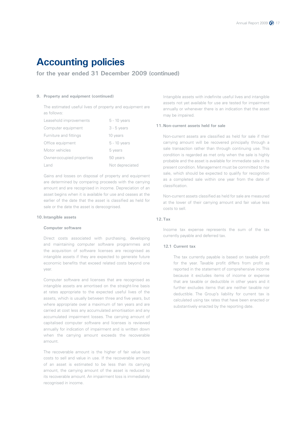**for the year ended 31 December 2009 (continued)**

#### **9. Property and equipment (continued)**

The estimated useful lives of property and equipment are as follows:

| Leasehold improvements    | $5 - 10$ years  |
|---------------------------|-----------------|
| Computer equipment        | $3 - 5$ years   |
| Furniture and fittings    | 10 years        |
| Office equipment          | $5 - 10$ years  |
| Motor vehicles            | 5 years         |
| Owner-occupied properties | 50 years        |
| Land                      | Not depreciated |

Gains and losses on disposal of property and equipment are determined by comparing proceeds with the carrying amount and are recognised in income. Depreciation of an asset begins when it is available for use and ceases at the earlier of the date that the asset is classified as held for sale or the date the asset is derecognised.

#### **10.Intangible assets**

#### **Computer software**

Direct costs associated with purchasing, developing and maintaining computer software programmes and the acquisition of software licenses are recognised as intangible assets if they are expected to generate future economic benefits that exceed related costs beyond one year.

Computer software and licenses that are recognised as intangible assets are amortised on the straight-line basis at rates appropriate to the expected useful lives of the assets, which is usually between three and five years, but where appropriate over a maximum of ten years and are carried at cost less any accumulated amortisation and any accumulated impairment losses. The carrying amount of capitalised computer software and licenses is reviewed annually for indication of impairment and is written down when the carrying amount exceeds the recoverable amount.

The recoverable amount is the higher of fair value less costs to sell and value in use. If the recoverable amount of an asset is estimated to be less than its carrying amount, the carrying amount of the asset is reduced to its recoverable amount. An impairment loss is immediately recognised in income.

Intangible assets with indefinite useful lives and intangible assets not yet available for use are tested for impairment annually or whenever there is an indication that the asset may be impaired.

#### **11.Non-current assets held for sale**

Non-current assets are classified as held for sale if their carrying amount will be recovered principally through a sale transaction rather than through continuing use. This condition is regarded as met only when the sale is highly probable and the asset is available for immediate sale in its present condition. Management must be committed to the sale, which should be expected to qualify for recognition as a completed sale within one year from the date of classification.

Non-current assets classified as held for sale are measured at the lower of their carrying amount and fair value less costs to sell.

#### **12.Tax**

Income tax expense represents the sum of the tax currently payable and deferred tax.

#### **12.1 Current tax**

The tax currently payable is based on taxable profit for the year. Taxable profit differs from profit as reported in the statement of comprehensive income because it excludes items of income or expense that are taxable or deductible in other years and it further excludes items that are neither taxable nor deductible. The Group's liability for current tax is calculated using tax rates that have been enacted or substantively enacted by the reporting date.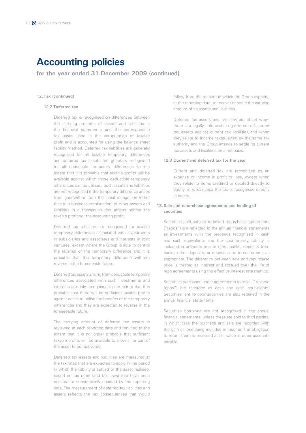**for the year ended 31 December 2009 (continued)**

#### **12.Tax (continued)**

#### **12.2 Deferred tax**

Deferred tax is recognised on differences between the carrying amounts of assets and liabilities in the financial statements and the corresponding tax bases used in the computation of taxable profit and is accounted for using the balance sheet liability method. Deferred tax liabilities are generally recognised for all taxable temporary differences and deferred tax assets are generally recognised for all deductible temporary differences to the extent that it is probable that taxable profits will be available against which those deductible temporary differences can be utilised. Such assets and liabilities are not recognised if the temporary difference arises from goodwill or from the initial recognition (other than in a business combination) of other assets and liabilities in a transaction that affects neither the taxable profit nor the accounting profit.

Deferred tax liabilities are recognised for taxable temporary differences associated with investments in subsidiaries and associates and interests in joint ventures, except where the Group is able to control the reversal of the temporary difference and it is probable that the temporary difference will not reverse in the foreseeable future.

Deferred tax assets arising from deductible temporary differences associated with such investments and interests are only recognised to the extent that it is probable that there will be sufficient taxable profits against which to utilise the benefits of the temporary differences and they are expected to reverse in the foreseeable future.

The carrying amount of deferred tax assets is reviewed at each reporting date and reduced to the extent that it is no longer probable that sufficient taxable profits will be available to allow all or part of the asset to be recovered.

Deferred tax assets and liabilities are measured at the tax rates that are expected to apply in the period in which the liability is settled or the asset realised, based on tax rates (and tax laws) that have been enacted or substantively enacted by the reporting date. The measurement of deferred tax liabilities and assets reflects the tax consequences that would follow from the manner in which the Group expects, at the reporting date, to recover or settle the carrying amount of its assets and liabilities.

Deferred tax assets and liabilities are offset when there is a legally enforceable right to set off current tax assets against current tax liabilities and when they relate to income taxes levied by the same tax authority and the Group intends to settle its current tax assets and liabilities on a net basis.

#### **12.3 Current and deferred tax for the year**

Current and deferred tax are recognised as an expense or income in profit or loss, except when they relate to items credited or debited directly to equity, in which case the tax is recognised directly in equity.

#### **13.Sale and repurchase agreements and lending of securities**

Securities sold subject to linked repurchase agreements ("repos") are reflected in the annual financial statements as investments with the proceeds recognised in cash and cash equivalents and the counterparty liability is included in amounts due to other banks, deposits from banks, other deposits, or deposits due to customers, as appropriate. The difference between sale and repurchase price is treated as interest and accrued over the life of repo agreements using the effective interest rate method.

Securities purchased under agreements to resell ("reverse repos") are recorded as cash and cash equivalents. Securities lent to counterparties are also retained in the annual financial statements.

Securities borrowed are not recognised in the annual financial statements, unless these are sold to third parties, in which case the purchase and sale are recorded with the gain or loss being included in income. The obligation to return them is recorded at fair value in other accounts payable.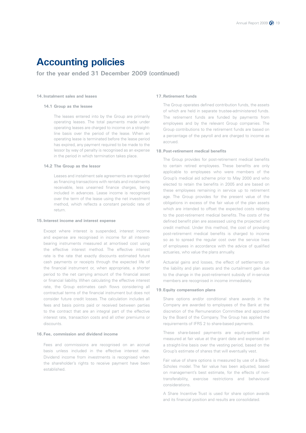**for the year ended 31 December 2009 (continued)**

#### **14.Instalment sales and leases**

#### **14.1 Group as the lessee**

The leases entered into by the Group are primarily operating leases. The total payments made under operating leases are charged to income on a straightline basis over the period of the lease. When an operating lease is terminated before the lease period has expired, any payment required to be made to the lessor by way of penalty is recognised as an expense in the period in which termination takes place.

#### **14.2 The Group as the lessor**

Leases and instalment sale agreements are regarded as financing transactions with rentals and instalments receivable, less unearned finance charges, being included in advances. Lease income is recognised over the term of the lease using the net investment method, which reflects a constant periodic rate of return.

#### **15.Interest income and interest expense**

Except where interest is suspended, interest income and expense are recognised in income for all interestbearing instruments measured at amortised cost using the effective interest method. The effective interest rate is the rate that exactly discounts estimated future cash payments or receipts through the expected life of the financial instrument or, when appropriate, a shorter period to the net carrying amount of the financial asset or financial liability. When calculating the effective interest rate, the Group estimates cash flows considering all contractual terms of the financial instrument but does not consider future credit losses. The calculation includes all fees and basis points paid or received between parties to the contract that are an integral part of the effective interest rate, transaction costs and all other premiums or discounts.

#### **16.Fee, commission and dividend income**

Fees and commissions are recognised on an accrual basis unless included in the effective interest rate. Dividend income from investments is recognised when the shareholder's rights to receive payment have been established.

#### **17.Retirement funds**

The Group operates defined contribution funds, the assets of which are held in separate trustee-administered funds. The retirement funds are funded by payments from employees and by the relevant Group companies. The Group contributions to the retirement funds are based on a percentage of the payroll and are charged to income as accrued.

#### **18. Post-retirement medical benefits**

The Group provides for post-retirement medical benefits to certain retired employees. These benefits are only applicable to employees who were members of the Group's medical aid scheme prior to May 2000 and who elected to retain the benefits in 2005 and are based on these employees remaining in service up to retirement age. The Group provides for the present value of the obligations in excess of the fair value of the plan assets which are intended to offset the expected costs relating to the post-retirement medical benefits. The costs of the defined benefit plan are assessed using the projected unit credit method. Under this method, the cost of providing post-retirement medical benefits is charged to income so as to spread the regular cost over the service lives of employees in accordance with the advice of qualified actuaries, who value the plans annually.

Actuarial gains and losses, the effect of settlements on the liability and plan assets and the curtailment gain due to the change in the post-retirement subsidy of in-service members are recognised in income immediately.

#### **19.Equity compensation plans**

Share options and/or conditional share awards in the Company are awarded to employees of the Bank at the discretion of the Remuneration Committee and approved by the Board of the Company. The Group has applied the requirements of IFRS 2 to share-based payments.

These share-based payments are equity-settled and measured at fair value at the grant date and expensed on a straight-line basis over the vesting period, based on the Group's estimate of shares that will eventually vest.

Fair value of share options is measured by use of a Black-Scholes model. The fair value has been adjusted, based on management's best estimate, for the effects of nontransferability, exercise restrictions and behavioural considerations.

A Share Incentive Trust is used for share option awards and its financial position and results are consolidated.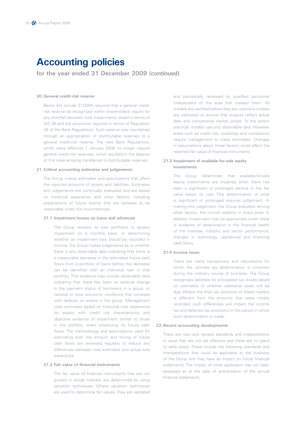**for the year ended 31 December 2009 (continued)**

#### **20.General credit-risk reserve**

Banks Act circular 21/2004 required that a general creditrisk reserve be recognised within shareholders' equity for any shortfall between total impairments raised in terms of IAS 39 and the provisions required in terms of Regulation 28 of the Bank Regulations. Such reserve was maintained through an appropriation of distributable reserves to a general credit-risk reserve. The new Bank Regulations, which were effective 1 January 2008 no longer require general credit-risk reserves, which resulted in the balance of this reserve being transferred to distributable reserves.

#### **21.Critical accounting estimates and judgements**

The Group makes estimates and assumptions that affect the reported amounts of assets and liabilities. Estimates and judgements are continually evaluated and are based on historical experience and other factors, including expectations of future events that are believed to be reasonable under the circumstances.

#### **21.1 Impairment losses on loans and advances**

The Group reviews its loan portfolios to assess impairment on a monthly basis. In determining whether an impairment loss should be recorded in income, the Group makes judgements as to whether there is any observable data indicating that there is a measurable decrease in the estimated future cash flows from a portfolio of loans before the decrease can be identified with an individual loan in that portfolio. This evidence may include observable data indicating that there has been an adverse change in the payment status of borrowers in a group, or national or local economic conditions that correlate with defaults on assets in the group. Management uses estimates based on historical loss experience for assets with credit risk characteristics and objective evidence of impairment similar to those in the portfolio when scheduling its future cash flows. The methodology and assumptions used for estimating both the amount and timing of future cash flows are reviewed regularly to reduce any differences between loss estimates and actual loss experience.

#### **21.2 Fair value of financial instruments**

The fair value of financial instruments that are not quoted in active markets are determined by using valuation techniques. Where valuation techniques are used to determine fair values, they are validated and periodically reviewed by qualified personnel independent of the area that created them. All models are certified before they are used and models are calibrated to ensure that outputs reflect actual data and comparative market prices. To the extent practical, models use only observable data. However areas such as credit risk, volatilities and correlations require management to make estimates. Changes in assumptions about these factors could affect the reported fair value of financial instruments.

#### **21.3 Impairment of available-for-sale equity investments**

The Group determines that available-for-sale equity investments are impaired when there has been a significant or prolonged decline in the fair value below its cost. This determination of what is significant or prolonged requires judgement. In making this judgement, the Group evaluates among other factors, the normal volatility in share price. In addition impairment may be appropriate when there is evidence of deterioration in the financial health of the investee, industry and sector performance, changes in technology, operational and financing cash flows.

#### **21.4 Income taxes**

There are many transactions and calculations for which the ultimate tax determination is uncertain during the ordinary course of business. The Group recognises liabilities for anticipated tax issues based on estimates of whether additional taxes will be due. Where the final tax outcome of these matters is different from the amounts that were initially recorded, such differences will impact the income tax and deferred tax provisions in the period in which such determination is made.

#### **22.Recent accounting developments**

There are new and revised standards and interpretations in issue that are not yet effective and there are no plans to early adopt. These include the following standards and interpretations that could be applicable to the business of the Group and may have an impact on future financial statements. The impact of initial application has not been assessed as at the date of authorisation of the annual financial statements.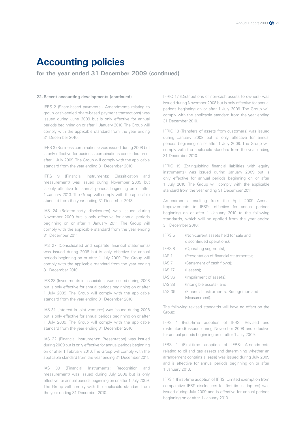**for the year ended 31 December 2009 (continued)**

#### **22. Recent accounting developments (continued)**

IFRS 2 (Share-based payments - Amendments relating to group cash-settled share-based payment transactions) was issued during June 2009 but is only effective for annual periods beginning on or after 1 January 2010. The Group will comply with the applicable standard from the year ending 31 December 2010.

IFRS 3 (Business combinations) was issued during 2008 but is only effective for business combinations concluded on or after 1 July 2009. The Group will comply with the applicable standard from the year ending 31 December 2010.

IFRS 9 (Financial instruments: Classification and measurement) was issued during November 2009 but is only effective for annual periods beginning on or after 1 January 2013. The Group will comply with the applicable standard from the year ending 31 December 2013.

IAS 24 (Related-party disclosures) was issued during November 2009 but is only effective for annual periods beginning on or after 1 January 2011. The Group will comply with the applicable standard from the year ending 31 December 2011.

IAS 27 (Consolidated and separate financial statements) was issued during 2008 but is only effective for annual periods beginning on or after 1 July 2009. The Group will comply with the applicable standard from the year ending 31 December 2010.

IAS 28 (Investments in associates) was issued during 2008 but is only effective for annual periods beginning on or after 1 July 2009. The Group will comply with the applicable standard from the year ending 31 December 2010.

IAS 31 (Interest in joint ventures) was issued during 2008 but is only effective for annual periods beginning on or after 1 July 2009. The Group will comply with the applicable standard from the year ending 31 December 2010.

IAS 32 (Financial instruments: Presentation) was issued during 2009 but is only effective for annual periods beginning on or after 1 February 2010. The Group will comply with the applicable standard from the year ending 31 December 2011.

IAS 39 (Financial Instruments: Recognition and measurement) was issued during July 2008 but is only effective for annual periods beginning on or after 1 July 2009. The Group will comply with the applicable standard from the year ending 31 December 2010.

IFRIC 17 (Distributions of non-cash assets to owners) was issued during November 2008 but is only effective for annual periods beginning on or after 1 July 2009. The Group will comply with the applicable standard from the year ending 31 December 2010.

IFRIC 18 (Transfers of assets from customers) was issued during January 2009 but is only effective for annual periods beginning on or after 1 July 2009. The Group will comply with the applicable standard from the year ending 31 December 2010.

IFRIC 19 (Extinguishing financial liabilities with equity instruments) was issued during January 2009 but is only effective for annual periods beginning on or after 1 July 2010. The Group will comply with the applicable standard from the year ending 31 December 2011.

Amendments resulting from the April 2009 Annual Improvements to IFRSs effective for annual periods beginning on or after 1 January 2010 to the following standards, which will be applied from the year ended 31 December 2010:

| IFRS <sub>5</sub> | (Non-current assets held for sale and   |
|-------------------|-----------------------------------------|
|                   | discontinued operations);               |
| IFRS 8            | (Operating segments);                   |
| IAS 1             | (Presentation of financial statements); |
| IAS <sub>7</sub>  | (Statement of cash flows);              |
| <b>IAS 17</b>     | (Leases):                               |
| <b>IAS 36</b>     | (Impairment of assets);                 |
| <b>IAS 38</b>     | (Intangible assets); and                |
| <b>IAS 39</b>     | (Financial instruments: Recognition and |
|                   | Measurement).                           |
|                   |                                         |

The following revised standards will have no effect on the Group:

IFRS 1 (First-time adoption of IFRS: Revised and restructured) issued during November 2008 and effective for annual periods beginning on or after 1 July 2009.

IFRS 1 (First-time adoption of IFRS: Amendments relating to oil and gas assets and determining whether an arrangement contains a lease) was issued during July 2009 and is effective for annual periods beginning on or after 1 January 2010.

IFRS 1 (First-time adoption of IFRS: Limited exemption from comparative IFRS disclosures for first-time adopters) was issued during July 2009 and is effective for annual periods beginning on or after 1 January 2010.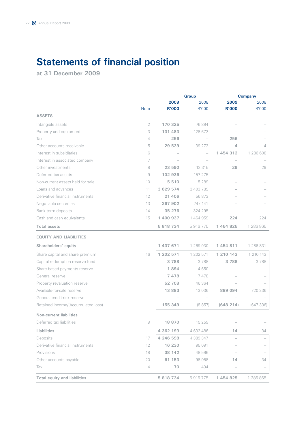## **Statements of financial position**

**at 31 December 2009**

|                                     |             |              | <b>Group</b> | <b>Company</b> |           |  |
|-------------------------------------|-------------|--------------|--------------|----------------|-----------|--|
|                                     |             | 2009         | 2008         | 2009           | 2008      |  |
|                                     | <b>Note</b> | <b>R'000</b> | R'000        | <b>R'000</b>   | R'000     |  |
| <b>ASSETS</b>                       |             |              |              |                |           |  |
| Intangible assets                   | 2           | 170 325      | 76 894       |                |           |  |
| Property and equipment              | 3           | 131 483      | 128 672      |                |           |  |
| Tax                                 | 4           | 256          |              | 256            |           |  |
| Other accounts receivable           | 5           | 29 539       | 39 273       | 4              | 4         |  |
| Interest in subsidiaries            | 6           |              |              | 1 454 312      | 1 286 608 |  |
| Interest in associated company      | 7           |              |              |                |           |  |
| Other investments                   | 8           | 23 590       | 12 3 15      | 29             | 29        |  |
| Deferred tax assets                 | 9           | 102 936      | 157 275      |                |           |  |
| Non-current assets held for sale    | 10          | 5 5 1 0      | 5 2 8 9      |                |           |  |
| Loans and advances                  | 11          | 3 629 574    | 3 403 789    |                |           |  |
| Derivative financial instruments    | 12          | 21 406       | 56 873       |                |           |  |
| Negotiable securities               | 13          | 267 902      | 247 141      |                |           |  |
| Bank term deposits                  | 14          | 35 276       | 324 295      |                |           |  |
| Cash and cash equivalents           | 15          | 1 400 937    | 1 464 959    | 224            | 224       |  |
| <b>Total assets</b>                 |             | 5 818 734    | 5 916 775    | 1 454 825      | 1 286 865 |  |
| <b>EQUITY AND LIABILITIES</b>       |             |              |              |                |           |  |
| Shareholders' equity                |             | 1 437 671    | 1 269 030    | 1454811        | 1 286 831 |  |
| Share capital and share premium     | 16          | 1 202 571    | 1 202 571    | 1 210 143      | 1 210 143 |  |
| Capital redemption reserve fund     |             | 3788         | 3788         | 3 7 8 8        | 3788      |  |
| Share-based payments reserve        |             | 1894         | 4650         |                |           |  |
| General reserve                     |             | 7478         | 7478         |                |           |  |
| Property revaluation reserve        |             | 52 708       | 46 364       |                |           |  |
| Available-for-sale reserve          |             | 13 883       | 13 036       | 889 094        | 720 236   |  |
| General credit-risk reserve         |             |              |              |                |           |  |
| Retained income/(Accumulated loss)  |             | 155 349      | (8857)       | (648214)       | (647336)  |  |
| <b>Non-current liabilities</b>      |             |              |              |                |           |  |
| Deferred tax liabilities            | 9           | 18 870       | 15 25 9      |                |           |  |
| Liabilities                         |             | 4 362 193    | 4 632 486    | 14             | 34        |  |
| Deposits                            | 17          | 4 246 598    | 4 389 347    |                |           |  |
| Derivative financial instruments    | 12          | 16 230       | 95 091       |                |           |  |
| Provisions                          | 18          | 38 142       | 48 596       |                |           |  |
| Other accounts payable              | 20          | 61 153       | 98 958       | 14             | 34        |  |
| Tax                                 | 4           | 70           | 494          |                |           |  |
| <b>Total equity and liabilities</b> |             | 5 818 734    | 5 916 775    | 1 454 825      | 1 286 865 |  |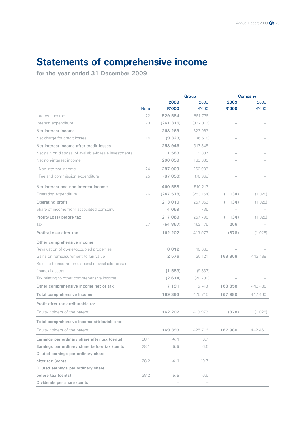# **Statements of comprehensive income**

**for the year ended 31 December 2009**

|                                                        |             | <b>Group</b> |           | <b>Company</b> |         |
|--------------------------------------------------------|-------------|--------------|-----------|----------------|---------|
|                                                        |             | 2009         | 2008      | 2009           | 2008    |
|                                                        | <b>Note</b> | <b>R'000</b> | R'000     | <b>R'000</b>   | R'000   |
| Interest income                                        | 22          | 529 584      | 661 776   |                |         |
| Interest expenditure                                   | 23          | (261315)     | (337 813) |                |         |
| Net interest income                                    |             | 268 269      | 323 963   |                |         |
| Net charge for credit losses                           | 11.4        | (9323)       | (6618)    |                |         |
| Net interest income after credit losses                |             | 258 946      | 317 345   |                |         |
| Net gain on disposal of available-for-sale investments |             | 1 583        | 9837      |                |         |
| Net non-interest income                                |             | 200 059      | 183 035   |                |         |
| Non-interest income                                    | 24          | 287 909      | 260 003   |                |         |
| Fee and commission expenditure                         | 25          | (87 850)     | (76968)   |                |         |
| Net interest and non-interest income                   |             | 460 588      | 510 217   |                |         |
| Operating expenditure                                  | 26          | (247578)     | (253 154) | (1134)         | (1 028) |
| <b>Operating profit</b>                                |             | 213 010      | 257 063   | (1134)         | (1028)  |
| Share of income from associated company                |             | 4 0 5 9      | 735       |                |         |
| Profit/(Loss) before tax                               |             | 217 069      | 257 798   | (1134)         | (1 028) |
| Tax                                                    | 27          | (54867)      | 162 175   | 256            |         |
| Profit/(Loss) after tax                                |             | 162 202      | 419 973   | (878)          | (1028)  |
| Other comprehensive income                             |             |              |           |                |         |
| Revaluation of owner-occupied properties               |             | 8 8 1 2      | 10 689    |                |         |
| Gains on remeasurement to fair value                   |             | 2 5 7 6      | 25 121    | 168 858        | 443 488 |
| Release to income on disposal of available-for-sale    |             |              |           |                |         |
| financial assets                                       |             | (1583)       | (9837)    |                |         |
| Tax relating to other comprehensive income             |             | (2614)       | (20 230)  |                |         |
| Other comprehensive income net of tax                  |             | 7 191        | 5 743     | 168 858        | 443 488 |
| Total comprehensive income                             |             | 169 393      | 425 716   | 167 980        | 442 460 |
| Profit after tax attributable to:                      |             |              |           |                |         |
| Equity holders of the parent                           |             | 162 202      | 419 973   | (878)          | (1 028) |
| Total comprehensive income attributable to:            |             |              |           |                |         |
| Equity holders of the parent                           |             | 169 393      | 425 716   | 167 980        | 442 460 |
| Earnings per ordinary share after tax (cents)          | 28.1        | 4.1          | 10.7      |                |         |
| Earnings per ordinary share before tax (cents)         | 28.1        | 5.5          | 6.6       |                |         |
| Diluted earnings per ordinary share                    |             |              |           |                |         |
| after tax (cents)                                      | 28.2        | 4.1          | 10.7      |                |         |
| Diluted earnings per ordinary share                    |             |              |           |                |         |
| before tax (cents)                                     | 28.2        | 5.5          | 6.6       |                |         |
| Dividends per share (cents)                            |             |              |           |                |         |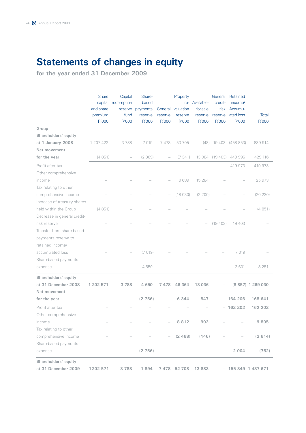## **Statements of changes in equity**

**for the year ended 31 December 2009**

|                             | <b>Share</b><br>capital<br>and share<br>premium<br>R'000 | Capital<br>redemption<br>fund<br>R'000 | Share-<br>based<br>reserve payments<br>reserve<br>R'000 | reserve<br>R'000 | Property<br>General valuation<br>reserve<br>R'000 | re- Available-<br>for-sale<br>reserve<br>R'000 | General<br>credit-<br>risk<br>reserve<br>R'000 | Retained<br>income/<br>Accumu-<br>lated loss<br>R'000 | <b>Total</b><br>R'000 |
|-----------------------------|----------------------------------------------------------|----------------------------------------|---------------------------------------------------------|------------------|---------------------------------------------------|------------------------------------------------|------------------------------------------------|-------------------------------------------------------|-----------------------|
| Group                       |                                                          |                                        |                                                         |                  |                                                   |                                                |                                                |                                                       |                       |
| Shareholders' equity        |                                                          |                                        |                                                         |                  |                                                   |                                                |                                                |                                                       |                       |
| at 1 January 2008           | 1 207 422                                                | 3788                                   | 7 019                                                   | 7478             | 53 705                                            |                                                | $(48)$ 19 403                                  | (458853)                                              | 839 914               |
| Net movement                |                                                          |                                        |                                                         |                  |                                                   |                                                |                                                |                                                       |                       |
| for the year                | (4851)                                                   |                                        | (2369)                                                  |                  | (7341)                                            |                                                | 13 084 (19 403)                                | 449 996                                               | 429 116               |
| Profit after tax            |                                                          |                                        |                                                         |                  |                                                   |                                                |                                                | 419 973                                               | 419 973               |
| Other comprehensive         |                                                          |                                        |                                                         |                  |                                                   |                                                |                                                |                                                       |                       |
| income                      |                                                          |                                        |                                                         |                  | 10 689                                            | 15 2 8 4                                       |                                                |                                                       | 25 973                |
| Tax relating to other       |                                                          |                                        |                                                         |                  |                                                   |                                                |                                                |                                                       |                       |
| comprehensive income        |                                                          |                                        |                                                         |                  | (18030)                                           | (2 200)                                        |                                                |                                                       | (20 230)              |
| Increase of treasury shares |                                                          |                                        |                                                         |                  |                                                   |                                                |                                                |                                                       |                       |
| held within the Group       | (4851)                                                   |                                        |                                                         |                  |                                                   |                                                |                                                |                                                       | (4851)                |
| Decrease in general credit- |                                                          |                                        |                                                         |                  |                                                   |                                                |                                                |                                                       |                       |
| risk reserve                |                                                          |                                        |                                                         |                  |                                                   |                                                | (19 403)                                       | 19 403                                                |                       |
| Transfer from share-based   |                                                          |                                        |                                                         |                  |                                                   |                                                |                                                |                                                       |                       |
| payments reserve to         |                                                          |                                        |                                                         |                  |                                                   |                                                |                                                |                                                       |                       |
| retained income/            |                                                          |                                        |                                                         |                  |                                                   |                                                |                                                |                                                       |                       |
| accumulated loss            |                                                          |                                        | (7019)                                                  |                  |                                                   |                                                |                                                | 7 0 1 9                                               |                       |
| Share-based payments        |                                                          |                                        |                                                         |                  |                                                   |                                                |                                                |                                                       |                       |
| expense                     |                                                          |                                        | 4 6 5 0                                                 |                  |                                                   |                                                |                                                | 3 601                                                 | 8 2 5 1               |
| Shareholders' equity        |                                                          |                                        |                                                         |                  |                                                   |                                                |                                                |                                                       |                       |
| at 31 December 2008         | 1 202 571                                                | 3788                                   | 4 6 5 0                                                 | 7478             | 46 364                                            | 13 0 36                                        |                                                |                                                       | (8 857) 1 269 030     |
| Net movement                |                                                          |                                        |                                                         |                  |                                                   |                                                |                                                |                                                       |                       |
| for the year                |                                                          |                                        | (2756)                                                  |                  | 6 344                                             | 847                                            |                                                | $-164206$                                             | 168 641               |
| Profit after tax            |                                                          |                                        |                                                         |                  |                                                   |                                                |                                                | $-162202$                                             | 162 202               |
| Other comprehensive         |                                                          |                                        |                                                         |                  |                                                   |                                                |                                                |                                                       |                       |
| income                      |                                                          |                                        |                                                         |                  | 8 8 1 2                                           | 993                                            |                                                |                                                       | 9805                  |
| Tax relating to other       |                                                          |                                        |                                                         |                  |                                                   |                                                |                                                |                                                       |                       |
| comprehensive income        |                                                          |                                        |                                                         |                  | (2468)                                            | (146)                                          |                                                |                                                       | (2 614)               |
| Share-based payments        |                                                          |                                        |                                                         |                  |                                                   |                                                |                                                |                                                       |                       |
| expense                     |                                                          |                                        | (2756)                                                  |                  |                                                   |                                                |                                                | 2 0 0 4                                               | (752)                 |
| Shareholders' equity        |                                                          |                                        |                                                         |                  |                                                   |                                                |                                                |                                                       |                       |
| at 31 December 2009         | 1202 571                                                 | 3788                                   | 1894                                                    | 7478             | 52 708                                            | 13 8 83                                        |                                                |                                                       | $-155349$ 1437671     |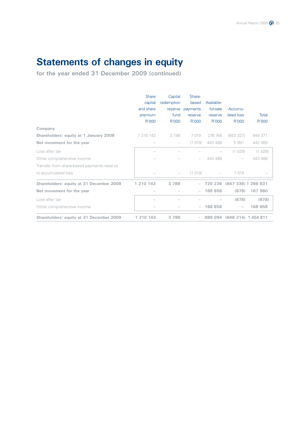## **Statements of changes in equity**

**for the year ended 31 December 2009 (continued)**

|                                            | <b>Share</b><br>capital<br>and share<br>premium<br>R'000 | Capital<br>redemption<br>reserve<br>fund<br>R'000 | Share-<br>based<br>payments<br>reserve<br>R'000 | Available-<br>for-sale<br>reserve<br>R'000 | Accumu-<br>lated loss<br>R'000 | Total<br>R'000 |
|--------------------------------------------|----------------------------------------------------------|---------------------------------------------------|-------------------------------------------------|--------------------------------------------|--------------------------------|----------------|
| Company                                    |                                                          |                                                   |                                                 |                                            |                                |                |
| Shareholders' equity at 1 January 2008     | 1 210 143                                                | 3788                                              | 7 0 1 9                                         | 276 748                                    | (653327)                       | 844 371        |
| Net movement for the year                  |                                                          |                                                   | (7019)                                          | 443 488                                    | 5991                           | 442 460        |
| Loss after tax                             |                                                          |                                                   |                                                 |                                            | (1028)                         | (1028)         |
| Other comprehensive income                 |                                                          |                                                   |                                                 | 443 488                                    |                                | 443 488        |
| Transfer from share-based payments reserve |                                                          |                                                   |                                                 |                                            |                                |                |
| to accumulated loss                        |                                                          |                                                   | (7019)                                          |                                            | 7 019                          |                |
| Shareholders' equity at 31 December 2008   | 1 210 143                                                | 3 7 8 8                                           |                                                 | 720 236                                    | (647 336) 1 286 831            |                |
| Net movement for the year                  |                                                          |                                                   | $\overline{\phantom{a}}$                        | 168 858                                    | (878)                          | 167 980        |
| Loss after tax                             |                                                          |                                                   |                                                 |                                            | (878)                          | (878)          |
| Other comprehensive income                 |                                                          |                                                   | $\overline{\phantom{0}}$                        | 168 858                                    |                                | 168 858        |
| Shareholders' equity at 31 December 2009   | 1 210 143                                                | 3 7 8 8                                           | $\overline{\phantom{m}}$                        |                                            | 889 094 (648 214) 1454 811     |                |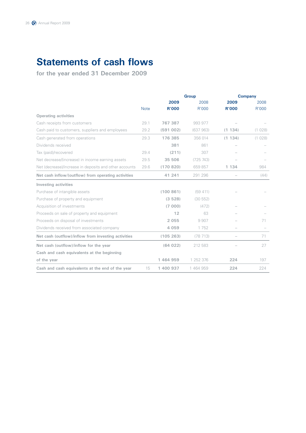## **Statements of cash flows**

**for the year ended 31 December 2009**

|                                                        |             |              | <b>Group</b> |              | <b>Company</b> |  |
|--------------------------------------------------------|-------------|--------------|--------------|--------------|----------------|--|
|                                                        |             | 2009         | 2008         | 2009         | 2008           |  |
|                                                        | <b>Note</b> | <b>R'000</b> | R'000        | <b>R'000</b> | R'000          |  |
| <b>Operating activities</b>                            |             |              |              |              |                |  |
| Cash receipts from customers                           | 29.1        | 767 387      | 993 977      |              |                |  |
| Cash paid to customers, suppliers and employees        | 29.2        | (591002)     | (637963)     | (1134)       | (1 028)        |  |
| Cash generated from operations                         | 29.3        | 176 385      | 356 014      | (1134)       | (1028)         |  |
| Dividends received                                     |             | 381          | 861          |              |                |  |
| Tax (paid)/recovered                                   | 29.4        | (211)        | 307          |              |                |  |
| Net decrease/(increase) in income earning assets       | 29.5        | 35 506       | (725 743)    |              |                |  |
| Net (decrease)/increase in deposits and other accounts | 29.6        | (170820)     | 659 857      | 1 1 3 4      | 984            |  |
| Net cash inflow/(outflow) from operating activities    |             | 41 241       | 291 296      |              | (44)           |  |
| <b>Investing activities</b>                            |             |              |              |              |                |  |
| Purchase of intangible assets                          |             | (100861)     | (59411)      |              |                |  |
| Purchase of property and equipment                     |             | (3528)       | (30 552)     |              |                |  |
| Acquisition of investments                             |             | (7000)       | (472)        |              |                |  |
| Proceeds on sale of property and equipment             |             | 12           | 63           |              |                |  |
| Proceeds on disposal of investments                    |             | 2055         | 9907         |              | 71             |  |
| Dividends received from associated company             |             | 4 0 5 9      | 1 752        |              |                |  |
| Net cash (outflow)/inflow from investing activities    |             | (105 263)    | (78713)      |              | 71             |  |
| Net cash (outflow)/inflow for the year                 |             | (64022)      | 212 583      |              | 27             |  |
| Cash and cash equivalents at the beginning             |             |              |              |              |                |  |
| of the year                                            |             | 1464959      | 1 252 376    | 224          | 197            |  |
| Cash and cash equivalents at the end of the year       | 15          | 1 400 937    | 1464959      | 224          | 224            |  |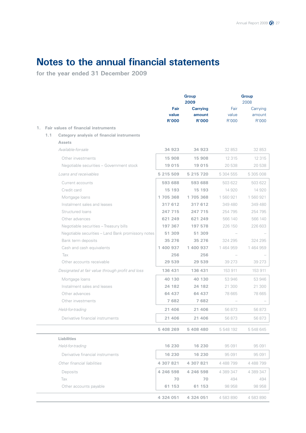**for the year ended 31 December 2009**

|    |                                                    | Group<br>2009 |                           | <b>Group</b><br>2008 |                    |
|----|----------------------------------------------------|---------------|---------------------------|----------------------|--------------------|
|    |                                                    | Fair<br>value | <b>Carrying</b><br>amount | Fair<br>value        | Carrying<br>amount |
| 1. | <b>Fair values of financial instruments</b>        | <b>R'000</b>  | <b>R'000</b>              | R'000                | R'000              |
|    | 1.1<br>Category analysis of financial instruments  |               |                           |                      |                    |
|    | <b>Assets</b>                                      |               |                           |                      |                    |
|    | Available-for-sale                                 | 34 923        | 34 923                    | 32 853               | 32 853             |
|    | Other investments                                  | 15 908        | 15 908                    | 12 3 15              | 12 3 15            |
|    | Negotiable securities - Government stock           | 19 0 15       | 19 015                    | 20 538               | 20 538             |
|    | Loans and receivables                              | 5 215 509     | 5 215 720                 | 5 304 555            | 5 305 008          |
|    | Current accounts                                   | 593 688       | 593 688                   | 503 622              | 503 622            |
|    | Credit card                                        | 15 193        | 15 193                    | 14 920               | 14 920             |
|    | Mortgage loans                                     | 1705368       | 1705368                   | 1 560 921            | 1 560 921          |
|    | Instalment sales and leases                        | 317 612       | 317 612                   | 349 480              | 349 480            |
|    | Structured loans                                   | 247 715       | 247 715                   | 254 795              | 254 795            |
|    | Other advances                                     | 621 249       | 621 249                   | 566 140              | 566 140            |
|    | Negotiable securities - Treasury bills             | 197 367       | 197 578                   | 226 150              | 226 603            |
|    | Negotiable securities - Land Bank promissory notes | 51 309        | 51 309                    |                      |                    |
|    | Bank term deposits                                 | 35 276        | 35 276                    | 324 295              | 324 295            |
|    | Cash and cash equivalents                          | 1 400 937     | 1 400 937                 | 1464959              | 1 464 959          |
|    | Tax                                                | 256           | 256                       |                      |                    |
|    | Other accounts receivable                          | 29 539        | 29 539                    | 39 273               | 39 27 3            |
|    | Designated at fair value through profit and loss   | 136 431       | 136 431                   | 153 911              | 153 911            |
|    | Mortgage loans                                     | 40 130        | 40 130                    | 53 946               | 53 946             |
|    | Instalment sales and leases                        | 24 182        | 24 182                    | 21 300               | 21 300             |
|    | Other advances                                     | 64 437        | 64 437                    | 78 665               | 78 665             |
|    | Other investments                                  | 7682          | 7682                      |                      |                    |
|    | Held-for-trading                                   | 21 406        | 21 406                    | 56 873               | 56 873             |
|    | Derivative financial instruments                   | 21 406        | 21 406                    | 56 873               | 56 873             |
|    |                                                    | 5 408 269     | 5 408 480                 | 5 548 192            | 5 548 645          |
|    | Liabilities                                        |               |                           |                      |                    |
|    | Held-for-trading                                   | 16 230        | 16 230                    | 95 091               | 95 091             |
|    | Derivative financial instruments                   | 16 230        | 16 230                    | 95 091               | 95 091             |
|    | Other financial liabilities                        | 4 307 821     | 4 307 821                 | 4 488 799            | 4 488 799          |
|    | Deposits                                           | 4 246 598     | 4 246 598                 | 4 389 347            | 4 389 347          |
|    | Tax                                                | 70            | 70                        | 494                  | 494                |
|    | Other accounts payable                             | 61 153        | 61 153                    | 98 958               | 98 958             |
|    |                                                    | 4 324 051     | 4 324 051                 | 4 583 890            | 4 583 890          |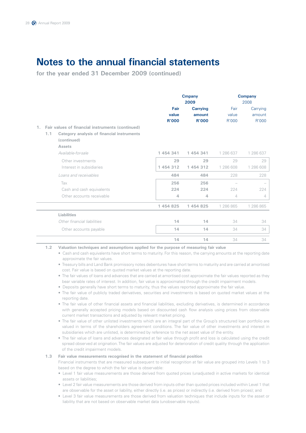**for the year ended 31 December 2009 (continued)**

|                                                                                                                            | <b>Cmpany</b><br>2009 |                           |                       | <b>Company</b><br>2008 |
|----------------------------------------------------------------------------------------------------------------------------|-----------------------|---------------------------|-----------------------|------------------------|
|                                                                                                                            | Fair<br>value         | <b>Carrying</b><br>amount | Fair<br>value         | Carrying<br>amount     |
| Fair values of financial instruments (continued)<br>1.<br>1.1<br>Category analysis of financial instruments<br>(continued) | <b>R'000</b>          | <b>R'000</b>              | R'000                 | R'000                  |
| <b>Assets</b><br>Available-for-sale                                                                                        | 1 454 341             | 1 454 341                 | 1 286 637             | 1 286 637              |
| Other investments<br>Interest in subsidiaries                                                                              | 29<br>1 454 312       | 29<br>1 454 312           | 29<br>1 286 608       | 29<br>1 286 608        |
| Loans and receivables                                                                                                      | 484                   | 484                       | 228                   | 228                    |
| Tax<br>Cash and cash equivalents<br>Other accounts receivable                                                              | 256<br>224<br>4       | 256<br>224<br>4           | 224<br>$\overline{4}$ | 224<br>4               |
|                                                                                                                            | 1 454 825             | 1 454 825                 | 1 286 865             | 1 286 865              |
| Liabilities                                                                                                                |                       |                           |                       |                        |
| Other financial liabilities                                                                                                | 14                    | 14                        | 34                    | 34                     |
| Other accounts payable                                                                                                     | 14                    | 14                        | 34                    | 34                     |
|                                                                                                                            | 14                    | 14                        | 34                    | 34                     |

**1.2 Valuation techniques and assumptions applied for the purpose of measuring fair value**

 • Cash and cash equivalents have short terms to maturity. For this reason, the carrying amounts at the reporting date approximate the fair values.

- Treasury bills and Land Bank promissory notes debentures have short terms to maturity and are carried at amortised cost. Fair value is based on quoted market values at the reporting date.
- The fair values of loans and advances that are carried at amortised cost approximate the fair values reported as they bear variable rates of interest. In addition, fair value is approximated through the credit impairment models.
- Deposits generally have short terms to maturity, thus the values reported approximate the fair value.
- The fair value of publicly traded derivatives, securities and investments is based on quoted market values at the reporting date.
- The fair value of other financial assets and financial liabilities, excluding derivatives, is determined in accordance with generally accepted pricing models based on discounted cash flow analysis using prices from observable current market transactions and adjusted by relevant market pricing.
- The fair value of other unlisted investments which are an integral part of the Group's structured loan portfolio are valued in terms of the shareholders agreement conditions. The fair value of other investments and interest in subsidiaries which are unlisted, is determined by reference to the net asset value of the entity.
- The fair value of loans and advances designated at fair value through profit and loss is calculated using the credit spread observed at origination. The fair values are adjusted for deterioration of credit quality through the application of the credit impairment models.

#### **1.3 Fair value measurements recognised in the statement of financial position**

 Financial instruments that are measured subsequent to initial recognition at fair value are grouped into Levels 1 to 3 based on the degree to which the fair value is observable:

- Level 1 fair value measurements are those derived from quoted prices (unadjusted) in active markets for identical assets or liabilities;
- Level 2 fair value measurements are those derived from inputs other than quoted prices included within Level 1 that are observable for the asset or liability, either directly (i.e. as prices) or indirectly (i.e. derived from prices); and
- Level 3 fair value measurements are those derived from valuation techniques that include inputs for the asset or liability that are not based on observable market data (unobservable inputs).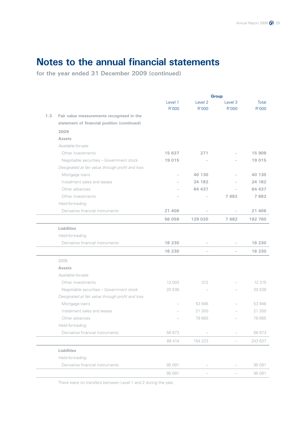**for the year ended 31 December 2009 (continued)**

|     |                                                  |         |                    | <b>Group</b>       |         |
|-----|--------------------------------------------------|---------|--------------------|--------------------|---------|
|     |                                                  | Level 1 | Level <sub>2</sub> | Level <sub>3</sub> | Total   |
|     |                                                  | R'000   | R'000              | R'000              | R'000   |
| 1.3 | Fair value measurements recognised in the        |         |                    |                    |         |
|     | statement of financial position (continued)      |         |                    |                    |         |
|     | 2009                                             |         |                    |                    |         |
|     | <b>Assets</b>                                    |         |                    |                    |         |
|     | Available-for-sale                               |         |                    |                    |         |
|     | Other investments                                | 15 637  | 271                |                    | 15 908  |
|     | Negotiable securities - Government stock         | 19 0 15 |                    |                    | 19 015  |
|     | Designated at fair value through profit and loss |         |                    |                    |         |
|     | Mortgage loans                                   |         | 40 130             |                    | 40 130  |
|     | Instalment sales and leases                      |         | 24 182             |                    | 24 182  |
|     | Other advances                                   |         | 64 437             |                    | 64 437  |
|     | Other investments                                |         |                    | 7682               | 7682    |
|     | Held-for-trading                                 |         |                    |                    |         |
|     | Derivative financial instruments                 | 21 406  |                    |                    | 21 406  |
|     |                                                  | 56 058  | 129 020            | 7682               | 192 760 |
|     | Liabilities                                      |         |                    |                    |         |
|     | Held-for-trading                                 |         |                    |                    |         |
|     | Derivative financial instruments                 | 16 230  |                    |                    | 16 230  |
|     |                                                  | 16 230  |                    |                    | 16 230  |
|     | 2008                                             |         |                    |                    |         |
|     | <b>Assets</b>                                    |         |                    |                    |         |
|     | Available-for-sale                               |         |                    |                    |         |
|     | Other investments                                | 12 003  | 312                |                    | 12 315  |
|     | Negotiable securities - Government stock         | 20 538  |                    |                    | 20 538  |
|     | Designated at fair value through profit and loss |         |                    |                    |         |
|     | Mortgage loans                                   |         | 53 946             |                    | 53 946  |
|     | Instalment sales and leases                      |         | 21 300             |                    | 21 300  |
|     | Other advances                                   |         | 78 665             |                    | 78 665  |
|     | Held-for-trading                                 |         |                    |                    |         |
|     | Derivative financial instruments                 | 56 873  |                    |                    | 56 873  |
|     |                                                  | 89 414  | 154 223            |                    | 243 637 |
|     | Liabilities                                      |         |                    |                    |         |
|     | Held-for-trading                                 |         |                    |                    |         |
|     | Derivative financial instruments                 | 95 091  |                    |                    | 95 091  |
|     |                                                  | 95 091  |                    |                    | 95 091  |
|     |                                                  |         |                    |                    |         |

There were no transfers between Level 1 and 2 during the year.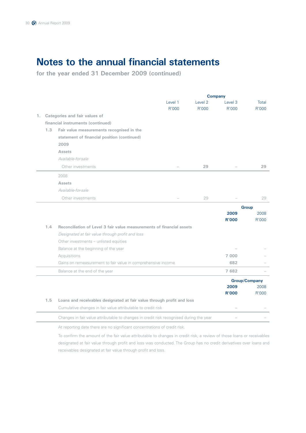**for the year ended 31 December 2009 (continued)**

|    |     |                                                                                         |  | <b>Company</b> |                    |                      |  |
|----|-----|-----------------------------------------------------------------------------------------|--|----------------|--------------------|----------------------|--|
|    |     | Level 1                                                                                 |  | Level 2        | Level <sub>3</sub> | Total                |  |
|    |     | R'000                                                                                   |  | R'000          | R'000              | R'000                |  |
| 1. |     | Categories and fair values of<br>financial instruments (continued)                      |  |                |                    |                      |  |
|    | 1.3 | Fair value measurements recognised in the                                               |  |                |                    |                      |  |
|    |     | statement of financial position (continued)                                             |  |                |                    |                      |  |
|    |     | 2009                                                                                    |  |                |                    |                      |  |
|    |     | <b>Assets</b>                                                                           |  |                |                    |                      |  |
|    |     | Available-for-sale                                                                      |  |                |                    |                      |  |
|    |     | Other investments                                                                       |  | 29             |                    | 29                   |  |
|    |     | 2008                                                                                    |  |                |                    |                      |  |
|    |     | <b>Assets</b>                                                                           |  |                |                    |                      |  |
|    |     | Available-for-sale                                                                      |  |                |                    |                      |  |
|    |     | Other investments                                                                       |  | 29             |                    | 29                   |  |
|    |     |                                                                                         |  |                |                    | <b>Group</b>         |  |
|    |     |                                                                                         |  |                | 2009               | 2008                 |  |
|    |     |                                                                                         |  |                | <b>R'000</b>       | R'000                |  |
|    | 1.4 | Reconciliation of Level 3 fair value measurements of financial assets                   |  |                |                    |                      |  |
|    |     | Designated at fair value through profit and loss                                        |  |                |                    |                      |  |
|    |     | Other investments - unlisted equities                                                   |  |                |                    |                      |  |
|    |     | Balance at the beginning of the year                                                    |  |                |                    |                      |  |
|    |     | Acquisitions                                                                            |  |                | 7 0 0 0            |                      |  |
|    |     | Gains on remeasurement to fair value in comprehensive income                            |  |                | 682                |                      |  |
|    |     | Balance at the end of the year                                                          |  |                | 7682               |                      |  |
|    |     |                                                                                         |  |                |                    | <b>Group/Company</b> |  |
|    |     |                                                                                         |  |                | 2009               | 2008                 |  |
|    |     |                                                                                         |  |                | <b>R'000</b>       | R'000                |  |
|    | 1.5 | Loans and receivables designated at fair value through profit and loss                  |  |                |                    |                      |  |
|    |     | Cumulative changes in fair value attributable to credit risk                            |  |                |                    |                      |  |
|    |     | Changes in fair value attributable to changes in credit risk recognised during the year |  |                |                    |                      |  |
|    |     |                                                                                         |  |                |                    |                      |  |

At reporting date there are no significant concentrations of credit risk.

 To confirm the amount of the fair value attributable to changes in credit risk, a review of those loans or receivables designated at fair value through profit and loss was conducted. The Group has no credit derivatives over loans and receivables designated at fair value through profit and loss.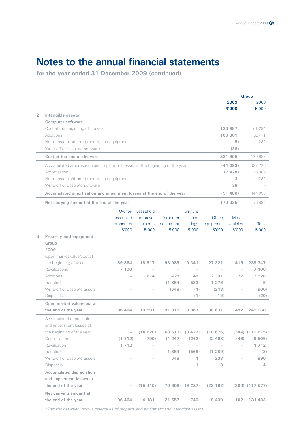**for the year ended 31 December 2009 (continued)**

|    |                                                                             |                          |                          |                          |                          |                          |                          | <b>Group</b>       |
|----|-----------------------------------------------------------------------------|--------------------------|--------------------------|--------------------------|--------------------------|--------------------------|--------------------------|--------------------|
|    |                                                                             |                          |                          |                          |                          |                          | 2009                     | 2008               |
|    |                                                                             |                          |                          |                          |                          |                          | <b>R'000</b>             | R'000              |
| 2. | Intangible assets                                                           |                          |                          |                          |                          |                          |                          |                    |
|    | <b>Computer software</b>                                                    |                          |                          |                          |                          |                          |                          |                    |
|    | Cost at the beginning of the year                                           |                          |                          |                          |                          |                          | 120 987                  | 61 294             |
|    | <b>Additions</b>                                                            |                          |                          |                          |                          |                          | 100 861                  | 59 411             |
|    | Net transfer (to)/from property and equipment                               |                          |                          |                          |                          |                          | (5)                      | 282                |
|    | Write-off of obsolete software                                              |                          |                          |                          |                          |                          | (38)                     |                    |
|    | Cost at the end of the year                                                 |                          |                          |                          |                          |                          | 221 805                  | 120 987            |
|    | Accumulated amortisation and impairment losses at the beginning of the year |                          |                          |                          |                          |                          | (44093)                  | (37725)            |
|    | Amortisation                                                                |                          |                          |                          |                          |                          | (7428)                   | (6086)             |
|    | Net transfer to/(from) property and equipment                               |                          |                          |                          |                          |                          | 3                        | (282)              |
|    | Write-off of obsolete software                                              |                          |                          |                          |                          |                          | 38                       |                    |
|    | Accumulated amortisation and impairment losses at the end of the year       |                          |                          |                          |                          |                          | (51480)                  | (44093)            |
|    | Net carrying amount at the end of the year                                  |                          |                          |                          |                          |                          | 170 325                  | 76 894             |
|    |                                                                             | <b>Owner-</b>            | Leasehold                |                          | Furniture                |                          |                          |                    |
|    |                                                                             | occupied                 | improve-                 | Computer                 | and                      | Office                   | Motor                    |                    |
|    |                                                                             | properties               | ments                    | equipment                | fittings                 | equipment                | vehicles                 | Total              |
|    |                                                                             | R'000                    | R'000                    | R'000                    | R'000                    | R'000                    | R'000                    | R'000              |
| 3. | Property and equipment                                                      |                          |                          |                          |                          |                          |                          |                    |
|    | Group                                                                       |                          |                          |                          |                          |                          |                          |                    |
|    | 2009                                                                        |                          |                          |                          |                          |                          |                          |                    |
|    | Open market value/cost at                                                   |                          |                          |                          |                          |                          |                          |                    |
|    | the beginning of year                                                       | 89 364                   | 18 917                   | 93 989                   | 9 3 4 1                  | 27 321                   | 415                      | 239 347            |
|    | Revaluations                                                                | 7 100                    | $\overline{\phantom{m}}$ |                          | $\overline{\phantom{0}}$ |                          | $\overline{\phantom{0}}$ | 7 100              |
|    | <b>Additions</b>                                                            |                          | 674                      | 428                      | 48                       | 2 3 0 1                  | 77                       | 3 5 2 8            |
|    | Transfer*                                                                   |                          |                          | (1854)                   | 583                      | 1 276                    |                          | 5                  |
|    | Write-off of obsolete assets                                                |                          |                          | (648)                    | (4)                      | (248)                    |                          | (900)              |
|    | Disposals                                                                   |                          |                          | $\overline{\phantom{0}}$ | (1)                      | (19)                     | $\overline{\phantom{a}}$ | (20)               |
|    | Open market value/cost at                                                   |                          |                          |                          |                          |                          |                          |                    |
|    | the end of the year                                                         | 96 464                   | 19 591                   | 91 915                   | 9967                     | 30 631                   | 492                      | 249 060            |
|    | Accumulated depreciation                                                    |                          |                          |                          |                          |                          |                          |                    |
|    | and impairment losses at                                                    |                          |                          |                          |                          |                          |                          |                    |
|    | the beginning of the year                                                   | $\overline{\phantom{0}}$ | (14620)                  | $(68613)$ $(8422)$       |                          | (18676)                  |                          | $(344)$ $(110675)$ |
|    | Depreciation                                                                | (1712)                   | (790)                    | (4247)                   | (242)                    | (2468)                   | (46)                     | (9505)             |
|    | Revaluation                                                                 | 1712                     |                          | $\qquad \qquad -$        | $\overline{\phantom{a}}$ | $\overline{\phantom{0}}$ |                          | 1 7 1 2            |
|    | Transfer*                                                                   | $\overline{\phantom{0}}$ |                          | 1854                     | (568)                    | (1 289)                  |                          | (3)                |
|    | Write-off of obsolete assets                                                |                          |                          | 648                      | 4                        | 238                      |                          | 890                |
|    | Disposals                                                                   |                          |                          | $\overline{\phantom{0}}$ | 1                        | 3                        |                          | 4                  |
|    | <b>Accumulated depreciation</b>                                             |                          |                          |                          |                          |                          |                          |                    |
|    | and impairment losses at                                                    |                          |                          |                          |                          |                          |                          |                    |
|    | the end of the year                                                         | $\overline{\phantom{0}}$ | (15, 410)                |                          | $(70358)$ $(9227)$       | (22 192)                 |                          | (390) (117 577)    |
|    | Net carrying amount at                                                      |                          |                          |                          |                          |                          |                          |                    |
|    | the end of the year                                                         | 96 464                   | 4 181                    | 21 557                   | 740                      | 8 439                    | 102                      | 131 483            |
|    |                                                                             |                          |                          |                          |                          |                          |                          |                    |

*\*Transfer between various categories of property and equipment and intangible assets.*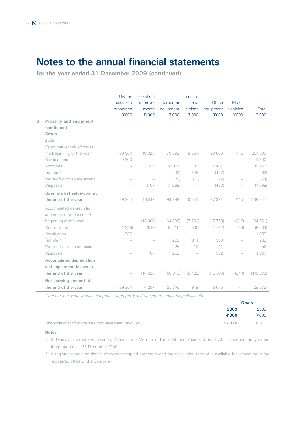**for the year ended 31 December 2009 (continued)**

|    |                                 | Owner-                   | Leasehold                |                    | Furniture                |                          |                          |          |
|----|---------------------------------|--------------------------|--------------------------|--------------------|--------------------------|--------------------------|--------------------------|----------|
|    |                                 | occupied                 | improve-                 | Computer           | and                      | Office                   | Motor                    | Total    |
|    |                                 | properties<br>R'000      | ments<br>R'000           | equipment<br>R'000 | fittings<br>R'000        | equipment<br>R'000       | vehicles<br>R'000        | R'000    |
| 3. | Property and equipment          |                          |                          |                    |                          |                          |                          |          |
|    | (continued)                     |                          |                          |                    |                          |                          |                          |          |
|    | Group                           |                          |                          |                    |                          |                          |                          |          |
|    | 2008                            |                          |                          |                    |                          |                          |                          |          |
|    | Open market value/cost at       |                          |                          |                    |                          |                          |                          |          |
|    | the beginning of the year       | 80 064                   | 18 325                   | 70 593             | 8 5 6 7                  | 23 666                   | 415                      | 201 630  |
|    | Revaluations                    | 9300                     | $\frac{1}{2}$            | $\overline{a}$     | $\overline{\phantom{0}}$ | $\overline{\phantom{0}}$ | $\overline{a}$           | 9300     |
|    | <b>Additions</b>                |                          | 699                      | 24 917             | 439                      | 4 4 9 7                  |                          | 30 552   |
|    | Transfer*                       |                          |                          | (203)              | 348                      | (427)                    |                          | (282)    |
|    | Write-off of obsolete assets    | $\overline{\phantom{0}}$ |                          | (29)               | (13)                     | (12)                     |                          | (54)     |
|    | <b>Disposals</b>                | $\equiv$                 | (107)                    | (1 289)            | $\overline{\phantom{0}}$ | (403)                    |                          | (1799)   |
|    | Open market value/cost at       |                          |                          |                    |                          |                          |                          |          |
|    | the end of the year             | 89 364                   | 18917                    | 93 989             | 9 3 4 1                  | 27 321                   | 415                      | 239 347  |
|    | Accumulated depreciation        |                          |                          |                    |                          |                          |                          |          |
|    | and impairment losses at        |                          |                          |                    |                          |                          |                          |          |
|    | beginning of the year           | $\overline{\phantom{0}}$ | (13908)                  | (64896)            | (7791)                   | (17750)                  | (316)                    | (104661) |
|    | Depreciation                    | (1389)                   | (819)                    | (5216)             | (330)                    | (1722)                   | (28)                     | (9504)   |
|    | Revaluation                     | 1 3 8 9                  |                          |                    |                          | $\overline{\phantom{a}}$ |                          | 1 3 8 9  |
|    | Transfer*                       |                          |                          | 203                | (314)                    | 393                      |                          | 282      |
|    | Write-off of obsolete assets    |                          | $\overline{\phantom{a}}$ | 28                 | 13                       | 11                       | $\overline{\phantom{a}}$ | 52       |
|    | <b>Disposals</b>                | $\overline{a}$           | 107                      | 1 2 6 8            | $\overline{\phantom{0}}$ | 392                      |                          | 1 767    |
|    | <b>Accumulated depreciation</b> |                          |                          |                    |                          |                          |                          |          |
|    | and impairment losses at        |                          |                          |                    |                          |                          |                          |          |
|    | the end of the year             |                          | (14620)                  | (68613)            | (8422)                   | (18676)                  | (344)                    | (110675) |
|    | Net carrying amount at          |                          |                          |                    |                          |                          |                          |          |
|    | the end of the year             | 89 364                   | 4 2 9 7                  | 25 376             | 919                      | 8 6 4 5                  | 71                       | 128 672  |

*\*Transfer between various categories of property and equipment and intangible assets.*

|                                                       |              | <b>Group</b> |  |
|-------------------------------------------------------|--------------|--------------|--|
|                                                       | 2009         | 2008         |  |
|                                                       | <b>R'000</b> | R'000        |  |
| Historical cost of properties that have been revalued | 36 910       | 36910        |  |
|                                                       |              |              |  |

#### **Notes:**

- 1 G J Van Zyl, a valuator with Van Zyl Valuers and a Member of The Institute of Valuers of South Africa, independently valued the properties at 31 December 2009.
- 2 A register containing details of owner-occupied properties and the revaluation thereof is available for inspection at the registered office of the Company.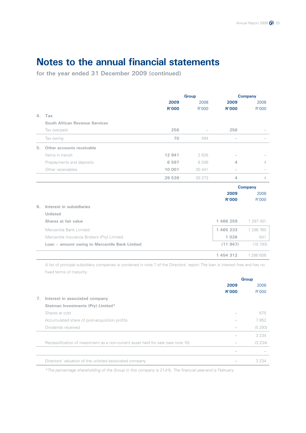**for the year ended 31 December 2009 (continued)**

|    |                                                | <b>Group</b> |        | <b>Company</b>           |                |
|----|------------------------------------------------|--------------|--------|--------------------------|----------------|
|    |                                                | 2009         | 2008   | 2009                     | 2008           |
|    |                                                | <b>R'000</b> | R'000  | <b>R'000</b>             | R'000          |
| 4. | Tax                                            |              |        |                          |                |
|    | South African Revenue Services                 |              |        |                          |                |
|    | Tax overpaid                                   | 256          |        | 256                      |                |
|    | Tax owing                                      | 70           | 494    | $\overline{\phantom{0}}$ |                |
| 5. | Other accounts receivable                      |              |        |                          |                |
|    | Items in transit                               | 12 941       | 2626   |                          |                |
|    | Prepayments and deposits                       | 6 5 9 7      | 6 206  | 4                        | 4              |
|    | Other receivables                              | 10 001       | 30 441 | $\overline{\phantom{0}}$ |                |
|    |                                                | 29 539       | 39 273 | $\overline{4}$           | 4              |
|    |                                                |              |        |                          | <b>Company</b> |
|    |                                                |              |        | 2009                     | 2008           |
|    |                                                |              |        | <b>R'000</b>             | R'000          |
| 6. | Interest in subsidiaries                       |              |        |                          |                |
|    | <b>Unlisted</b>                                |              |        |                          |                |
|    | Shares at fair value                           |              |        | 1466259                  | 1 297 401      |
|    | Mercantile Bank Limited                        |              |        | 1 465 233                | 1 296 760      |
|    | Mercantile Insurance Brokers (Pty) Limited     |              |        | 1 0 2 6                  | 641            |
|    | Loan - amount owing to Mercantile Bank Limited |              |        | (11947)                  | (10793)        |
|    |                                                |              |        | 1 454 312                | 1 286 608      |

 A list of principal subsidiary companies is contained in note 7 of the Directors' report. The loan is interest free and has no fixed terms of maturity.

|    |                                                                                   | <b>Group</b>         |               |
|----|-----------------------------------------------------------------------------------|----------------------|---------------|
|    |                                                                                   | 2009<br><b>R'000</b> | 2008<br>R'000 |
| 7. | Interest in associated company                                                    |                      |               |
|    | Statman Investments (Pty) Limited*                                                |                      |               |
|    | Shares at cost                                                                    |                      | 675           |
|    | Accumulated share of post-acquisition profits                                     |                      | 7852          |
|    | Dividends received                                                                |                      | (5293)        |
|    |                                                                                   |                      | 3 2 3 4       |
|    | Reclassification of investment as a non-current asset held for sale (see note 10) |                      | (3 234)       |
|    |                                                                                   |                      |               |
|    | Directors' valuation of the unlisted associated company                           |                      | 3 2 3 4       |

*\*The percentage shareholding of the Group in this company is 21.4%. The financial year-end is February.*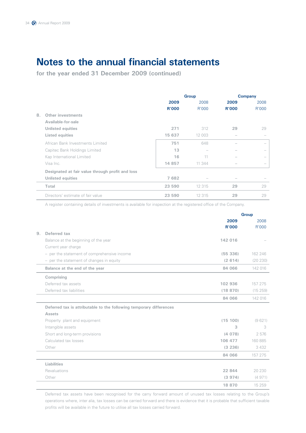**for the year ended 31 December 2009 (continued)**

|    |                                                  | <b>Group</b>         |               | <b>Company</b>                  |                          |
|----|--------------------------------------------------|----------------------|---------------|---------------------------------|--------------------------|
|    |                                                  | 2009<br><b>R'000</b> | 2008<br>R'000 | 2009<br><b>R'000</b>            | 2008<br>R'000            |
| 8. | Other investments                                |                      |               |                                 |                          |
|    | Available-for-sale                               |                      |               |                                 |                          |
|    | Unlisted equities                                | 271                  | 312           | 29                              | 29                       |
|    | Listed equities                                  | 15 637               | 12 003        | $\hspace{0.1mm}-\hspace{0.1mm}$ |                          |
|    | African Bank Investments Limited                 | 751                  | 648           |                                 | $\overline{\phantom{0}}$ |
|    | Capitec Bank Holdings Limited                    | 13                   |               |                                 |                          |
|    | Kap International Limited                        | 16                   | 11            |                                 | $\overline{\phantom{0}}$ |
|    | Visa Inc.                                        | 14 8 5 7             | 11 344        |                                 | $\hspace{0.05cm}$        |
|    | Designated at fair value through profit and loss |                      |               |                                 |                          |
|    | Unlisted equities                                | 7682                 |               |                                 |                          |
|    | Total                                            | 23 590               | 12 3 15       | 29                              | 29                       |
|    | Directors' estimate of fair value                | 23 590               | 12 315        | 29                              | 29                       |

A register containing details of investments is available for inspection at the registered office of the Company.

|    |                                                                     |              | <b>Group</b> |  |
|----|---------------------------------------------------------------------|--------------|--------------|--|
|    |                                                                     | 2009         | 2008         |  |
|    |                                                                     | <b>R'000</b> | R'000        |  |
| 9. | Deferred tax                                                        |              |              |  |
|    | Balance at the beginning of the year                                | 142 016      |              |  |
|    | Current year charge                                                 |              |              |  |
|    | - per the statement of comprehensive income                         | (55336)      | 162 246      |  |
|    | - per the statement of changes in equity                            | (2614)       | (20 230)     |  |
|    | Balance at the end of the year                                      | 84 066       | 142 016      |  |
|    | Comprising                                                          |              |              |  |
|    | Deferred tax assets                                                 | 102 936      | 157 275      |  |
|    | Deferred tax liabilities                                            | (18870)      | (15259)      |  |
|    |                                                                     | 84 066       | 142 016      |  |
|    | Deferred tax is attributable to the following temporary differences |              |              |  |
|    | <b>Assets</b>                                                       |              |              |  |
|    | Property plant and equipment                                        | (15 100)     | (9621)       |  |
|    | Intangible assets                                                   | 3            | 3            |  |
|    | Short and long-term provisions                                      | (4078)       | 2576         |  |
|    | Calculated tax losses                                               | 106 477      | 160 885      |  |
|    | Other                                                               | (3 236)      | 3 4 3 2      |  |
|    |                                                                     | 84 066       | 157 275      |  |
|    | Liabilities                                                         |              |              |  |
|    | Revaluations                                                        | 22 844       | 20 230       |  |
|    | Other                                                               | (3974)       | (4971)       |  |
|    |                                                                     | 18 870       | 15 25 9      |  |

 Deferred tax assets have been recognised for the carry forward amount of unused tax losses relating to the Group's operations where, inter alia, tax losses can be carried forward and there is evidence that it is probable that sufficient taxable profits will be available in the future to utilise all tax losses carried forward.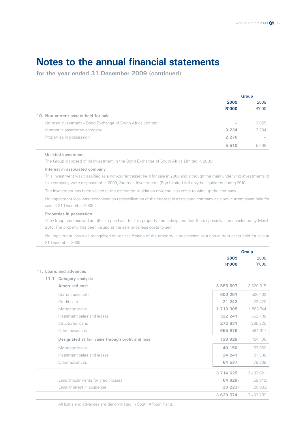**for the year ended 31 December 2009 (continued)**

|                                                             | <b>Group</b>         |               |
|-------------------------------------------------------------|----------------------|---------------|
|                                                             | 2009<br><b>R'000</b> | 2008<br>R'000 |
| 10. Non-current assets held for sale                        |                      |               |
| Unlisted investment – Bond Exchange of South Africa Limited |                      | 2055          |
| Interest in associated company                              | 3 2 3 4              | 3 2 3 4       |
| Properties in possession                                    | 2 2 7 6              | $\sim$        |
|                                                             | 5 5 1 0              | 5 289         |

#### **Unlisted investment**

The Group disposed of its investment in the Bond Exchange of South Africa Limited in 2009.

#### **Interest in associated company**

 This investment was classified as a non-current asset held for sale in 2008 and although the main underlying investments of this company were disposed of in 2009, Statman Investments (Pty) Limited will only be liquidated during 2010.

The investment has been valued at the estimated liquidation dividend less costs to wind up the company.

 No impairment loss was recognised on reclassification of the interest in associated company as a non-current asset held for sale at 31 December 2009.

#### **Properties in possession**

 The Group has received an offer to purchase for this property and anticipates that the disposal will be concluded by March 2010. The property has been valued at the sale price less costs to sell.

 No impairment loss was recognised on reclassification of the property in possession as a non-current asset held for sale at 31 December 2009.

|      |                                                  |              | <b>Group</b>    |  |
|------|--------------------------------------------------|--------------|-----------------|--|
|      |                                                  | 2009         | 2008            |  |
|      |                                                  | <b>R'000</b> | R'000           |  |
|      | 11. Loans and advances                           |              |                 |  |
| 11.1 | Category analysis                                |              |                 |  |
|      | <b>Amortised cost</b>                            | 3 585 697    | 3 3 2 5 1 5 1 5 |  |
|      | Current accounts                                 | 600 201      | 506 103         |  |
|      | Credit card                                      | 21 243       | 22 4 20         |  |
|      | Mortgage loans                                   | 1 713 305    | 1 568 744       |  |
|      | Instalment sales and leases                      | 322 241      | 352 406         |  |
|      | Structured loans                                 | 272 831      | 285 225         |  |
|      | Other advances                                   | 655 876      | 594 617         |  |
|      | Designated at fair value through profit and loss | 128 928      | 154 106         |  |
|      | Mortgage loans                                   | 40 150       | 53 960          |  |
|      | Instalment sales and leases                      | 24 241       | 21 338          |  |
|      | Other advances                                   | 64 537       | 78 808          |  |
|      |                                                  | 3 714 625    | 3 483 621       |  |
|      | Less: Impairments for credit losses              | (64 828)     | (58849)         |  |
|      | Less: Interest in suspense                       | (20 223)     | (20983)         |  |
|      |                                                  | 3 629 574    | 3 403 789       |  |

All loans and advances are denominated in South African Rand.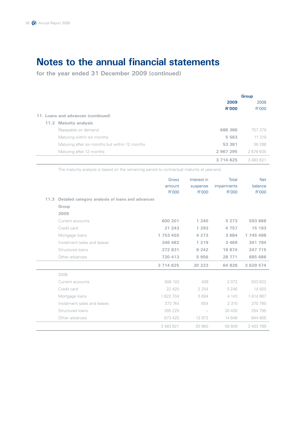**for the year ended 31 December 2009 (continued)**

|                                                | <b>Group</b>         |               |
|------------------------------------------------|----------------------|---------------|
|                                                | 2009<br><b>R'000</b> | 2008<br>R'000 |
| 11. Loans and advances (continued)             |                      |               |
| 11.2 Maturity analysis                         |                      |               |
| Repayable on demand                            | 688 386              | 757379        |
| Maturing within six months                     | 5 5 6 3              | 11 319        |
| Maturing after six months but within 12 months | 53 381               | 36 288        |
| Maturing after 12 months                       | 2967295              | 2678635       |
|                                                | 3 7 14 6 25          | 3483621       |

The maturity analysis is based on the remaining period to contractual maturity at year-end.

|      |                                                  | Gross<br>amount<br>R'000 | Interest in<br>suspense<br>R'000 | Total<br>impairments<br>R'000 | <b>Net</b><br>balance<br>R'000 |
|------|--------------------------------------------------|--------------------------|----------------------------------|-------------------------------|--------------------------------|
| 11.3 | Detailed category analysis of loans and advances |                          |                                  |                               |                                |
|      | Group                                            |                          |                                  |                               |                                |
|      | 2009                                             |                          |                                  |                               |                                |
|      | Current accounts                                 | 600 201                  | 1 240                            | 5 2 7 3                       | 593 688                        |
|      | Credit card                                      | 21 243                   | 1 2 9 3                          | 4757                          | 15 193                         |
|      | Mortgage loans                                   | 1753455                  | 4 2 7 3                          | 3 6 8 4                       | 1 745 498                      |
|      | Instalment sales and leases                      | 346 482                  | 1 2 1 9                          | 3 4 6 9                       | 341 794                        |
|      | Structured loans                                 | 272 831                  | 6 24 2                           | 18 874                        | 247 715                        |
|      | Other advances                                   | 720 413                  | 5956                             | 28 771                        | 685 686                        |
|      |                                                  | 3 7 14 6 25              | 20 223                           | 64 828                        | 3 629 574                      |
|      | 2008                                             |                          |                                  |                               |                                |
|      | Current accounts                                 | 506 103                  | 409                              | 2072                          | 503 622                        |
|      | Credit card                                      | 22 4 20                  | 2 2 5 4                          | 5 2 4 6                       | 14 920                         |
|      | Mortgage loans                                   | 1 622 704                | 3 6 9 4                          | 4 1 4 3                       | 1 614 867                      |
|      | Instalment sales and leases                      | 373 744                  | 654                              | 2 3 1 0                       | 370 780                        |
|      | Structured loans                                 | 285 225                  |                                  | 30 430                        | 254 795                        |
|      | Other advances                                   | 673 425                  | 13 972                           | 14 648                        | 644 805                        |
|      |                                                  | 3 483 621                | 20983                            | 58 849                        | 3 403 789                      |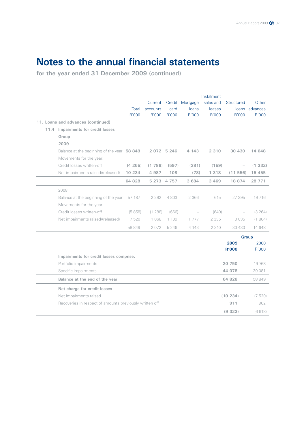|                                                         |        |          |                 |                 | Instalment |              |              |
|---------------------------------------------------------|--------|----------|-----------------|-----------------|------------|--------------|--------------|
|                                                         |        | Current  |                 | Credit Mortgage | sales and  | Structured   | Other        |
|                                                         | Total  | accounts | card            | loans           | leases     | loans        | advances     |
|                                                         | R'000  | R'000    | R'000           | R'000           | R'000      | R'000        | R'000        |
| 11. Loans and advances (continued)                      |        |          |                 |                 |            |              |              |
| 11.4 Impairments for credit losses                      |        |          |                 |                 |            |              |              |
| Group                                                   |        |          |                 |                 |            |              |              |
| 2009                                                    |        |          |                 |                 |            |              |              |
| Balance at the beginning of the year 58 849             |        |          | 2 0 7 2 5 2 4 6 | 4 143           | 2 3 1 0    | 30 430       | 14 648       |
| Movements for the year:                                 |        |          |                 |                 |            |              |              |
| Credit losses written-off                               | (4255) | (1786)   | (597)           | (381)           | (159)      |              | (1332)       |
| Net impairments raised/(released)                       | 10 234 | 4 9 8 7  | 108             | (78)            | 1 3 1 8    | (11556)      | 15 455       |
|                                                         | 64 828 |          | 5 273 4 757     | 3 6 8 4         | 3 4 6 9    | 18 874       | 28 771       |
| 2008                                                    |        |          |                 |                 |            |              |              |
| Balance at the beginning of the year                    | 57 187 | 2 2 9 2  | 4803            | 2 3 6 6         | 615        | 27 395       | 19 716       |
| Movements for the year:                                 |        |          |                 |                 |            |              |              |
| Credit losses written-off                               | (5858) | (1 288)  | (666)           |                 | (640)      |              | (3 264)      |
| Net impairments raised/(released)                       | 7520   | 1 0 6 8  | 1 109           | 1 7 7 7 7       | 2 3 3 5    | 3 0 3 5      | (1804)       |
|                                                         | 58 849 | 2072     | 5 2 4 6         | 4 1 4 3         | 2 3 1 0    | 30 430       | 14 648       |
|                                                         |        |          |                 |                 |            |              | <b>Group</b> |
|                                                         |        |          |                 |                 |            | 2009         | 2008         |
|                                                         |        |          |                 |                 |            | <b>R'000</b> | R'000        |
| Impairments for credit losses comprise:                 |        |          |                 |                 |            |              |              |
| Portfolio impairments                                   |        |          |                 |                 |            | 20 750       | 19 768       |
| Specific impairments                                    |        |          |                 |                 |            | 44 078       | 39 081       |
| Balance at the end of the year                          |        |          |                 |                 |            | 64 828       | 58 849       |
| Net charge for credit losses                            |        |          |                 |                 |            |              |              |
| Net impairments raised                                  |        |          |                 |                 |            | (10234)      | (7520)       |
| Recoveries in respect of amounts previously written off |        |          |                 |                 |            | 911          | 902          |
|                                                         |        |          |                 |                 |            | (9323)       | (6618)       |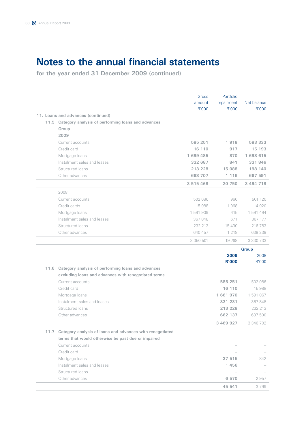|                                                                | Gross<br>amount<br>R'000 | Portfolio<br>impairment<br>R'000 | Net balance<br>R'000 |
|----------------------------------------------------------------|--------------------------|----------------------------------|----------------------|
| 11. Loans and advances (continued)                             |                          |                                  |                      |
| 11.5 Category analysis of performing loans and advances        |                          |                                  |                      |
| Group                                                          |                          |                                  |                      |
| 2009                                                           |                          |                                  |                      |
| Current accounts                                               | 585 251                  | 1918                             | 583 333              |
| Credit card                                                    | 16 110                   | 917                              | 15 193               |
| Mortgage loans                                                 | 1 699 485                | 870                              | 1 698 615            |
| Instalment sales and leases                                    | 332 687                  | 841                              | 331 846              |
| Structured loans                                               | 213 228                  | 15 088                           | 198 140              |
| Other advances                                                 | 668 707                  | 1 1 1 6                          | 667 591              |
|                                                                | 3 515 468                | 20 750                           | 3 494 718            |
| 2008                                                           |                          |                                  |                      |
| Current accounts                                               | 502 086                  | 966                              | 501 120              |
| Credit cards                                                   | 15 988                   | 1 0 6 8                          | 14 920               |
| Mortgage loans                                                 | 1 591 909                | 415                              | 1 591 494            |
| Instalment sales and leases                                    | 367 848                  | 671                              | 367 177              |
| Structured loans                                               | 232 213                  | 15 430                           | 216 783              |
| Other advances                                                 | 640 457                  | 1 2 1 8                          | 639 239              |
|                                                                | 3 350 501                | 19 768                           | 3 330 733            |
|                                                                |                          |                                  | <b>Group</b>         |
|                                                                |                          | 2009                             | 2008                 |
|                                                                |                          | <b>R'000</b>                     | R'000                |
| 11.6 Category analysis of performing loans and advances        |                          |                                  |                      |
| excluding loans and advances with renegotiated terms           |                          |                                  |                      |
| Current accounts                                               |                          | 585 251                          | 502 086              |
| Credit card                                                    |                          | 16 110                           | 15 988               |
| Mortgage loans                                                 |                          | 1661970                          | 1 591 067            |
| Instalment sales and leases                                    |                          | 331 231                          | 367 848              |
| Structured loans                                               |                          | 213 228                          | 232 213              |
| Other advances                                                 |                          | 662 137                          | 637 500              |
|                                                                |                          | 3 469 927                        | 3 346 702            |
| 11.7 Category analysis of loans and advances with renegotiated |                          |                                  |                      |
| terms that would otherwise be past due or impaired             |                          |                                  |                      |
| Current accounts                                               |                          |                                  |                      |
| Credit card                                                    |                          |                                  |                      |
| Mortgage loans                                                 |                          | 37 515                           | 842                  |
| Instalment sales and leases                                    |                          | 1456                             |                      |
| Structured loans                                               |                          |                                  |                      |
| Other advances                                                 |                          | 6 5 7 0                          | 2957                 |
|                                                                |                          | 45 541                           | 3799                 |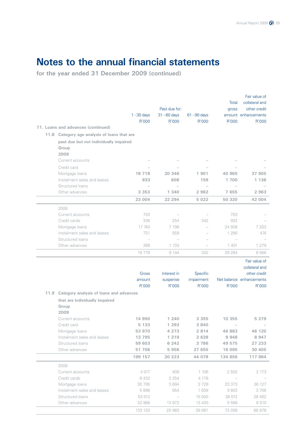|                                              |               |               |              |              | Fair value of            |
|----------------------------------------------|---------------|---------------|--------------|--------------|--------------------------|
|                                              |               |               |              | <b>Total</b> | collateral and           |
|                                              |               | Past due for: |              | <b>gross</b> | other credit             |
|                                              | $1 - 30$ days | 31 - 60 days  | 61 - 90 days |              | amount enhancements      |
|                                              | R'000         | R'000         | R'000        | R'000        | R'000                    |
| 11. Loans and advances (continued)           |               |               |              |              |                          |
| 11.8 Category age analysis of loans that are |               |               |              |              |                          |
| past due but not individually impaired       |               |               |              |              |                          |
| Group                                        |               |               |              |              |                          |
| 2009                                         |               |               |              |              |                          |
| Current accounts                             |               |               |              |              |                          |
| Credit card                                  |               |               |              |              |                          |
| Mortgage loans                               | 18 7 18       | 20 346        | 1901         | 40 965       | 37 905                   |
| Instalment sales and leases                  | 933           | 608           | 159          | 1700         | 1 1 3 6                  |
| Structured loans                             |               |               |              |              |                          |
| Other advances                               | 3 3 5 3       | 1 340         | 2962         | 7655         | 2963                     |
|                                              | 23 004        | 22 294        | 5 0 2 2      | 50 320       | 42 004                   |
| 2008                                         |               |               |              |              |                          |
| Current accounts                             | 703           |               |              | 703          |                          |
| Credit cards                                 | 336           | 254           | 342          | 932          |                          |
| Mortgage loans                               | 17 740        | 7 1 9 8       |              | 24 938       | 7 203                    |
| Instalment sales and leases                  | 731           | 559           |              | 1 2 9 0      | 474                      |
| Structured loans                             |               |               |              |              |                          |
| Other advances                               | 268           | 1 1 3 3       |              | 1 401        | 1 2 7 9                  |
|                                              | 19778         | 9 1 4 4       | 342          | 29 264       | 8956                     |
|                                              |               |               |              |              | Fair value of            |
|                                              |               |               |              |              | collateral and           |
|                                              | Gross         | Interest in   | Specific     |              | other credit             |
|                                              | amount        | suspense      | impairment   |              | Net balance enhancements |
|                                              | R'000         | R'000         | R'000        | R'000        | R'000                    |
| 11.9 Category analysis of loans and advances |               |               |              |              |                          |
| that are individually impaired               |               |               |              |              |                          |
| Group                                        |               |               |              |              |                          |
| 2009                                         |               |               |              |              |                          |
| Current accounts                             | 14 950        | 1 240         | 3 3 5 5      | 10 355       | 5 2 7 9                  |
| Credit card                                  | 5 1 3 3       | 1 2 9 3       | 3 8 4 0      |              |                          |
| Mortgage loans                               | 53 970        | 4 2 7 3       | 2 8 1 4      | 46 883       | 46 120                   |
| Instalment sales and leases                  | 13 795        | 1 2 1 9       | 2 6 2 8      | 9948         | 8 9 4 7                  |
| Structured loans                             | 59 603        | 6 2 4 2       | 3786         | 49 575       | 27 233                   |
| Other advances                               | 51 706        | 5956          | 27 655       | 18 095       | 30 405                   |
|                                              | 199 157       | 20 223        | 44 078       | 134 856      | 117 984                  |
|                                              |               |               |              |              |                          |
| 2008                                         |               |               |              |              |                          |
| Current accounts                             | 4 017         | 409           | 1 106        | 2 502        | 2 173                    |
| Credit cards                                 | 6 4 3 2       | 2 2 5 4       | 4 1 7 8      |              |                          |
| Mortgage loans                               | 30 795        | 3694          | 3728         | 23 373       | 26 127                   |
| Instalment sales and leases                  | 5896          | 654           | 1 639        | 3 603        | 3706                     |
| Structured loans                             | 53 012        |               | 15 000       | 38 012       | 28 462                   |
| Other advances                               | 32 968        | 13 972        | 13 4 30      | 5 5 6 6      | 6510                     |
|                                              | 133 120       | 20 983        | 39 081       | 73 056       | 66 978                   |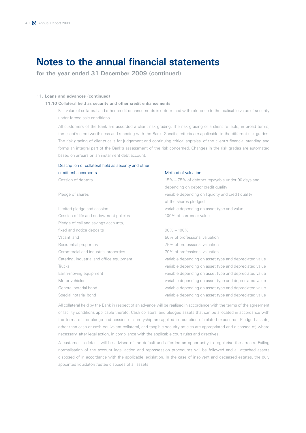**for the year ended 31 December 2009 (continued)**

#### **11. Loans and advances (continued)**

#### **11.10 Collateral held as security and other credit enhancements**

Description of collateral held as security and other

 Fair value of collateral and other credit enhancements is determined with reference to the realisable value of security under forced-sale conditions.

 All customers of the Bank are accorded a client risk grading. The risk grading of a client reflects, in broad terms, the client's creditworthiness and standing with the Bank. Specific criteria are applicable to the different risk grades. The risk grading of clients calls for judgement and continuing critical appraisal of the client's financial standing and forms an integral part of the Bank's assessment of the risk concerned. Changes in the risk grades are automated based on arrears on an instalment debt account.

| credit enhancements                       | Method of valuation                                                                                                   |
|-------------------------------------------|-----------------------------------------------------------------------------------------------------------------------|
| Cession of debtors                        | 15% – 75% of debtors repayable under 90 days and                                                                      |
|                                           | depending on debtor credit quality                                                                                    |
| Pledge of shares                          | variable depending on liquidity and credit quality                                                                    |
|                                           | of the shares pledged                                                                                                 |
| Limited pledge and cession                | variable depending on asset type and value                                                                            |
| Cession of life and endowment policies    | 100% of surrender value                                                                                               |
| Pledge of call and savings accounts,      |                                                                                                                       |
| fixed and notice deposits                 | $90\% - 100\%$                                                                                                        |
| Vacant land                               | 50% of professional valuation                                                                                         |
| Residential properties                    | 75% of professional valuation                                                                                         |
| Commercial and industrial properties      | 70% of professional valuation                                                                                         |
| Catering, industrial and office equipment | variable depending on asset type and depreciated value                                                                |
| Trucks                                    | variable depending on asset type and depreciated value                                                                |
| Earth-moving equipment                    | variable depending on asset type and depreciated value                                                                |
| Motor vehicles                            | variable depending on asset type and depreciated value                                                                |
| General notarial bond                     | variable depending on asset type and depreciated value                                                                |
| Special notarial bond                     | variable depending on asset type and depreciated value                                                                |
|                                           | All collateral held by the Bank in respect of an advance will be realised in accordance with the terms of the agreeme |

 All collateral held by the Bank in respect of an advance will be realised in accordance with the terms of the agreement or facility conditions applicable thereto. Cash collateral and pledged assets that can be allocated in accordance with the terms of the pledge and cession or suretyship are applied in reduction of related exposures. Pledged assets, other than cash or cash equivalent collateral, and tangible security articles are appropriated and disposed of, where necessary, after legal action, in compliance with the applicable court rules and directives.

 A customer in default will be advised of the default and afforded an opportunity to regularise the arrears. Failing normalisation of the account legal action and repossession procedures will be followed and all attached assets disposed of in accordance with the applicable legislation. In the case of insolvent and deceased estates, the duly appointed liquidator/trustee disposes of all assets.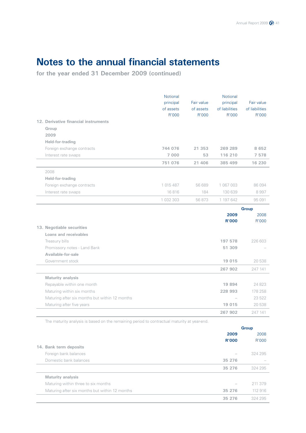|                                                                                             | Notional<br>principal<br>of assets | Fair value<br>of assets | <b>Notional</b><br>principal<br>of liabilities | Fair value<br>of liabilities |
|---------------------------------------------------------------------------------------------|------------------------------------|-------------------------|------------------------------------------------|------------------------------|
| 12. Derivative financial instruments                                                        | R'000                              | R'000                   | R'000                                          | R'000                        |
| Group                                                                                       |                                    |                         |                                                |                              |
| 2009                                                                                        |                                    |                         |                                                |                              |
| Held-for-trading                                                                            |                                    |                         |                                                |                              |
| Foreign exchange contracts                                                                  | 744 076                            | 21 353                  | 269 289                                        | 8 6 5 2                      |
| Interest rate swaps                                                                         | 7 0 0 0                            | 53                      | 116 210                                        | 7 578                        |
|                                                                                             | 751 076                            | 21 406                  | 385 499                                        | 16 230                       |
| 2008                                                                                        |                                    |                         |                                                |                              |
| Held-for-trading                                                                            |                                    |                         |                                                |                              |
| Foreign exchange contracts                                                                  | 1 015 487                          | 56 689                  | 1 067 003                                      | 86 094                       |
| Interest rate swaps                                                                         | 16816                              | 184                     | 130 639                                        | 8997                         |
|                                                                                             | 1 032 303                          | 56 873                  | 1 197 642                                      | 95 091                       |
|                                                                                             |                                    |                         |                                                | <b>Group</b>                 |
|                                                                                             |                                    |                         | 2009<br><b>R'000</b>                           | 2008<br>R'000                |
| 13. Negotiable securities                                                                   |                                    |                         |                                                |                              |
| Loans and receivables                                                                       |                                    |                         |                                                |                              |
| Treasury bills                                                                              |                                    |                         | 197 578                                        | 226 603                      |
| Promissory notes - Land Bank                                                                |                                    |                         | 51 309                                         |                              |
| Available-for-sale                                                                          |                                    |                         |                                                |                              |
| Government stock                                                                            |                                    |                         | 19 015                                         | 20 538                       |
|                                                                                             |                                    |                         | 267 902                                        | 247 141                      |
| Maturity analysis                                                                           |                                    |                         |                                                |                              |
| Repayable within one month                                                                  |                                    |                         | 19 894                                         | 24 823                       |
| Maturing within six months                                                                  |                                    |                         | 228 993                                        | 178 258                      |
| Maturing after six months but within 12 months                                              |                                    |                         |                                                | 23 522                       |
| Maturing after five years                                                                   |                                    |                         | 19 0 15                                        | 20 538                       |
|                                                                                             |                                    |                         | 267 902                                        | 247 141                      |
| The maturity analysis is based on the remaining period to contractual maturity at year-end. |                                    |                         |                                                | <b>Group</b>                 |

|                                                | Group        |         |
|------------------------------------------------|--------------|---------|
|                                                | 2009         | 2008    |
|                                                | <b>R'000</b> | R'000   |
| 14. Bank term deposits                         |              |         |
| Foreign bank balances                          |              | 324 295 |
| Domestic bank balances                         | 35 276       |         |
|                                                | 35 276       | 324 295 |
| <b>Maturity analysis</b>                       |              |         |
| Maturing within three to six months            |              | 211 379 |
| Maturing after six months but within 12 months | 35 276       | 112 916 |
|                                                | 35 276       | 324 295 |
|                                                |              |         |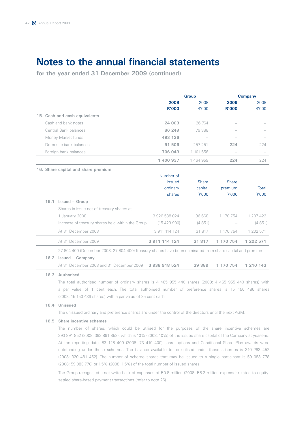**for the year ended 31 December 2009 (continued)**

|                               |                      | <b>Company</b> |                      |               |
|-------------------------------|----------------------|----------------|----------------------|---------------|
|                               | 2009<br><b>R'000</b> | 2008<br>R'000  | 2009<br><b>R'000</b> | 2008<br>R'000 |
| 15. Cash and cash equivalents |                      |                |                      |               |
| Cash and bank notes           | 24 003               | 26 764         | $\sim$               |               |
| Central Bank balances         | 86 249               | 79 388         | $\sim$               |               |
| Money Market funds            | 493 136              |                |                      |               |
| Domestic bank balances        | 91 506               | 257 251        | 224                  | 224           |
| Foreign bank balances         | 706 043              | 1 101 556      |                      |               |
|                               | 1 400 937            | 1464959        | 224                  | 224           |

#### **16. Share capital and share premium**

|      |                                                                                                             | Number of<br>issued<br>ordinary<br>shares | Share<br>capital<br>R'000 | Share<br>premium<br>R'000 | Total<br>R'000 |
|------|-------------------------------------------------------------------------------------------------------------|-------------------------------------------|---------------------------|---------------------------|----------------|
| 16.1 | <b>Issued - Group</b>                                                                                       |                                           |                           |                           |                |
|      | Shares in issue net of treasury shares at                                                                   |                                           |                           |                           |                |
|      | 1 January 2008                                                                                              | 3 926 538 024                             | 36 668                    | 1 170 754                 | 1 207 422      |
|      | Increase of treasury shares held within the Group                                                           | (15423900)                                | (4851)                    |                           | (4851)         |
|      | At 31 December 2008                                                                                         | 3 911 114 124                             | 31 817                    | 1 170 754                 | 1 202 571      |
|      | At 31 December 2009                                                                                         | 3 911 114 124                             | 31 817                    | 1 170 754                 | 1 202 571      |
|      | 27 804 400 (December 2008: 27 804 400) Treasury shares have been eliminated from share capital and premium. |                                           |                           |                           |                |

#### **16.2 Issued – Company**

| At 31 December 2008 and 31 December 2009 3938 918 524 |  | 39 389 1 170 754 1 210 143 |
|-------------------------------------------------------|--|----------------------------|
|-------------------------------------------------------|--|----------------------------|

#### **16.3 Authorised**

 The total authorised number of ordinary shares is 4 465 955 440 shares (2008: 4 465 955 440 shares) with a par value of 1 cent each. The total authorised number of preference shares is 15 150 486 shares (2008: 15 150 486 shares) with a par value of 25 cent each.

#### **16.4 Unissued**

The unissued ordinary and preference shares are under the control of the directors until the next AGM.

#### **16.5 Share incentive schemes**

 The number of shares, which could be utilised for the purposes of the share incentive schemes are 393 891 852 (2008: 393 891 852), which is 10% (2008: 10%) of the issued share capital of the Company at year-end. At the reporting date, 83 128 400 (2008: 73 410 400) share options and Conditional Share Plan awards were outstanding under these schemes. The balance available to be utilised under these schemes is 310 763 452 (2008: 320 481 452). The number of scheme shares that may be issued to a single participant is 59 083 778 (2008: 59 083 778) or 1.5% (2008: 1.5%) of the total number of issued shares.

 The Group recognised a net write back of expenses of R0.8 million (2008: R8.3 million expense) related to equitysettled share-based payment transactions (refer to note 26).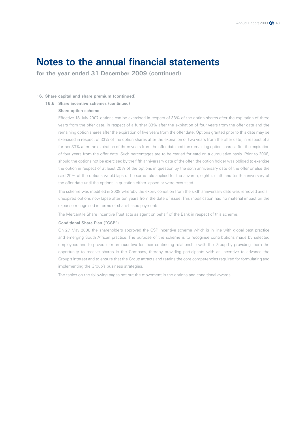**for the year ended 31 December 2009 (continued)**

#### **16. Share capital and share premium (continued)**

#### **16.5 Share incentive schemes (continued)**

#### **Share option scheme**

 Effective 18 July 2007, options can be exercised in respect of 33% of the option shares after the expiration of three years from the offer date, in respect of a further 33% after the expiration of four years from the offer date and the remaining option shares after the expiration of five years from the offer date. Options granted prior to this date may be exercised in respect of 33% of the option shares after the expiration of two years from the offer date, in respect of a further 33% after the expiration of three years from the offer date and the remaining option shares after the expiration of four years from the offer date. Such percentages are to be carried forward on a cumulative basis. Prior to 2008, should the options not be exercised by the fifth anniversary date of the offer, the option holder was obliged to exercise the option in respect of at least 20% of the options in question by the sixth anniversary date of the offer or else the said 20% of the options would lapse. The same rule applied for the seventh, eighth, ninth and tenth anniversary of the offer date until the options in question either lapsed or were exercised.

 The scheme was modified in 2008 whereby the expiry condition from the sixth anniversary date was removed and all unexpired options now lapse after ten years from the date of issue. This modification had no material impact on the expense recognised in terms of share-based payments.

The Mercantile Share Incentive Trust acts as agent on behalf of the Bank in respect of this scheme.

#### **Conditional Share Plan ("CSP")**

 On 27 May 2008 the shareholders approved the CSP incentive scheme which is in line with global best practice and emerging South African practice. The purpose of the scheme is to recognise contributions made by selected employees and to provide for an incentive for their continuing relationship with the Group by providing them the opportunity to receive shares in the Company, thereby providing participants with an incentive to advance the Group's interest and to ensure that the Group attracts and retains the core competencies required for formulating and implementing the Group's business strategies.

The tables on the following pages set out the movement in the options and conditional awards.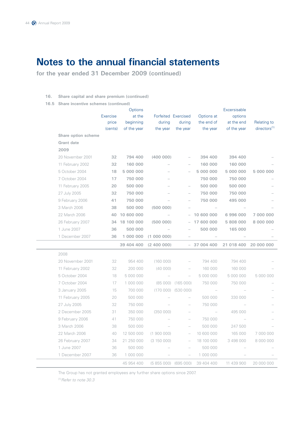**for the year ended 31 December 2009 (continued)**

#### **16. Share capital and share premium (continued)**

**16.5 Share incentive schemes (continued)**

|                     |                 | Options     |                        |                          |            | Excersisable |                          |
|---------------------|-----------------|-------------|------------------------|--------------------------|------------|--------------|--------------------------|
|                     | <b>Exercise</b> | at the      |                        | Forfeited Exercised      | Options at | options      |                          |
|                     | price           | beginning   | during                 | during                   | the end of | at the end   | Relating to              |
|                     | (cents)         | of the year | the year               | the year                 | the year   | of the year  | directors <sup>(1)</sup> |
| Share option scheme |                 |             |                        |                          |            |              |                          |
| <b>Grant</b> date   |                 |             |                        |                          |            |              |                          |
| 2009                |                 |             |                        |                          |            |              |                          |
| 20 November 2001    | 32              | 794 400     | (400 000)              |                          | 394 400    | 394 400      |                          |
| 11 February 2002    | 32              | 160 000     |                        |                          | 160 000    | 160 000      |                          |
| 5 October 2004      | 18              | 5 000 000   |                        | $\overline{\phantom{0}}$ | 5 000 000  | 5 000 000    | 5 000 000                |
| 7 October 2004      | 17              | 750 000     |                        |                          | 750 000    | 750 000      |                          |
| 11 February 2005    | 20              | 500 000     |                        | $\overline{\phantom{0}}$ | 500 000    | 500 000      |                          |
| 27 July 2005        | 32              | 750 000     |                        |                          | 750 000    | 750 000      |                          |
| 9 February 2006     | 41              | 750 000     |                        |                          | 750 000    | 495 000      |                          |
| 3 March 2006        | 38              | 500 000     | (500000)               |                          |            |              |                          |
| 22 March 2006       | 40              | 10 600 000  |                        |                          | 10 600 000 | 6996000      | 7 000 000                |
| 26 February 2007    | 34              | 18 100 000  | (500000)               |                          | 17 600 000 | 5 808 000    | 8 000 000                |
| 1 June 2007         | 36              | 500 000     |                        |                          | 500 000    | 165 000      |                          |
| 1 December 2007     | 36              | 1 000 000   | (1 000 000)            |                          |            |              |                          |
|                     |                 | 39 404 400  | (2400000)              |                          | 37 004 400 | 21 018 400   | 20 000 000               |
| 2008                |                 |             |                        |                          |            |              |                          |
| 20 November 2001    | 32              | 954 400     | (160000)               | $\overline{\phantom{0}}$ | 794 400    | 794 400      |                          |
| 11 February 2002    | 32              | 200 000     | (40000)                | $\overline{\phantom{0}}$ | 160 000    | 160 000      |                          |
| 5 October 2004      | 18              | 5 000 000   |                        |                          | 5 000 000  | 5 000 000    | 5 000 000                |
| 7 October 2004      | 17              | 1 000 000   |                        | (85 000) (165 000)       | 750 000    | 750 000      |                          |
| 3 January 2005      | 15              | 700 000     |                        | $(170000)$ $(530000)$    |            |              |                          |
| 11 February 2005    | 20              | 500 000     |                        |                          | 500 000    | 330 000      |                          |
| 27 July 2005        | 32              | 750 000     |                        |                          | 750 000    |              |                          |
| 2 December 2005     | 31              | 350 000     | (350000)               |                          |            | 495 000      |                          |
| 9 February 2006     | 41              | 750 000     |                        | $\overline{\phantom{0}}$ | 750 000    |              |                          |
| 3 March 2006        | 38              | 500 000     |                        | $\overline{\phantom{0}}$ | 500 000    | 247 500      |                          |
| 22 March 2006       | 40              | 12 500 000  | (1900000)              | $\overline{\phantom{0}}$ | 10 600 000 | 165 000      | 7 000 000                |
| 26 February 2007    | 34              | 21 250 000  | (3 150 000)            |                          | 18 100 000 | 3 498 000    | 8 000 000                |
| 1 June 2007         | 36              | 500 000     |                        | $\overline{\phantom{0}}$ | 500 000    |              |                          |
| 1 December 2007     | 36              | 1 000 000   |                        | $\overline{\phantom{0}}$ | 1 000 000  |              |                          |
|                     |                 | 45 954 400  | $(5855000)$ $(695000)$ |                          | 39 404 400 | 11 439 900   | 20 000 000               |

The Group has not granted employees any further share options since 2007.

(1)*Refer to note 30.3*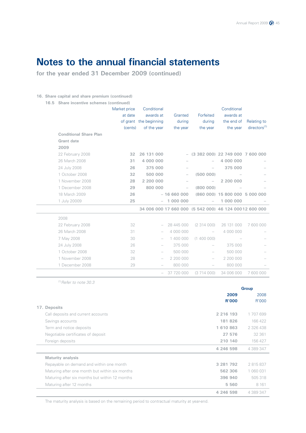**for the year ended 31 December 2009 (continued)**

#### **16. Share capital and share premium (continued)**

**16.5 Share incentive schemes (continued)**

|                               | Market price | Conditional              |                   |                                                         | Conditional                    |                          |
|-------------------------------|--------------|--------------------------|-------------------|---------------------------------------------------------|--------------------------------|--------------------------|
|                               | at date      | awards at                | Granted           | Forfeited                                               | awards at                      |                          |
|                               |              | of grant the beginning   | during            | during                                                  | the end of                     | Relating to              |
|                               | (cents)      | of the year              | the year          | the year                                                | the year                       | directors <sup>(1)</sup> |
| <b>Conditional Share Plan</b> |              |                          |                   |                                                         |                                |                          |
| <b>Grant</b> date             |              |                          |                   |                                                         |                                |                          |
| 2009                          |              |                          |                   |                                                         |                                |                          |
| 22 February 2008              | 32           | 26 131 000               |                   | $-$ (3 382 000) 22 749 000 7 600 000                    |                                |                          |
| 26 March 2008                 | 31           | 4 000 000                |                   |                                                         | 4 000 000                      |                          |
| 24 July 2008                  | 26           | 375 000                  |                   |                                                         | 375 000                        |                          |
| 1 October 2008                | 32           | 500 000                  |                   | (500000)                                                |                                |                          |
| 1 November 2008               | 28           | 2 200 000                |                   | $\qquad \qquad -$                                       | 2 200 000                      |                          |
| 1 December 2008               | 29           | 800 000                  | $\qquad \qquad -$ | (800000)                                                |                                |                          |
| 18 March 2009                 | 26           |                          | $-16660000$       |                                                         | (860 000) 15 800 000 5 000 000 |                          |
| 1 July 20009                  | 25           |                          | $-1000000$        | $\qquad \qquad -$                                       | 1 000 000                      |                          |
|                               |              |                          |                   | 34 006 000 17 660 000 (5 542 000) 46 124 000 12 600 000 |                                |                          |
| 2008                          |              |                          |                   |                                                         |                                |                          |
| 22 February 2008              | 32           |                          | 28 445 000        | (2314000)                                               | 26 131 000                     | 7600000                  |
| 26 March 2008                 | 31           |                          | 4 000 000         |                                                         | 4 000 000                      |                          |
| 7 May 2008                    | 30           | $\overline{\phantom{0}}$ | 1 400 000         | (1400000)                                               |                                |                          |
| 24 July 2008                  | 26           | $\overline{\phantom{0}}$ | 375 000           |                                                         | 375 000                        |                          |
| 1 October 2008                | 32           | $\overline{\phantom{0}}$ | 500 000           | $\overline{\phantom{0}}$                                | 500 000                        |                          |
| 1 November 2008               | 28           |                          | 2 200 000         | $\overline{\phantom{m}}$                                | 2 200 000                      |                          |
| 1 December 2008               | 29           |                          | 800 000           | $\overline{\phantom{0}}$                                | 800 000                        |                          |
|                               |              | $\overline{\phantom{0}}$ | 37 720 000        | (3714000)                                               | 34 006 000                     | 7600000                  |

(1)*Refer to note 30.3*

|                                                | <b>Group</b>  |           |
|------------------------------------------------|---------------|-----------|
|                                                | 2009          | 2008      |
|                                                | <b>R'000</b>  | R'000     |
| 17. Deposits                                   |               |           |
| Call deposits and current accounts             | 2 2 1 6 1 9 3 | 1707699   |
| Savings accounts                               | 181826        | 166 422   |
| Term and notice deposits                       | 1 610 863     | 2 326 438 |
| Negotiable certificates of deposit             | 27 576        | 32 361    |
| Foreign deposits                               | 210 140       | 156 427   |
|                                                | 4 246 598     | 4 389 347 |
| <b>Maturity analysis</b>                       |               |           |
| Repayable on demand and within one month       | 3 281 792     | 2 815 837 |
| Maturing after one month but within six months | 562 306       | 1 060 031 |
| Maturing after six months but within 12 months | 396 940       | 505 318   |
| Maturing after 12 months                       | 5 5 6 0       | 8 1 6 1   |
|                                                | 4 246 598     | 4 389 347 |

The maturity analysis is based on the remaining period to contractual maturity at year-end.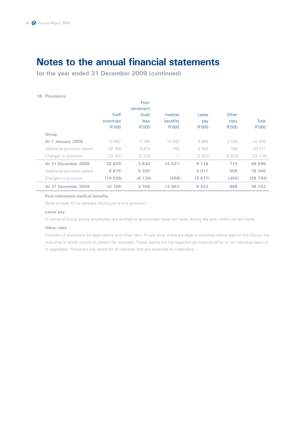**for the year ended 31 December 2009 (continued)**

#### **18. Provisions**

|                             |              | Post-      |                 |         |         |         |
|-----------------------------|--------------|------------|-----------------|---------|---------|---------|
|                             |              | retirement |                 |         |         |         |
|                             | <b>Staff</b> | Audit      | medical         | Leave   | Other   |         |
|                             | incentives   | fees       | <b>benefits</b> | pay     | risks   | Total   |
|                             | R'000        | R'000      | R'000           | R'000   | R'000   | R'000   |
| Group                       |              |            |                 |         |         |         |
| At 1 January 2008           | 13 002       | 3 1 9 0    | 14 343          | 8664    | 3 2 3 6 | 42 435  |
| Additional provision raised | 20788        | 5810       | 188             | 3 3 8 3 | 308     | 30 477  |
| Charged to provision        | (13181)      | (5370)     |                 | (2931)  | (2834)  | (24316) |
| At 31 December 2008         | 20 609       | 3 6 3 0    | 14 531          | 9 1 1 6 | 710     | 48 596  |
| Additional provision raised | 8615         | 6 200      |                 | 3 0 1 7 | 508     | 18 340  |
| Charged to provision        | (19035)      | (6 130)    | (668)           | (2611)  | (350)   | (28794) |
| At 31 December 2009         | 10 189       | 3 700      | 13863           | 9 5 2 2 | 868     | 38 142  |

#### **Post-retirement medical benefits**

Refer to note 19 for detailed disclosure of this provision.

#### **Leave pay**

In terms of Group policy, employees are entitled to accumulate leave not taken during the year, within certain limits.

#### **Other risks**

 Consists of provisions for legal claims and other risks. At any time, there are legal or potential claims against the Group, the outcome of which cannot at present be foreseen. These claims are not regarded as material either on an individual basis or in aggregate. Provisions are raised for all liabilities that are expected to materialise.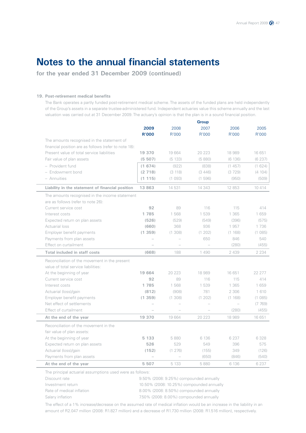**for the year ended 31 December 2009 (continued)**

#### **19. Post-retirement medical benefits**

 The Bank operates a partly funded post-retirement medical scheme. The assets of the funded plans are held independently of the Group's assets in a separate trustee-administered fund. Independent actuaries value this scheme annually and the last valuation was carried out at 31 December 2009. The actuary's opinion is that the plan is in a sound financial position.

|                                                           |                          |         | <b>Group</b>                              |                          |         |
|-----------------------------------------------------------|--------------------------|---------|-------------------------------------------|--------------------------|---------|
|                                                           | 2009                     | 2008    | 2007                                      | 2006                     | 2005    |
|                                                           | <b>R'000</b>             | R'000   | R'000                                     | R'000                    | R'000   |
| The amounts recognised in the statement of                |                          |         |                                           |                          |         |
| financial position are as follows (refer to note 18):     |                          |         |                                           |                          |         |
| Present value of total service liabilities                | 19 370                   | 19 664  | 20 223                                    | 18 989                   | 16 651  |
| Fair value of plan assets                                 | (5 507)                  | (5 133) | (5880)                                    | (6136)                   | (6237)  |
| - Provident fund                                          | (1674)                   | (922)   | (838)                                     | (1457)                   | (1624)  |
| - Endowment bond                                          | (2718)                   | (3 118) | (3446)                                    | (3729)                   | (4 104) |
| - Annuities                                               | (1115)                   | (1093)  | (1596)                                    | (950)                    | (509)   |
| Liability in the statement of financial position          | 13 863                   | 14 531  | 14 343                                    | 12 853                   | 10 414  |
| The amounts recognised in the income statement            |                          |         |                                           |                          |         |
| are as follows (refer to note 26):                        |                          |         |                                           |                          |         |
| Current service cost                                      | 92                       | 89      | 116                                       | 115                      | 414     |
| Interest costs                                            | 1785                     | 1 568   | 1 539                                     | 1 3 6 5                  | 1 659   |
| Expected return on plan assets                            | (526)                    | (529)   | (549)                                     | (396)                    | (575)   |
| <b>Actuarial loss</b>                                     | (660)                    | 368     | 936                                       | 1957                     | 1736    |
| Employer benefit payments                                 | (1359)                   | (1308)  | (1 202)                                   | (1 168)                  | (1085)  |
| Payments from plan assets                                 | $\overline{\phantom{0}}$ |         | 650                                       | 846                      | 540     |
| Effect on curtailment                                     |                          |         |                                           | (280)                    | (455)   |
| Total included in staff costs                             | (668)                    | 188     | 1490                                      | 2 4 3 9                  | 2 2 3 4 |
| Reconciliation of the movement in the present             |                          |         |                                           |                          |         |
| value of total service liabilities:                       |                          |         |                                           |                          |         |
| At the beginning of year                                  | 19 664                   | 20 223  | 18 989                                    | 16 651                   | 22 277  |
| Current service cost                                      | 92                       | 89      | 116                                       | 115                      | 414     |
| Interest costs                                            | 1785                     | 1 568   | 1 539                                     | 1 3 6 5                  | 1 659   |
| Actuarial (loss)/gain                                     | (812)                    | (908)   | 781                                       | 2 3 0 6                  | 1 6 1 0 |
| Employer benefit payments                                 | (1359)                   | (1308)  | (1 202)                                   | (1 168)                  | (1085)  |
| Net effect of settlements                                 | $\overline{\phantom{a}}$ |         | $\overline{\phantom{a}}$                  | $\overline{\phantom{0}}$ | (7769)  |
| Effect of curtailment                                     |                          |         | $\overline{\phantom{0}}$                  | (280)                    | (455)   |
| At the end of the year                                    | 19 370                   | 19664   | 20 223                                    | 18 989                   | 16 651  |
| Reconciliation of the movement in the                     |                          |         |                                           |                          |         |
| fair value of plan assets:                                |                          |         |                                           |                          |         |
| At the beginning of year                                  | 5 1 3 3                  | 5880    | 6 1 3 6                                   | 6 2 3 7                  | 6 3 2 8 |
| Expected return on plan assets                            | 526                      | 529     | 549                                       | 396                      | 575     |
| Actuarial (loss)/gain                                     | (152)                    | (1 276) | (155)                                     | 349                      | (126)   |
| Payments from plan assets                                 | $\overline{\phantom{0}}$ |         | (650)                                     | (846)                    | (540)   |
| At the end of the year                                    | 5 507                    | 5 1 3 3 | 5880                                      | 6 1 3 6                  | 6 2 3 7 |
| The principal actuarial assumptions used were as follows: |                          |         |                                           |                          |         |
| Discount rate                                             |                          |         | 9.50% (2008: 9.25%) compounded annually   |                          |         |
| Investment return                                         |                          |         | 10.50% (2008: 10.25%) compounded annually |                          |         |

Rate of medical inflation 8.00% (2008: 8.50%) compounded annually Salary inflation 7.50% (2008: 8.00%) compounded annually

 The effect of a 1% increase/decrease on the assumed rate of medical inflation would be an increase in the liability in an amount of R2.047 million (2008: R1.827 million) and a decrease of R1.730 million (2008: R1.516 million), respectively.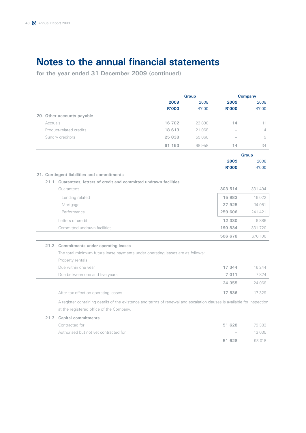|          |                                                                                                                        |              | <b>Group</b> | <b>Company</b> |              |
|----------|------------------------------------------------------------------------------------------------------------------------|--------------|--------------|----------------|--------------|
|          |                                                                                                                        | 2009         | 2008         | 2009           | 2008         |
|          |                                                                                                                        | <b>R'000</b> | R'000        | <b>R'000</b>   | R'000        |
|          | 20. Other accounts payable                                                                                             |              |              |                |              |
| Accruals |                                                                                                                        | 16 702       | 22 830       | 14             | 11           |
|          | Product-related credits                                                                                                | 18 613       | 21 068       |                | 14           |
|          | Sundry creditors                                                                                                       | 25 838       | 55 060       |                | 9            |
|          |                                                                                                                        | 61 153       | 98 958       | 14             | 34           |
|          |                                                                                                                        |              |              |                | <b>Group</b> |
|          |                                                                                                                        |              |              | 2009           | 2008         |
|          |                                                                                                                        |              |              | <b>R'000</b>   | R'000        |
|          | 21. Contingent liabilities and commitments                                                                             |              |              |                |              |
|          | 21.1 Guarantees, letters of credit and committed undrawn facilities                                                    |              |              |                |              |
|          | Guarantees                                                                                                             |              |              | 303 514        | 331 494      |
|          | Lending related                                                                                                        |              |              | 15 983         | 16 022       |
|          | Mortgage                                                                                                               |              |              | 27 925         | 74 051       |
|          | Performance                                                                                                            |              |              | 259 606        | 241 421      |
|          | Letters of credit                                                                                                      |              |              | 12 330         | 6886         |
|          | Committed undrawn facilities                                                                                           |              |              | 190 834        | 331 720      |
|          |                                                                                                                        |              |              | 506 678        | 670 100      |
|          | 21.2 Commitments under operating leases                                                                                |              |              |                |              |
|          | The total minimum future lease payments under operating leases are as follows:                                         |              |              |                |              |
|          | Property rentals:                                                                                                      |              |              |                |              |
|          | Due within one year                                                                                                    |              |              | 17 344         | 16 244       |
|          | Due between one and five years                                                                                         |              |              | 7011           | 7824         |
|          |                                                                                                                        |              |              | 24 355         | 24 068       |
|          | After tax effect on operating leases                                                                                   |              |              | 17 536         | 17 329       |
|          | A register containing details of the existence and terms of renewal and escalation clauses is available for inspection |              |              |                |              |
|          | at the registered office of the Company.                                                                               |              |              |                |              |
|          | 21.3 Capital commitments                                                                                               |              |              |                |              |
|          | Contracted for                                                                                                         |              |              | 51 628         | 79 383       |
|          | Authorised but not yet contracted for                                                                                  |              |              |                | 13 635       |
|          |                                                                                                                        |              |              | 51 628         | 93 018       |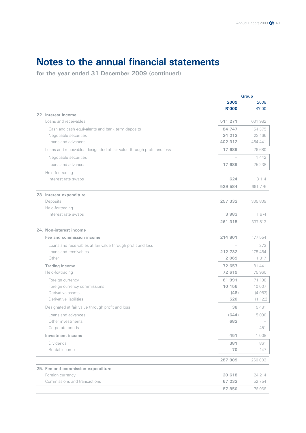|                                                                        |              | <b>Group</b> |  |
|------------------------------------------------------------------------|--------------|--------------|--|
|                                                                        | 2009         | 2008         |  |
|                                                                        | <b>R'000</b> | R'000        |  |
| 22. Interest income                                                    |              |              |  |
| Loans and receivables                                                  | 511 271      | 631 982      |  |
| Cash and cash equivalents and bank term deposits                       | 84 747       | 154 375      |  |
| Negotiable securities                                                  | 24 212       | 23 166       |  |
| Loans and advances                                                     | 402 312      | 454 441      |  |
| Loans and receivables designated at fair value through profit and loss | 17 689       | 26 680       |  |
| Negotiable securities                                                  |              | 1 4 4 2      |  |
| Loans and advances                                                     | 17 689       | 25 238       |  |
| Held-for-trading                                                       |              |              |  |
| Interest rate swaps                                                    | 624          | 3 1 1 4      |  |
|                                                                        | 529 584      | 661 776      |  |
| 23. Interest expenditure                                               |              |              |  |
| Deposits                                                               | 257 332      | 335 839      |  |
| Held-for-trading                                                       |              |              |  |
| Interest rate swaps                                                    | 3 9 8 3      | 1974         |  |
|                                                                        | 261 315      | 337 813      |  |
| 24. Non-interest income                                                |              |              |  |
| Fee and commission income                                              | 214 801      | 177 554      |  |
| Loans and receivables at fair value through profit and loss            |              | 273          |  |
| Loans and receivables                                                  | 212 732      | 175 464      |  |
| Other                                                                  | 2 0 6 9      | 1817         |  |
| <b>Trading income</b>                                                  | 72 657       | 81 441       |  |
| Held-for-trading                                                       | 72 619       | 75 960       |  |
| Foreign currency                                                       | 61 991       | 71 138       |  |
| Foreign currency commissions                                           | 10 156       | 10 007       |  |
| Derivative assets                                                      | (48)         | (4063)       |  |
| Derivative liabilities                                                 | 520          | (1 122)      |  |
| Designated at fair value through profit and loss                       | 38           | 5481         |  |
| Loans and advances                                                     | (644)        | 5 0 3 0      |  |
| Other investments                                                      | 682          |              |  |
| Corporate bonds                                                        |              | 451          |  |
| <b>Investment income</b>                                               | 451          | 1 0 0 8      |  |
| Dividends                                                              | 381          | 861          |  |
| Rental income                                                          | 70           | 147          |  |
|                                                                        |              |              |  |
|                                                                        | 287 909      | 260 003      |  |
| 25. Fee and commission expenditure                                     |              |              |  |
| Foreign currency                                                       | 20 618       | 24 214       |  |
| Commissions and transactions                                           | 67 232       | 52 754       |  |
|                                                                        | 87 850       | 76 968       |  |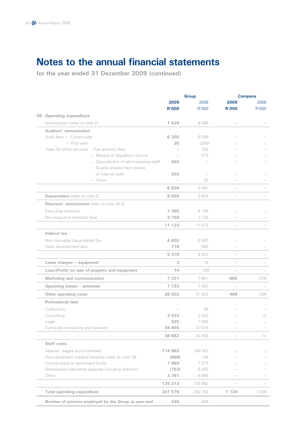|                                                     |                          | <b>Group</b> |                          | <b>Company</b> |
|-----------------------------------------------------|--------------------------|--------------|--------------------------|----------------|
|                                                     | 2009                     | 2008         | 2009                     | 2008           |
|                                                     | <b>R'000</b>             | R'000        | <b>R'000</b>             | R'000          |
| 26. Operating expenditure                           |                          |              |                          |                |
| Amortisation (refer to note 2)                      | 7428                     | 6086         |                          |                |
| Auditors' remuneration                              |                          |              |                          |                |
| Audit fees - Current year                           | 6 200                    | 6 0 3 0      |                          |                |
| - Prior year                                        | 20                       | (240)        |                          |                |
| Fees for other services - Tax advisory fees         |                          | 102          |                          |                |
| - Review of regulatory returns                      |                          | 575          |                          |                |
| - Secondment of administrative staff                | 403                      |              |                          |                |
| - Quality assessment review                         |                          |              |                          |                |
| of internal audit                                   | 203                      |              |                          |                |
| - Other                                             | $\overline{\phantom{a}}$ | 20           |                          |                |
|                                                     | 6826                     | 6487         |                          |                |
| <b>Depreciation</b> (refer to note 3)               | 9 505                    | 9 504        |                          |                |
| Directors' emoluments (refer to note 30.3)          |                          |              |                          |                |
| Executive directors                                 | 7 3 6 5                  | 8738         |                          |                |
| Non-executive directors fees                        | 3758                     | 3 1 3 4      |                          |                |
|                                                     | 11 123                   | 11 872       |                          |                |
| Indirect tax                                        |                          |              |                          |                |
| Non-claimable Value-Added Tax                       | 4 600                    | 8 0 6 7      |                          |                |
| Skills development levy                             | 718                      | 565          |                          |                |
|                                                     | 5 3 1 8                  | 8 6 3 2      | $\overline{\phantom{a}}$ |                |
| Lease charges - equipment                           | 3                        | 14           |                          |                |
| Loss/(Profit) on sale of property and equipment     | 14                       | (29)         |                          |                |
| Marketing and communication                         | 7 251                    | 7661         | 665                      | 578            |
| Operating leases - premises                         | 7733                     | 7082         |                          |                |
| Other operating costs                               | 28 502                   | 31 828       | 469                      | 436            |
| <b>Professional fees</b>                            |                          |              |                          |                |
| Collections                                         |                          | 88           |                          |                |
| Consulting                                          | 3932                     | 2 2 0 3      |                          | 14             |
| Legal                                               | 325                      | 1 0 4 9      |                          |                |
| Computer consulting and services                    | 34 405                   | 27 015       |                          |                |
|                                                     | 38 662                   | 30 355       |                          | 14             |
| Staff costs                                         |                          |              |                          |                |
| Salaries wages and incentives                       | 114 883                  | 109 163      |                          |                |
| Post-retirement medical benefits (refer to note 19) | (668)                    | 188          |                          |                |
| Contributions to retirement funds                   | 7989                     | 7073         |                          |                |
| Share-based payments expense including directors    | (752)                    | 8 2 5 3      |                          |                |
| Other                                               | 3761                     | 8985         |                          |                |
|                                                     | 125 213                  | 133 662      |                          |                |
| <b>Total operating expenditure</b>                  | 247 578                  | 253 154      | 1 1 3 4                  | 1 0 2 8        |
| Number of persons employed by the Group at year-end | 435                      | 445          |                          |                |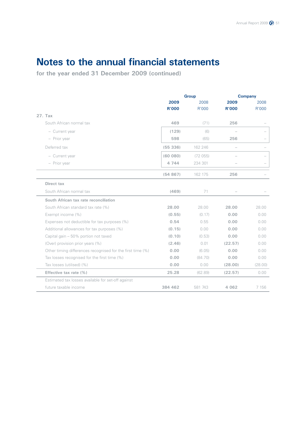|                                                            | <b>Group</b> |         |              | <b>Company</b> |  |
|------------------------------------------------------------|--------------|---------|--------------|----------------|--|
|                                                            | 2009         | 2008    | 2009         | 2008           |  |
|                                                            | <b>R'000</b> | R'000   | <b>R'000</b> | R'000          |  |
| 27. Tax                                                    |              |         |              |                |  |
| South African normal tax                                   | 469          | (71)    | 256          |                |  |
| - Current year                                             | (129)        | (6)     |              |                |  |
| - Prior year                                               | 598          | (65)    | 256          |                |  |
| Deferred tax                                               | (55336)      | 162 246 |              |                |  |
| - Current year                                             | (60080)      | (72055) |              |                |  |
| - Prior year                                               | 4 7 4 4      | 234 301 |              |                |  |
|                                                            | (54867)      | 162 175 | 256          |                |  |
| <b>Direct tax</b>                                          |              |         |              |                |  |
| South African normal tax                                   | (469)        | 71      |              |                |  |
| South African tax rate reconciliation                      |              |         |              |                |  |
| South African standard tax rate (%)                        | 28.00        | 28.00   | 28.00        | 28.00          |  |
| Exempt income (%)                                          | (0.55)       | (0.17)  | 0.00         | 0.00           |  |
| Expenses not deductible for tax purposes (%)               | 0.54         | 0.55    | 0.00         | 0.00           |  |
| Additional allowances for tax purposes (%)                 | (0.15)       | 0.00    | 0.00         | 0.00           |  |
| Capital gain - 50% portion not taxed                       | (0.10)       | (0.53)  | 0.00         | 0.00           |  |
| (Over) provision prior years (%)                           | (2.46)       | 0.01    | (22.57)      | 0.00           |  |
| Other timing differences recognised for the first time (%) | 0.00         | (6.05)  | 0.00         | 0.00           |  |
| Tax losses recognised for the first time (%)               | 0.00         | (84.70) | 0.00         | 0.00           |  |
| Tax losses (utilised) (%)                                  | 0.00         | 0.00    | (28.00)      | (28.00)        |  |
| Effective tax rate (%)                                     | 25.28        | (62.89) | (22.57)      | 0.00           |  |
| Estimated tax losses available for set-off against         |              |         |              |                |  |
| future taxable income                                      | 384 462      | 581 743 | 4 0 6 2      | 7 1 5 6        |  |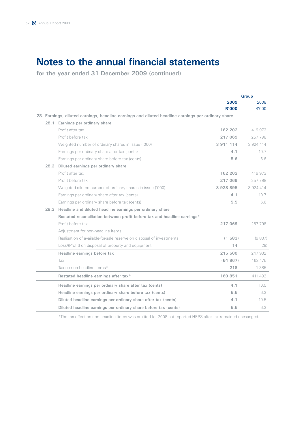**for the year ended 31 December 2009 (continued)**

|  |                                                                                                    |              | <b>Group</b>  |  |
|--|----------------------------------------------------------------------------------------------------|--------------|---------------|--|
|  |                                                                                                    | 2009         | 2008          |  |
|  |                                                                                                    | <b>R'000</b> | R'000         |  |
|  | 28. Earnings, diluted earnings, headline earnings and diluted headline earnings per ordinary share |              |               |  |
|  | 28.1 Earnings per ordinary share                                                                   |              |               |  |
|  | Profit after tax                                                                                   | 162 202      | 419 973       |  |
|  | Profit before tax                                                                                  | 217 069      | 257 798       |  |
|  | Weighted number of ordinary shares in issue ('000)                                                 | 3 911 114    | 3 9 2 4 4 1 4 |  |
|  | Earnings per ordinary share after tax (cents)                                                      | 4.1          | 10.7          |  |
|  | Earnings per ordinary share before tax (cents)                                                     | 5.6          | 6.6           |  |
|  | 28.2 Diluted earnings per ordinary share                                                           |              |               |  |
|  | Profit after tax                                                                                   | 162 202      | 419 973       |  |
|  | Profit before tax                                                                                  | 217 069      | 257 798       |  |
|  | Weighted diluted number of ordinary shares in issue ('000)                                         | 3 928 895    | 3 924 414     |  |
|  | Earnings per ordinary share after tax (cents)                                                      | 4.1          | 10.7          |  |
|  | Earnings per ordinary share before tax (cents)                                                     | 5.5          | 6.6           |  |
|  | 28.3 Headline and diluted headline earnings per ordinary share                                     |              |               |  |
|  | Restated reconciliation between profit before tax and headline earnings*                           |              |               |  |
|  | Profit before tax                                                                                  | 217 069      | 257 798       |  |
|  | Adjustment for non-headline items:                                                                 |              |               |  |
|  | Realisation of available-for-sale reserve on disposal of investments                               | (1583)       | (9837)        |  |
|  | Loss/(Profit) on disposal of property and equipment                                                | 14           | (29)          |  |
|  | Headline earnings before tax                                                                       | 215 500      | 247 932       |  |
|  | Tax                                                                                                | (54867)      | 162 175       |  |
|  | Tax on non-headline items*                                                                         | 218          | 1 3 8 5       |  |
|  | Restated headline earnings after tax*                                                              | 160 851      | 411 492       |  |
|  | Headline earnings per ordinary share after tax (cents)                                             | 4.1          | 10.5          |  |
|  | Headline earnings per ordinary share before tax (cents)                                            | 5.5          | 6.3           |  |
|  | Diluted headline earnings per ordinary share after tax (cents)                                     | 4.1          | 10.5          |  |
|  | Diluted headline earnings per ordinary share before tax (cents)                                    | 5.5          | 6.3           |  |

\*The tax effect on non-headline items was omitted for 2008 but reported HEPS after tax remained unchanged.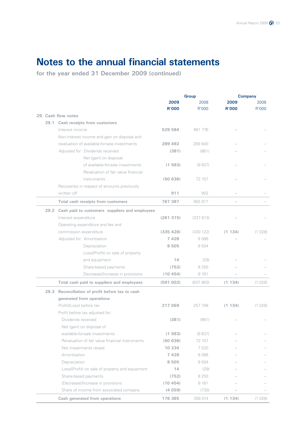|  |                                                     | <b>Group</b> |           | <b>Company</b> |         |
|--|-----------------------------------------------------|--------------|-----------|----------------|---------|
|  |                                                     | 2009         | 2008      | 2009           | 2008    |
|  |                                                     | <b>R'000</b> | R'000     | <b>R'000</b>   | R'000   |
|  | 29. Cash flow notes                                 |              |           |                |         |
|  | 29.1 Cash receipts from customers                   |              |           |                |         |
|  | Interest income                                     | 529 584      | 661 776   |                |         |
|  | Non-interest income and gain on disposal and        |              |           |                |         |
|  | revaluation of available-for-sale investments       | 289 492      | 269 840   |                |         |
|  | Adjusted for: Dividends received                    | (381)        | (861)     |                |         |
|  | Net (gain) on disposal                              |              |           |                |         |
|  | of available-for-sale investments                   | (1583)       | (9837)    |                |         |
|  | Revaluation of fair value financial                 |              |           |                |         |
|  | instruments                                         | (50636)      | 72 157    |                |         |
|  | Recoveries in respect of amounts previously         |              |           |                |         |
|  | written off                                         | 911          | 902       |                |         |
|  | Total cash receipts from customers                  | 767 387      | 993 977   |                |         |
|  | 29.2 Cash paid to customers suppliers and employees |              |           |                |         |
|  | Interest expenditure                                | (261315)     | (337813)  |                |         |
|  | Operating expenditure and fee and                   |              |           |                |         |
|  | commission expenditure                              | (335 428)    | (330 122) | (1134)         | (1 028) |
|  | Adjusted for: Amortisation                          | 7428         | 6086      |                |         |
|  | Depreciation                                        | 9 5 0 5      | 9 504     |                |         |
|  | Loss/(Profit) on sale of property                   |              |           |                |         |
|  | and equipment                                       | 14           | (29)      |                |         |
|  | Share-based payments                                | (752)        | 8 2 5 0   |                |         |
|  | Decrease)/Increase in provisions                    | (10454)      | 6 1 6 1   |                |         |
|  | Total cash paid to suppliers and employees          | (591002)     | (637963)  | (1 134)        | (1028)  |
|  | 29.3 Reconciliation of profit before tax to cash    |              |           |                |         |
|  | generated from operations                           |              |           |                |         |
|  | Profit/(Loss) before tax                            | 217 069      | 257 798   | (1 134)        | (1 028) |
|  | Profit before tax adjusted for:                     |              |           |                |         |
|  | Dividends received                                  | (381)        | (861)     |                |         |
|  | Net (gain) on disposal of                           |              |           |                |         |
|  | available-for-sale investments                      | (1583)       | (9837)    |                |         |
|  | Revaluation of fair value financial instruments     | (50636)      | 72 157    |                |         |
|  | Net impairments raised                              | 10 234       | 7520      |                |         |
|  | Amortisation                                        | 7428         | 6 0 8 6   |                |         |
|  | Depreciation                                        | 9 5 0 5      | 9504      |                |         |
|  | Loss/(Profit) on sale of property and equipment     | 14           | (29)      |                |         |
|  | Share-based payments                                | (752)        | 8 2 5 0   |                |         |
|  | (Decrease)/Increase in provisions                   | (10454)      | 6 1 6 1   |                |         |
|  | Share of income from associated company             | (4059)       | (735)     |                |         |
|  | Cash generated from operations                      | 176 385      | 356 014   | (1 134)        | (1 028) |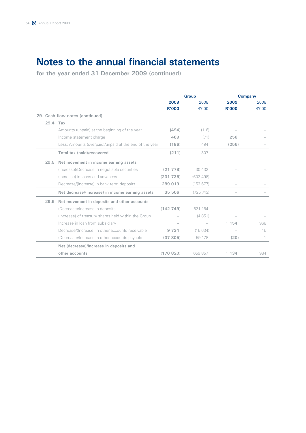|          |                                                        | <b>Group</b> |           |              | <b>Company</b> |
|----------|--------------------------------------------------------|--------------|-----------|--------------|----------------|
|          |                                                        | 2009         | 2008      | 2009         | 2008           |
|          |                                                        | <b>R'000</b> | R'000     | <b>R'000</b> | R'000          |
|          | 29. Cash flow notes (continued)                        |              |           |              |                |
| 29.4 Tax |                                                        |              |           |              |                |
|          | Amounts (unpaid) at the beginning of the year          | (494)        | (116)     |              |                |
|          | Income statement charge                                | 469          | (71)      | 256          |                |
|          | Less: Amounts (overpaid)/unpaid at the end of the year | (186)        | 494       | (256)        |                |
|          | Total tax (paid)/recovered                             | (211)        | 307       |              |                |
| 29.5     | Net movement in income earning assets                  |              |           |              |                |
|          | (Increase)/Decrease in negotiable securities           | (21778)      | 30 432    |              |                |
|          | (Increase) in loans and advances                       | (231 735)    | (602 498) |              |                |
|          | Decrease/(Increase) in bank term deposits              | 289 019      | (153677)  |              |                |
|          | Net decrease/(increase) in income earning assets       | 35 506       | (725 743) |              |                |
| 29.6     | Net movement in deposits and other accounts            |              |           |              |                |
|          | (Decrease)/Increase in deposits                        | (142749)     | 621 164   |              |                |
|          | (Increase) of treasury shares held within the Group    |              | (4851)    |              |                |
|          | Increase in loan from subsidiary                       |              |           | 1 154        | 968            |
|          | Decrease/(Increase) in other accounts receivable       | 9 7 3 4      | (15634)   |              | 15             |
|          | (Decrease)/Increase in other accounts payable          | (37805)      | 59 178    | (20)         |                |
|          | Net (decrease)/increase in deposits and                |              |           |              |                |
|          | other accounts                                         | (170820)     | 659 857   | 1 1 3 4      | 984            |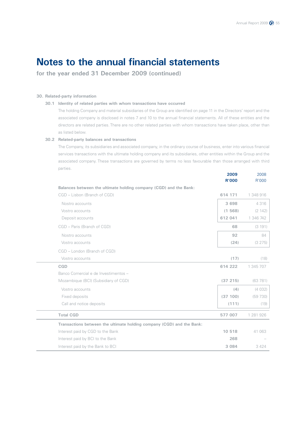**for the year ended 31 December 2009 (continued)**

#### **30. Related-party information**

#### **30.1 Identity of related parties with whom transactions have occurred**

 The holding Company and material subsidiaries of the Group are identified on page 11 in the Directors' report and the associated company is disclosed in notes 7 and 10 to the annual financial statements. All of these entities and the directors are related parties. There are no other related parties with whom transactions have taken place, other than as listed below.

#### **30.2 Related-party balances and transactions**

 The Company, its subsidiaries and associated company, in the ordinary course of business, enter into various financial services transactions with the ultimate holding company and its subsidiaries, other entities within the Group and the associated company. These transactions are governed by terms no less favourable than those arranged with third parties.

**2009** 2008

|                                                                       | <b>R'000</b> | R'000     |
|-----------------------------------------------------------------------|--------------|-----------|
| Balances between the ultimate holding company (CGD) and the Bank:     |              |           |
| CGD - Lisbon (Branch of CGD)                                          | 614 171      | 1 348 916 |
| Nostro accounts                                                       | 3 6 9 8      | 4 3 1 6   |
| Vostro accounts                                                       | (1568)       | (2142)    |
| Deposit accounts                                                      | 612 041      | 1 346 742 |
| CGD - Paris (Branch of CGD)                                           | 68           | (3 191)   |
| Nostro accounts                                                       | 92           | 84        |
| Vostro accounts                                                       | (24)         | (3 275)   |
| CGD - London (Branch of CGD)                                          |              |           |
| Vostro accounts                                                       | (17)         | (18)      |
| CGD                                                                   | 614 222      | 1 345 707 |
| Banco Comercial e de Investimentos -                                  |              |           |
| Mozambique (BCI) (Subsidiary of CGD)                                  | (37 215)     | (63781)   |
| Vostro accounts                                                       | (4)          | (4032)    |
| Fixed deposits                                                        | (37 100)     | (59730)   |
| Call and notice deposits                                              | (111)        | (19)      |
| <b>Total CGD</b>                                                      | 577 007      | 1 281 926 |
| Transactions between the ultimate holding company (CGD) and the Bank: |              |           |
| Interest paid by CGD to the Bank                                      | 10 518       | 41 063    |
| Interest paid by BCI to the Bank                                      | 268          |           |
| Interest paid by the Bank to BCI                                      | 3 0 8 4      | 3 4 2 4   |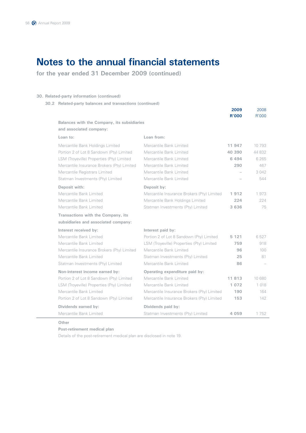**for the year ended 31 December 2009 (continued)**

#### **30. Related-party information (continued)**

**30.2 Related-party balances and transactions (continued)**

|                                             |                                            | 2009<br><b>R'000</b> | 2008<br>R'000 |
|---------------------------------------------|--------------------------------------------|----------------------|---------------|
| Balances with the Company, its subsidiaries |                                            |                      |               |
| and associated company:                     |                                            |                      |               |
| Loan to:                                    | Loan from:                                 |                      |               |
| Mercantile Bank Holdings Limited            | Mercantile Bank Limited                    | 11 947               | 10 793        |
| Portion 2 of Lot 8 Sandown (Pty) Limited    | Mercantile Bank Limited                    | 40 390               | 44 832        |
| LSM (Troyeville) Properties (Pty) Limited   | Mercantile Bank Limited                    | 6494                 | 6 2 6 5       |
| Mercantile Insurance Brokers (Pty) Limited  | Mercantile Bank Limited                    | 290                  | 467           |
| Mercantile Registrars Limited               | Mercantile Bank Limited                    |                      | 3 0 4 2       |
| Statman Investments (Pty) Limited           | Mercantile Bank Limited                    |                      | 544           |
| Deposit with:                               | Deposit by:                                |                      |               |
| Mercantile Bank Limited                     | Mercantile Insurance Brokers (Pty) Limited | 1912                 | 1973          |
| Mercantile Bank Limited                     | Mercantile Bank Holdings Limited           | 224                  | 224           |
| Mercantile Bank Limited                     | Statman Investments (Pty) Limited          | 3636                 | 75            |
| Transactions with the Company, its          |                                            |                      |               |
| subsidiaries and associated company:        |                                            |                      |               |
| Interest received by:                       | Interest paid by:                          |                      |               |
| Mercantile Bank Limited                     | Portion 2 of Lot 8 Sandown (Pty) Limited   | 5 1 2 1              | 6527          |
| Mercantile Bank Limited                     | LSM (Troyeville) Properties (Pty) Limited  | 759                  | 918           |
| Mercantile Insurance Brokers (Pty) Limited  | Mercantile Bank Limited                    | 96                   | 100           |
| Mercantile Bank Limited                     | Statman Investments (Pty) Limited          | 25                   | 81            |
| Statman Investments (Pty) Limited           | Mercantile Bank Limited                    | 86                   |               |
| Non-interest income earned by:              | Operating expenditure paid by:             |                      |               |
| Portion 2 of Lot 8 Sandown (Pty) Limited    | Mercantile Bank Limited                    | 11813                | 10 680        |
| LSM (Troyeville) Properties (Pty) Limited   | Mercantile Bank Limited                    | 1 0 7 2              | 1 0 1 8       |
| Mercantile Bank Limited                     | Mercantile Insurance Brokers (Pty) Limited | 190                  | 164           |
| Portion 2 of Lot 8 Sandown (Pty) Limited    | Mercantile Insurance Brokers (Pty) Limited | 153                  | 142           |
| Dividends earned by:                        | Dividends paid by:                         |                      |               |
| Mercantile Bank Limited                     | Statman Investments (Pty) Limited          | 4 0 5 9              | 1752          |

#### **Other**

### **Post-retirement medical plan**

Details of the post-retirement medical plan are disclosed in note 19.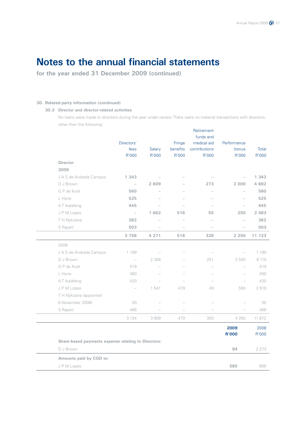**for the year ended 31 December 2009 (continued)**

#### **30. Related-party information (continued)**

#### **30.3 Director and director-related activities**

 No loans were made to directors during the year under review. There were no material transactions with directors, other than the following:

|                                                     |                          |                          |                          | Retirement<br>funds and |                          |         |
|-----------------------------------------------------|--------------------------|--------------------------|--------------------------|-------------------------|--------------------------|---------|
|                                                     | Directors'               |                          | Fringe                   | medical aid             | Performance              |         |
|                                                     | fees                     | Salary                   | benefits                 | contributions           | bonus                    | Total   |
|                                                     | R'000                    | R'000                    | R'000                    | R'000                   | R'000                    | R'000   |
| <b>Director</b>                                     |                          |                          |                          |                         |                          |         |
| 2009                                                |                          |                          |                          |                         |                          |         |
| J A S de Andrade Campos                             | 1 3 4 3                  |                          |                          |                         |                          | 1 343   |
| D J Brown                                           | $\overline{\phantom{a}}$ | 2 609                    |                          | 273                     | 2 0 0 0                  | 4 8 8 2 |
| G P de Kock                                         | 560                      |                          |                          |                         |                          | 560     |
| L Hyne                                              | 525                      |                          |                          |                         |                          | 525     |
| AT Ikalafeng                                        | 445                      |                          |                          |                         |                          | 445     |
| JPM Lopes                                           | $\overline{\phantom{a}}$ | 1 662                    | 516                      | 55                      | 250                      | 2 4 8 3 |
| T H Njikizana                                       | 382                      |                          |                          |                         |                          | 382     |
| S Rapeti                                            | 503                      | $\overline{\phantom{0}}$ | $\overline{\phantom{0}}$ | $\qquad \qquad -$       | $\overline{\phantom{a}}$ | 503     |
|                                                     | 3 7 5 8                  | 4 2 7 1                  | 516                      | 328                     | 2 2 5 0                  | 11 123  |
| 2008                                                |                          |                          |                          |                         |                          |         |
| J A S de Andrade Campos                             | 1 199                    |                          |                          |                         |                          | 1 199   |
| D J Brown                                           | $\overline{\phantom{0}}$ | 2 3 6 8                  |                          | 251                     | 3 500                    | 6 119   |
| G P de Kock                                         | 519                      |                          |                          |                         |                          | 519     |
| L Hyne                                              | 480                      |                          |                          |                         |                          | 480     |
| AT Ikalafeng                                        | 420                      |                          |                          |                         |                          | 420     |
| J P M Lopes                                         | $\overline{\phantom{0}}$ | 1 541                    | 479                      | 49                      | 550                      | 2619    |
| T H Njikizana (appointed                            |                          |                          |                          |                         |                          |         |
| 6 November 2008)                                    | 50                       |                          |                          |                         |                          | 50      |
| S Rapeti                                            | 466                      |                          |                          |                         |                          | 466     |
|                                                     | 3 1 3 4                  | 3 9 0 9                  | 479                      | 300                     | 4 0 5 0                  | 11 872  |
|                                                     |                          |                          |                          |                         | 2009                     | 2008    |
|                                                     |                          |                          |                          |                         | <b>R'000</b>             | R'000   |
| Share-based payments expense relating to Directors: |                          |                          |                          |                         |                          |         |
| D J Brown                                           |                          |                          |                          |                         | 94                       | 2 2 7 3 |
| Amounts paid by CGD to:                             |                          |                          |                          |                         |                          |         |
| JPM Lopes                                           |                          |                          |                          |                         | 585                      | 666     |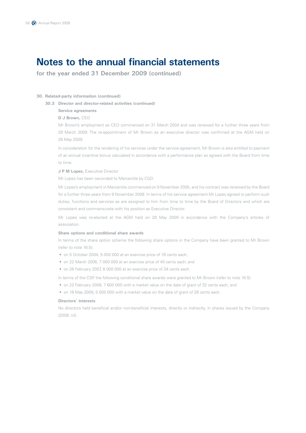**for the year ended 31 December 2009 (continued)**

#### **30. Related-party information (continued)**

**30.3 Director and director-related activities (continued)**

 **Service agreements**

#### **D J Brown,** CEO

 Mr Brown's employment as CEO commenced on 31 March 2004 and was renewed for a further three years from 29 March 2009. The re-appointment of Mr Brown as an executive director was confirmed at the AGM held on 28 May 2009.

 In consideration for the rendering of his services under the service agreement, Mr Brown is also entitled to payment of an annual incentive bonus calculated in accordance with a performance plan as agreed with the Board from time to time.

#### **J P M Lopes,** Executive Director

Mr Lopes has been seconded to Mercantile by CGD.

 Mr Lopes's employment in Mercantile commenced on 9 November 2005, and his contract was renewed by the Board for a further three years from 9 November 2008. In terms of his service agreement Mr Lopes agreed to perform such duties, functions and services as are assigned to him from time to time by the Board of Directors and which are consistent and commensurate with his position as Executive Director.

 Mr Lopes was re-elected at the AGM held on 28 May 2009 in accordance with the Company's articles of association.

#### **Share options and conditional share awards**

 In terms of the share option scheme the following share options in the Company have been granted to Mr Brown (refer to note 16.5):

- on 5 October 2004, 5 000 000 at an exercise price of 18 cents each;
- on 22 March 2006, 7 000 000 at an exercise price of 40 cents each; and
- on 26 February 2007, 8 000 000 at an exercise price of 34 cents each.

In terms of the CSP, the following conditional share awards were granted to Mr Brown (refer to note 16.5):

- on 22 February 2008, 7 600 000 with a market value on the date of grant of 32 cents each; and
- on 18 May 2009, 5 000 000 with a market value on the date of grant of 26 cents each.

#### **Directors' interests**

 No directors held beneficial and/or non-beneficial interests, directly or indirectly, in shares issued by the Company (2008: nil).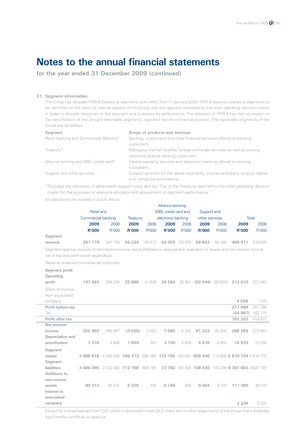**for the year ended 31 December 2009 (continued)**

#### **31. Segment information**

 The Group has adopted IFRS 8 Operating segments with effect from 1 January 2009. IFRS 8 requires operating segments to be identified on the basis of internal reports of the Group that are regularly reviewed by the chief operating decision maker in order to allocate resources to the segment and to assess its performance. The adoption of IFRS 8 has had no impact on the identification of the Group's reportable segments, reported results or financial position. The reportable segments of the Group are as follows:

#### **Segment Scope of products and services**

| Retail banking and Commercial Banking* | Banking, investment and other financial services offered to banking         |
|----------------------------------------|-----------------------------------------------------------------------------|
|                                        | customers.                                                                  |
| Treasury*                              | Managing internal liquidity, foreign exchange services as well as serving   |
|                                        | retail and alliance banking customers.                                      |
| Alliance banking and MBL credit card*  | Card processing services and electronic banking offered to banking          |
|                                        | customers.                                                                  |
| Support and other services             | Support services for the above segments, insurance brokers, surplus capital |
|                                        | and intergroup eliminations.                                                |

*\*Excludes the allocation of attributable support costs and tax. This is the measure reported to the chief operating decision maker for the purposes of resource allocation and assessment of segment performance.*

All operations are located in South Africa.

|                                                                                                                                                                           |                                                                                         |         |              |         | Alliance banking,   |       |                |         |                                                    |         |
|---------------------------------------------------------------------------------------------------------------------------------------------------------------------------|-----------------------------------------------------------------------------------------|---------|--------------|---------|---------------------|-------|----------------|---------|----------------------------------------------------|---------|
|                                                                                                                                                                           | Retail and                                                                              |         |              |         | MBL credit card and |       | Support and    |         |                                                    |         |
|                                                                                                                                                                           | Commercial banking                                                                      |         | Treasury     |         | electronic banking  |       | other services |         |                                                    | Total   |
|                                                                                                                                                                           | 2009                                                                                    | 2008    | 2009         | 2008    | 2009                | 2008  | 2009           | 2008    | 2009                                               | 2008    |
|                                                                                                                                                                           | <b>R'000</b>                                                                            | R'000   | <b>R'000</b> | R'000   | <b>R'000</b>        | R'000 | <b>R'000</b>   | R'000   | <b>R'000</b>                                       | R'000   |
| Segment                                                                                                                                                                   |                                                                                         |         |              |         |                     |       |                |         |                                                    |         |
| revenue                                                                                                                                                                   | 291 779                                                                                 | 347 155 | 45 2 2 4     | 59 612  | 63 055              | 53799 | 69853          | 56 269  | 469 911                                            | 516 835 |
| Segment revenue consists of net interest income, net profit/(loss) on disposal and revaluation of assets and non-interest income<br>net of fee and commission expenditure |                                                                                         |         |              |         |                     |       |                |         |                                                    |         |
| Revenue is earned from external customers                                                                                                                                 |                                                                                         |         |              |         |                     |       |                |         |                                                    |         |
| Segment profit<br>Operating<br>profit                                                                                                                                     | 197 583                                                                                 | 268 249 | 25 8 88      | 41 638  | 39 583              |       |                |         | 30 801 (50 044) (83 625) 213 010                   | 257 063 |
| Share of income<br>from associated                                                                                                                                        |                                                                                         |         |              |         |                     |       |                |         |                                                    |         |
| company                                                                                                                                                                   |                                                                                         |         |              |         |                     |       |                |         | 4059                                               | 735     |
| Profit before tax                                                                                                                                                         |                                                                                         |         |              |         |                     |       |                |         | 217 069                                            | 257 798 |
| Tax                                                                                                                                                                       |                                                                                         |         |              |         |                     |       |                |         | (54867)                                            | 162 175 |
| Profit after tax                                                                                                                                                          |                                                                                         |         |              |         |                     |       |                |         | 162 202                                            | 419 973 |
| <b>Net interest</b><br>income<br>Depreciation and                                                                                                                         | 202 992                                                                                 | 268 467 | (3025)       | 3 2 5 3 | 7 0 8 0             | 6343  | 61 222         | 45 900  | 268 269                                            | 323 963 |
| amortisation                                                                                                                                                              | 7316                                                                                    | 4804    | 1849         | 201     | 3 1 5 0             | 5626  | 4618           | 4959    | 16933                                              | 15 590  |
| <b>Segment</b><br>assets<br>Segment                                                                                                                                       | 3 986 816 4 346 828 746 313 660 768 127 165 195 281 958 440 713 898 5 818 734 5 916 775 |         |              |         |                     |       |                |         |                                                    |         |
| liabilities<br><b>Additions to</b><br>non-current                                                                                                                         | 3 486 095 3 732 945 712 768 608 165                                                     |         |              |         |                     |       |                |         | 73 780 160 396 108 420 146 239 4 381 063 4 647 745 |         |
| assets<br>Interest in<br>associated                                                                                                                                       | 90 312                                                                                  | 82 432  | 5 3 2 5      | 100     | 6 748               | 458   | 9 0 0 4        | 5 1 2 0 | 111 389                                            | 88 110  |
| company                                                                                                                                                                   |                                                                                         |         |              |         |                     |       |                |         | 3 2 3 4                                            | 3 2 3 4 |

 Except for interest earned from CGD which is disclosed in note 30.2, there are no other large clients of the Group that individually significantly contribute to revenue.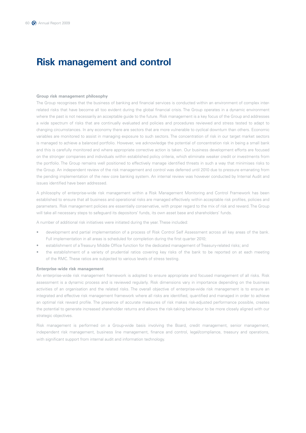### **Risk management and control**

#### **Group risk management philosophy**

The Group recognises that the business of banking and financial services is conducted within an environment of complex interrelated risks that have become all too evident during the global financial crisis. The Group operates in a dynamic environment where the past is not necessarily an acceptable guide to the future. Risk management is a key focus of the Group and addresses a wide spectrum of risks that are continually evaluated and policies and procedures reviewed and stress tested to adapt to changing circumstances. In any economy there are sectors that are more vulnerable to cyclical downturn than others. Economic variables are monitored to assist in managing exposure to such sectors. The concentration of risk in our target market sectors is managed to achieve a balanced portfolio. However, we acknowledge the potential of concentration risk in being a small bank and this is carefully monitored and where appropriate corrective action is taken. Our business development efforts are focused on the stronger companies and individuals within established policy criteria, which eliminate weaker credit or investments from the portfolio. The Group remains well positioned to effectively manage identified threats in such a way that minimises risks to the Group. An independent review of the risk management and control was deferred until 2010 due to pressure emanating from the pending implementation of the new core banking system. An internal review was however conducted by Internal Audit and issues identified have been addressed.

A philosophy of enterprise-wide risk management within a Risk Management Monitoring and Control Framework has been established to ensure that all business and operational risks are managed effectively within acceptable risk profiles, policies and parameters. Risk management policies are essentially conservative, with proper regard to the mix of risk and reward. The Group will take all necessary steps to safeguard its depositors' funds, its own asset base and shareholders' funds.

A number of additional risk initiatives were initiated during the year. These included:

- development and partial implementation of a process of Risk Control Self Assessment across all key areas of the bank. Full implementation in all areas is scheduled for completion during the first quarter 2010;
- establishment of a Treasury Middle Office function for the dedicated management of Treasury-related risks; and
- the establishment of a variety of prudential ratios covering key risks of the bank to be reported on at each meeting of the RMC. These ratios are subjected to various levels of stress testing.

#### **Enterprise-wide risk management**

An enterprise-wide risk management framework is adopted to ensure appropriate and focused management of all risks. Risk assessment is a dynamic process and is reviewed regularly. Risk dimensions vary in importance depending on the business activities of an organisation and the related risks. The overall objective of enterprise-wide risk management is to ensure an integrated and effective risk management framework where all risks are identified, quantified and managed in order to achieve an optimal risk reward profile. The presence of accurate measures of risk makes risk-adjusted performance possible, creates the potential to generate increased shareholder returns and allows the risk-taking behaviour to be more closely aligned with our strategic objectives.

Risk management is performed on a Group-wide basis involving the Board, credit management, senior management, independent risk management, business line management, finance and control, legal/compliance, treasury and operations, with significant support from internal audit and information technology.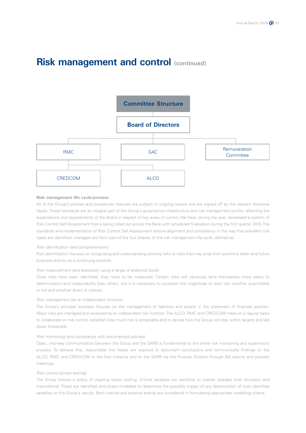



#### **Risk management life cycle/process**

All of the Group's policies and procedures manuals are subject to ongoing review and are signed off by the relevant divisional heads. These standards are an integral part of the Group's governance infrastructure and risk management profile, reflecting the expectations and requirements of the Board in respect of key areas of control. We have, during the year, developed a system of Risk Control Self Assessment that is being rolled out across the Bank with scheduled finalisation during the first quarter 2010. The standards and implementation of Risk Control Self Assessment ensure alignment and consistency in the way that prevalent risk types are identified, managed and form part of the four phases of the risk management life cycle, defined as:

#### *Risk identification (and comprehension)*

Risk identification focuses on recognising and understanding existing risks or risks that may arise from positions taken and future business activity as a continuing practice.

#### *Risk measurement (and evaluation using a range of analytical tools)*

Once risks have been identified, they need to be measured. Certain risks will obviously lend themselves more easily to determination and measurability than others, but it is necessary to ascertain the magnitude of each risk whether quantifiable or not and whether direct or indirect.

#### *Risk management (as an independent function)*

The Group's principal business focuses on the management of liabilities and assets in the statement of financial position. Major risks are managed and reviewed by an independent risk function. The ALCO, RMC and CREDCOM meet on a regular basis to collaborate on risk control, establish how much risk is acceptable and to decide how the Group will stay within targets and laid down thresholds.

#### *Risk monitoring (and compliance with documented policies)*

Open, two-way communication between the Group and the SARB is fundamental to the entire risk monitoring and supervisory process. To achieve this, responsible line heads are required to document conclusions and communicate findings to the ALCO, RMC and CREDCOM in the first instance and to the SARB via the Finance Division through BA returns and periodic meetings.

#### *Risk control (stress testing)*

The Group follows a policy of ongoing stress testing. Critical variables are sensitive to market changes both domestic and international. These are identified and stress modelled to determine the possible impact of any deterioration of such identified variables on the Group's results. Both internal and external events are considered in formulating appropriate modelling criteria.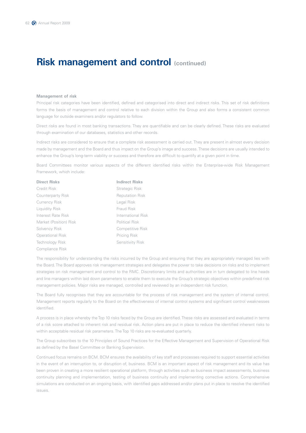#### **Management of risk**

Principal risk categories have been identified, defined and categorised into direct and indirect risks. This set of risk definitions forms the basis of management and control relative to each division within the Group and also forms a consistent common language for outside examiners and/or regulators to follow.

Direct risks are found in most banking transactions. They are quantifiable and can be clearly defined. These risks are evaluated through examination of our databases, statistics and other records.

Indirect risks are considered to ensure that a complete risk assessment is carried out. They are present in almost every decision made by management and the Board and thus impact on the Group's image and success. These decisions are usually intended to enhance the Group's long-term viability or success and therefore are difficult to quantify at a given point in time.

Board Committees monitor various aspects of the different identified risks within the Enterprise-wide Risk Management Framework, which include:

| <b>Direct Risks</b>     | <b>Indirect Risks</b>  |
|-------------------------|------------------------|
| Credit Risk             | Strategic Risk         |
| Counterparty Risk       | <b>Reputation Risk</b> |
| <b>Currency Risk</b>    | Legal Risk             |
| Liquidity Risk          | Fraud Risk             |
| Interest Rate Risk      | International Risk     |
| Market (Position) Risk  | <b>Political Risk</b>  |
| Solvency Risk           | Competitive Risk       |
| <b>Operational Risk</b> | Pricing Risk           |
| <b>Technology Risk</b>  | Sensitivity Risk       |
| Compliance Risk         |                        |

The responsibility for understanding the risks incurred by the Group and ensuring that they are appropriately managed lies with the Board. The Board approves risk management strategies and delegates the power to take decisions on risks and to implement strategies on risk management and control to the RMC. Discretionary limits and authorities are in turn delegated to line heads and line managers within laid down parameters to enable them to execute the Group's strategic objectives within predefined risk management policies. Major risks are managed, controlled and reviewed by an independent risk function.

The Board fully recognises that they are accountable for the process of risk management and the system of internal control. Management reports regularly to the Board on the effectiveness of internal control systems and significant control weaknesses identified.

A process is in place whereby the Top 10 risks faced by the Group are identified. These risks are assessed and evaluated in terms of a risk score attached to inherent risk and residual risk. Action plans are put in place to reduce the identified inherent risks to within acceptable residual risk parameters. The Top 10 risks are re-evaluated quarterly.

The Group subscribes to the 10 Principles of Sound Practices for the Effective Management and Supervision of Operational Risk as defined by the Basel Committee or Banking Supervision.

Continued focus remains on BCM. BCM ensures the availability of key staff and processes required to support essential activities in the event of an interruption to, or disruption of, business. BCM is an important aspect of risk management and its value has been proven in creating a more resilient operational platform, through activities such as business impact assessments, business continuity planning and implementation, testing of business continuity and implementing corrective actions. Comprehensive simulations are conducted on an ongoing basis, with identified gaps addressed and/or plans put in place to resolve the identified issues.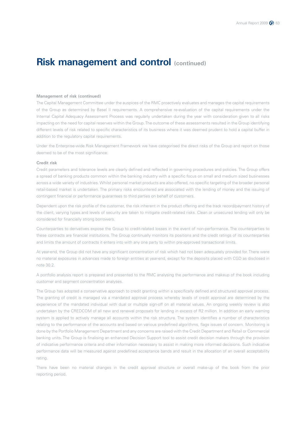#### **Management of risk (continued)**

The Capital Management Committee under the auspices of the RMC proactively evaluates and manages the capital requirements of the Group as determined by Basel II requirements. A comprehensive re-evaluation of the capital requirements under the Internal Capital Adequacy Assessment Process was regularly undertaken during the year with consideration given to all risks impacting on the need for capital reserves within the Group. The outcome of these assessments resulted in the Group identifying different levels of risk related to specific characteristics of its business where it was deemed prudent to hold a capital buffer in addition to the regulatory capital requirements.

Under the Enterprise-wide Risk Management Framework we have categorised the direct risks of the Group and report on those deemed to be of the most significance:

#### **Credit risk**

Credit parameters and tolerance levels are clearly defined and reflected in governing procedures and policies. The Group offers a spread of banking products common within the banking industry with a specific focus on small and medium sized businesses across a wide variety of industries. Whilst personal market products are also offered, no specific targeting of the broader personal retail-based market is undertaken. The primary risks encountered are associated with the lending of money and the issuing of contingent financial or performance guarantees to third parties on behalf of customers.

Dependent upon the risk profile of the customer, the risk inherent in the product offering and the track record/payment history of the client, varying types and levels of security are taken to mitigate credit-related risks. Clean or unsecured lending will only be considered for financially strong borrowers.

Counterparties to derivatives expose the Group to credit-related losses in the event of non-performance. The counterparties to these contracts are financial institutions. The Group continually monitors its positions and the credit ratings of its counterparties and limits the amount of contracts it enters into with any one party to within pre-approved transactional limits.

At year-end, the Group did not have any significant concentration of risk which had not been adequately provided for. There were no material exposures in advances made to foreign entities at year-end, except for the deposits placed with CGD as disclosed in note 30.2.

A portfolio analysis report is prepared and presented to the RMC analysing the performance and makeup of the book including customer and segment concentration analyses.

The Group has adopted a conservative approach to credit granting within a specifically defined and structured approval process. The granting of credit is managed via a mandated approval process whereby levels of credit approval are determined by the experience of the mandated individual with dual or multiple sign-off on all material values. An ongoing weekly review is also undertaken by the CREDCOM of all new and renewal proposals for lending in excess of R2 million. In addition an early warning system is applied to actively manage all accounts within the risk structure. The system identifies a number of characteristics relating to the performance of the accounts and based on various predefined algorithms, flags issues of concern. Monitoring is done by the Portfolio Management Department and any concerns are raised with the Credit Department and Retail or Commercial banking units. The Group is finalising an enhanced Decision Support tool to assist credit decision makers through the provision of indicative performance criteria and other information necessary to assist in making more informed decisions. Such indicative performance data will be measured against predefined acceptance bands and result in the allocation of an overall acceptability rating.

There have been no material changes in the credit approval structure or overall make-up of the book from the prior reporting period.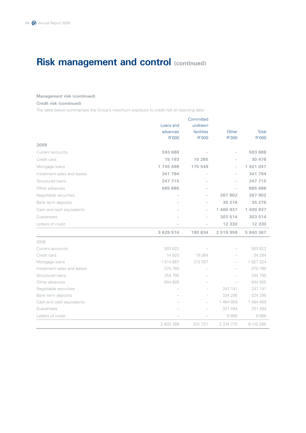#### **Management risk (continued)**

#### **Credit risk (continued)**

The table below summarises the Group's maximum exposure to credit risk at reporting date:

|                             | Loans and | Committed<br>undrawn |               |           |
|-----------------------------|-----------|----------------------|---------------|-----------|
|                             | advances  | facilities           | Other         | Total     |
|                             | R'000     | R'000                | R'000         | R'000     |
| 2009                        |           |                      |               |           |
| Current accounts            | 593 688   |                      |               | 593 688   |
| Credit card                 | 15 193    | 15 285               |               | 30 478    |
| Mortgage loans              | 1 745 498 | 175 549              |               | 1 921 047 |
| Instalment sales and leases | 341 794   |                      |               | 341 794   |
| Structured loans            | 247 715   |                      |               | 247 715   |
| Other advances              | 685 686   |                      |               | 685 686   |
| Negotiable securities       |           |                      | 267 902       | 267 902   |
| Bank term deposits          |           |                      | 35 276        | 35 276    |
| Cash and cash equivalents   |           |                      | 1 400 937     | 1 400 937 |
| Guarantees                  |           |                      | 303 514       | 303 514   |
| Letters of credit           |           |                      | 12 330        | 12 330    |
|                             | 3 629 574 | 190 834              | 2 0 1 9 9 5 9 | 5 840 367 |
| 2008                        |           |                      |               |           |
| Current accounts            | 503 622   |                      |               |           |
| Credit card                 |           |                      |               | 503 622   |
|                             | 14 920    | 19 364               |               | 34 284    |
| Mortgage loans              | 1 614 867 | 312 357              |               | 1 927 224 |
| Instalment sales and leases | 370 780   |                      |               | 370 780   |
| Structured loans            | 254 795   |                      |               | 254 795   |
| Other advances              | 644 805   |                      |               | 644 805   |
| Negotiable securities       |           |                      | 247 141       | 247 141   |
| Bank term deposits          |           |                      | 324 295       | 324 295   |
| Cash and cash equivalents   |           |                      | 1464959       | 1464959   |
| Guarantees                  |           |                      | 331 494       | 331 494   |
| Letters of credit           |           |                      | 6886          | 6886      |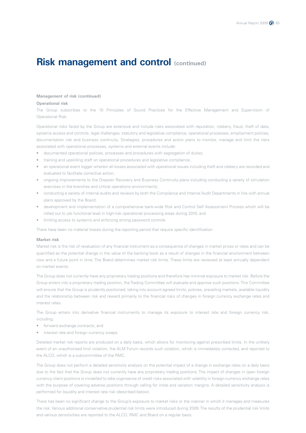#### **Management of risk (continued)**

#### **Operational risk**

The Group subscribes to the 10 Principles of Sound Practices for the Effective Management and Supervision of Operational Risk.

Operational risks faced by the Group are extensive and include risks associated with reputation, robbery, fraud, theft of data, systems access and controls, legal challenges, statutory and legislative compliance, operational processes, employment policies, documentation risk and business continuity. Strategies, procedures and action plans to monitor, manage and limit the risks associated with operational processes, systems and external events include:

- documented operational policies, processes and procedures with segregation of duties;
- training and upskilling staff on operational procedures and legislative compliance;
- an operational event logger wherein all losses associated with operational issues including theft and robbery are recorded and evaluated to facilitate corrective action;
- ongoing improvements to the Disaster Recovery and Business Continuity plans including conducting a variety of simulation exercises in the branches and critical operations environments;
- conducting a variety of internal audits and reviews by both the Compliance and Internal Audit Departments in line with annual plans approved by the Board;
- development and implementation of a comprehensive bank-wide Risk and Control Self Assessment Process which will be rolled out to job functional level in high-risk operational processing areas during 2010; and
- limiting access to systems and enforcing strong password controls

There have been no material losses during the reporting period that require specific identification

#### **Market risk**

Market risk is the risk of revaluation of any financial instrument as a consequence of changes in market prices or rates and can be quantified as the potential change in the value of the banking book as a result of changes in the financial environment between now and a future point in time. The Board determines market risk limits. These limits are reviewed at least annually dependent on market events.

The Group does not currently have any proprietary trading positions and therefore has minimal exposure to market risk. Before the Group enters into a proprietary trading position, the Trading Committee will evaluate and approve such positions. This Committee will ensure that the Group is prudently positioned, taking into account agreed limits, policies, prevailing markets, available liquidity and the relationship between risk and reward primarily to the financial risks of changes in foreign currency exchange rates and interest rates.

The Group enters into derivative financial instruments to manage its exposure to interest rate and foreign currency risk, including:

- forward exchange contracts; and
- interest rate and foreign currency swaps.

Detailed market risk reports are produced on a daily basis, which allows for monitoring against prescribed limits. In the unlikely event of an unauthorised limit violation, the ALM Forum records such violation, which is immediately corrected, and reported to the ALCO, which is a subcommittee of the RMC.

The Group does not perform a detailed sensitivity analysis on the potential impact of a change in exchange rates on a daily basis due to the fact that the Group does not currently have any proprietary trading positions. The impact of changes in open foreign currency client positions is modelled to take cognisance of credit risks associated with volatility in foreign currency exchange rates with the purpose of covering adverse positions through calling for initial and variation margins. A detailed sensitivity analysis is performed for liquidity and interest rate risk (described below).

There has been no significant change to the Group's exposure to market risks or the manner in which it manages and measures the risk. Various additional conservative prudential risk limits were introduced during 2009. The results of the prudential risk limits and various sensitivities are reported to the ALCO, RMC and Board on a regular basis.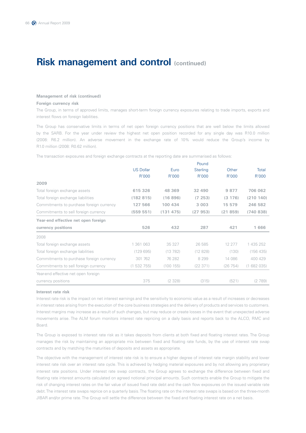#### **Management of risk (continued)**

#### **Foreign currency risk**

The Group, in terms of approved limits, manages short-term foreign currency exposures relating to trade imports, exports and interest flows on foreign liabilities.

The Group has conservative limits in terms of net open foreign currency positions that are well below the limits allowed by the SARB. For the year under review the highest net open position recorded for any single day was R10.0 million (2008: R6.2 million). An adverse movement in the exchange rate of 10% would reduce the Group's income by R1.0 million (2008: R0.62 million).

The transaction exposures and foreign exchange contracts at the reporting date are summarised as follows:

|                                          |                  |           | Pound           |         |           |
|------------------------------------------|------------------|-----------|-----------------|---------|-----------|
|                                          | <b>US Dollar</b> | Euro      | <b>Sterling</b> | Other   | Total     |
|                                          | R'000            | R'000     | R'000           | R'000   | R'000     |
| 2009                                     |                  |           |                 |         |           |
| Total foreign exchange assets            | 615 326          | 48 369    | 32 490          | 9877    | 706 062   |
| Total foreign exchange liabilities       | (182815)         | (16896)   | (7, 253)        | (3176)  | (210140)  |
| Commitments to purchase foreign currency | 127 566          | 100 434   | 3 0 0 3         | 15 579  | 246 582   |
| Commitments to sell foreign currency     | (559551)         | (131 475) | (27953)         | (21859) | (740838)  |
| Year-end effective net open foreign      |                  |           |                 |         |           |
| currency positions                       | 526              | 432       | 287             | 421     | 1 666     |
| 2008                                     |                  |           |                 |         |           |
| Total foreign exchange assets            | 1 361 063        | 35 327    | 26 585          | 12 277  | 1 435 252 |
| Total foreign exchange liabilities       | (129695)         | (13782)   | (12828)         | (130)   | (156 435) |
| Commitments to purchase foreign currency | 301 762          | 76 282    | 8 2 9 9         | 14 086  | 400 429   |
| Commitments to sell foreign currency     | (1532755)        | (100155)  | (22371)         | (26754) | (1682035) |
| Year-end effective net open foreign      |                  |           |                 |         |           |
| currency positions                       | 375              | (2328)    | (315)           | (521)   | (2789)    |
|                                          |                  |           |                 |         |           |

#### **Interest rate risk**

Interest rate risk is the impact on net interest earnings and the sensitivity to economic value as a result of increases or decreases in interest rates arising from the execution of the core business strategies and the delivery of products and services to customers. Interest margins may increase as a result of such changes, but may reduce or create losses in the event that unexpected adverse movements arise. The ALM forum monitors interest rate repricing on a daily basis and reports back to the ALCO, RMC and Board.

The Group is exposed to interest rate risk as it takes deposits from clients at both fixed and floating interest rates. The Group manages the risk by maintaining an appropriate mix between fixed and floating rate funds, by the use of interest rate swap contracts and by matching the maturities of deposits and assets as appropriate.

The objective with the management of interest rate risk is to ensure a higher degree of interest rate margin stability and lower interest rate risk over an interest rate cycle. This is achieved by hedging material exposures and by not allowing any proprietary interest rate positions. Under interest rate swap contracts, the Group agrees to exchange the difference between fixed and floating rate interest amounts calculated on agreed notional principal amounts. Such contracts enable the Group to mitigate the risk of changing interest rates on the fair value of issued fixed rate debt and the cash flow exposures on the issued variable rate debt. The interest rate swaps reprice on a quarterly basis. The floating rate on the interest rate swaps is based on the three-month JIBAR and/or prime rate. The Group will settle the difference between the fixed and floating interest rate on a net basis.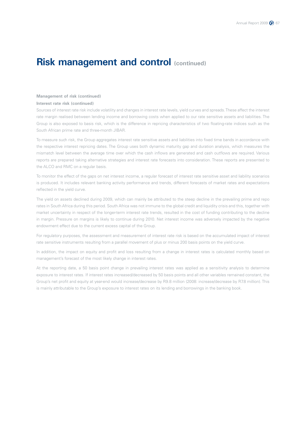#### **Management of risk (continued)**

#### **Interest rate risk (continued)**

Sources of interest rate risk include volatility and changes in interest rate levels, yield curves and spreads. These affect the interest rate margin realised between lending income and borrowing costs when applied to our rate sensitive assets and liabilities. The Group is also exposed to basis risk, which is the difference in repricing characteristics of two floating-rate indices such as the South African prime rate and three-month JIBAR.

To measure such risk, the Group aggregates interest rate sensitive assets and liabilities into fixed time bands in accordance with the respective interest repricing dates. The Group uses both dynamic maturity gap and duration analysis, which measures the mismatch level between the average time over which the cash inflows are generated and cash outflows are required. Various reports are prepared taking alternative strategies and interest rate forecasts into consideration. These reports are presented to the ALCO and RMC on a regular basis.

To monitor the effect of the gaps on net interest income, a regular forecast of interest rate sensitive asset and liability scenarios is produced. It includes relevant banking activity performance and trends, different forecasts of market rates and expectations reflected in the yield curve.

The yield on assets declined during 2009, which can mainly be attributed to the steep decline in the prevailing prime and repo rates in South Africa during this period. South Africa was not immune to the global credit and liquidity crisis and this, together with market uncertainty in respect of the longer-term interest rate trends, resulted in the cost of funding contributing to the decline in margin. Pressure on margins is likely to continue during 2010. Net interest income was adversely impacted by the negative endowment effect due to the current excess capital of the Group.

For regulatory purposes, the assessment and measurement of interest rate risk is based on the accumulated impact of interest rate sensitive instruments resulting from a parallel movement of plus or minus 200 basis points on the yield curve.

In addition, the impact on equity and profit and loss resulting from a change in interest rates is calculated monthly based on management's forecast of the most likely change in interest rates.

At the reporting date, a 50 basis point change in prevailing interest rates was applied as a sensitivity analysis to determine exposure to interest rates. If interest rates increased/decreased by 50 basis points and all other variables remained constant, the Group's net profit and equity at year-end would increase/decrease by R9.8 million (2008: increase/decrease by R7.8 million). This is mainly attributable to the Group's exposure to interest rates on its lending and borrowings in the banking book.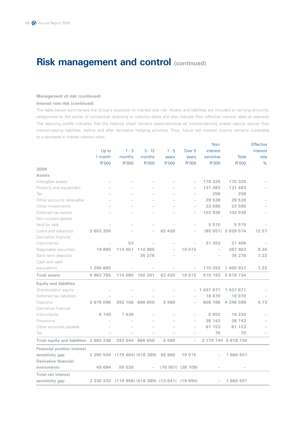#### **Management of risk (continued)**

#### **Interest rate risk (continued)**

The table below summarises the Group's exposure to interest rate risk. Assets and liabilities are included at carrying amounts, categorised by the earlier of contractual re-pricing or maturity dates and also indicate their effective interest rates at year-end. The repricing profile indicates that the balance sheet remains asset-sensitive as interest-earning assets reprice sooner than interest-paying liabilities, before and after derivative hedging activities. Thus, future net interest income remains vulnerable to a decrease in market interest rates.

|                                        |               |         |                                       |         |                          | Non-      |                     | <b>Effective</b> |
|----------------------------------------|---------------|---------|---------------------------------------|---------|--------------------------|-----------|---------------------|------------------|
|                                        | $Up$ to       | $1 - 3$ | $3 - 12$                              | $1 - 5$ | Over <sub>5</sub>        | interest  |                     | interest         |
|                                        | 1 month       | months  | months                                | years   | years                    | sensitive | Total               | rate             |
|                                        | R'000         | R'000   | R'000                                 | R'000   | R'000                    | R'000     | R'000               | %                |
| 2009                                   |               |         |                                       |         |                          |           |                     |                  |
| <b>Assets</b>                          |               |         |                                       |         |                          |           |                     |                  |
| Intangible assets                      |               |         |                                       |         |                          | 170 325   | 170 325             |                  |
| Property and equipment                 |               |         |                                       |         | $\overline{\phantom{a}}$ | 131 483   | 131 483             |                  |
| Tax                                    |               |         |                                       |         |                          | 256       | 256                 |                  |
| Other accounts receivable              |               |         |                                       |         | $\overline{\phantom{a}}$ | 29 539    | 29 539              |                  |
| Other investments                      |               |         |                                       |         | $\overline{\phantom{0}}$ | 23 590    | 23 590              |                  |
| Deferred tax assets                    |               |         |                                       |         |                          | 102 936   | 102 936             |                  |
| Non-current assets                     |               |         |                                       |         |                          |           |                     |                  |
| held for sale                          |               |         |                                       |         |                          | 5 5 1 0   | 5 5 1 0             |                  |
| Loans and advances                     | 3 652 205     |         |                                       | 62 4 20 |                          |           | (85 051) 3 629 574  | 12.57            |
| Derivative financial                   |               |         |                                       |         |                          |           |                     |                  |
| instruments                            |               | 53      |                                       |         |                          | 21 353    | 21 406              |                  |
| Negotiable securities                  | 19895         | 114 007 | 114 985                               |         | 19 015                   |           | 267 902             | 9.34             |
| Bank term deposits                     |               |         | 35 276                                |         |                          |           | 35 276              | 7.22             |
| Cash and cash                          |               |         |                                       |         |                          |           |                     |                  |
| equivalents                            | 1 290 685     |         |                                       |         |                          | 110 252   | 1 400 937           | 7.22             |
| <b>Total assets</b>                    | 4 962 785     | 114 060 | 150 261                               | 62 4 20 | 19 015                   | 510 193   | 5 818 734           |                  |
| <b>Equity and liabilities</b>          |               |         |                                       |         |                          |           |                     |                  |
| Shareholders' equity                   |               |         |                                       |         |                          | 1 437 671 | 1 437 671           |                  |
| Deferred tax liabilities               |               |         |                                       |         |                          | 18 870    | 18 870              |                  |
| Deposits                               | 2 676 096     | 292 106 | 666 650                               | 5 5 6 0 |                          | 606 186   | 4 246 598           | 6.73             |
| Derivative financial                   |               |         |                                       |         |                          |           |                     |                  |
| instruments                            | 6 140         | 1438    |                                       |         |                          | 8 6 5 2   | 16 230              |                  |
| Provisions                             |               |         |                                       |         | $\overline{\phantom{a}}$ | 38 142    | 38 142              |                  |
| Other accounts payable                 |               |         |                                       |         |                          | 61 153    | 61 153              |                  |
| Tax                                    |               |         |                                       |         |                          | 70        | 70                  |                  |
| Total equity and liabilities 2 682 236 |               | 293 544 | 666 650                               | 5 5 6 0 | $\qquad \qquad -$        |           | 2 170 744 5 818 734 |                  |
| <b>Financial position interest</b>     |               |         |                                       |         |                          |           |                     |                  |
| sensitivity gap                        | 2 2 8 5 5 4 9 |         | (179 484) (516 389)                   | 56 860  | 19 0 15                  |           | 1 660 551           |                  |
| <b>Derivative financial</b>            |               |         |                                       |         |                          |           |                     |                  |
| instruments                            | 49 684        | 59 526  |                                       |         | $(70\ 501)$ $(38\ 709)$  |           |                     |                  |
| <b>Total net interest</b>              |               |         |                                       |         |                          |           |                     |                  |
| sensitivity gap                        | 2 330 233     |         | (119 958) (516 389) (13 641) (19 694) |         |                          |           | 1 660 551           |                  |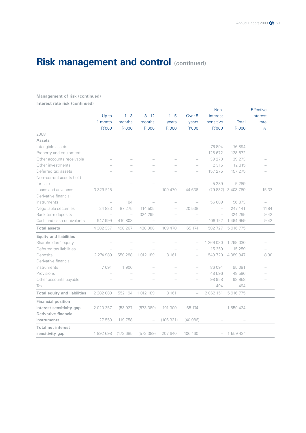**Management of risk (continued) Interest rate risk (continued)** 

|                                     |                          |                          |           |          |                          | Non-      |           | <b>Effective</b> |
|-------------------------------------|--------------------------|--------------------------|-----------|----------|--------------------------|-----------|-----------|------------------|
|                                     | Up to                    | $1 - 3$                  | $3 - 12$  | $1 - 5$  | Over <sub>5</sub>        | interest  |           | interest         |
|                                     | 1 month                  | months                   | months    | years    | years                    | sensitive | Total     | rate             |
|                                     | R'000                    | R'000                    | R'000     | R'000    | R'000                    | R'000     | R'000     | $\%$             |
| 2008                                |                          |                          |           |          |                          |           |           |                  |
| <b>Assets</b>                       |                          |                          |           |          |                          |           |           |                  |
| Intangible assets                   |                          |                          |           |          |                          | 76 894    | 76 894    |                  |
| Property and equipment              |                          |                          |           |          |                          | 128 672   | 128 672   |                  |
| Other accounts receivable           |                          |                          |           |          | $\overline{\phantom{0}}$ | 39 273    | 39 273    |                  |
| Other investments                   |                          |                          |           |          | $\overline{\phantom{0}}$ | 12 3 15   | 12 3 15   |                  |
| Deferred tax assets                 |                          |                          |           |          | $\overline{\phantom{0}}$ | 157 275   | 157 275   |                  |
| Non-current assets held             |                          |                          |           |          |                          |           |           |                  |
| for sale                            |                          |                          |           |          |                          | 5 2 8 9   | 5 2 8 9   |                  |
| Loans and advances                  | 3 329 515                |                          |           | 109 470  | 44 636                   | (79832)   | 3 403 789 | 15.32            |
| Derivative financial                |                          |                          |           |          |                          |           |           |                  |
| instruments                         |                          | 184                      |           |          |                          | 56 689    | 56 873    |                  |
| Negotiable securities               | 24 823                   | 87 275                   | 114 505   |          | 20 538                   |           | 247 141   | 11.84            |
| Bank term deposits                  | $\overline{\phantom{0}}$ | $\overline{\phantom{0}}$ | 324 295   |          | $\overline{\phantom{0}}$ |           | 324 295   | 9.42             |
| Cash and cash equivalents           | 947 999                  | 410 808                  |           |          | $\overline{\phantom{0}}$ | 106 152   | 1 464 959 | 9.42             |
| <b>Total assets</b>                 | 4 302 337                | 498 267                  | 438 800   | 109 470  | 65 174                   | 502 727   | 5 916 775 |                  |
| <b>Equity and liabilities</b>       |                          |                          |           |          |                          |           |           |                  |
| Shareholders' equity                |                          |                          |           |          |                          | 1 269 030 | 1 269 030 |                  |
| Deferred tax liabilities            |                          |                          |           |          |                          | 15 259    | 15 259    |                  |
| Deposits                            | 2 274 989                | 550 288                  | 1 012 189 | 8 1 6 1  |                          | 543 720   | 4 389 347 | 8.30             |
| Derivative financial                |                          |                          |           |          |                          |           |           |                  |
| instruments                         | 7091                     | 1906                     |           |          |                          | 86 094    | 95 091    |                  |
| Provisions                          |                          |                          |           |          | $\overline{\phantom{0}}$ | 48 596    | 48 596    |                  |
| Other accounts payable              |                          |                          |           |          | $\overline{\phantom{0}}$ | 98 958    | 98 958    |                  |
| Tax                                 |                          |                          |           |          | $\overline{\phantom{0}}$ | 494       | 494       |                  |
| <b>Total equity and liabilities</b> | 2 2 8 2 0 8 0            | 552 194                  | 1 012 189 | 8 1 6 1  | $\overline{\phantom{0}}$ | 2 062 151 | 5916775   |                  |
| <b>Financial position</b>           |                          |                          |           |          |                          |           |           |                  |
| interest sensitivity gap            | 2 020 257                | (53927)                  | (573389)  | 101 309  | 65 174                   |           | 1 559 424 |                  |
| <b>Derivative financial</b>         |                          |                          |           |          |                          |           |           |                  |
| instruments                         | 27 559                   | 119 758                  |           | (106331) | (40986)                  |           |           |                  |
| <b>Total net interest</b>           |                          |                          |           |          |                          |           |           |                  |
| sensitivity gap                     | 1 992 698                | (173685)                 | (573389)  | 207 640  | 106 160                  |           | 1 559 424 |                  |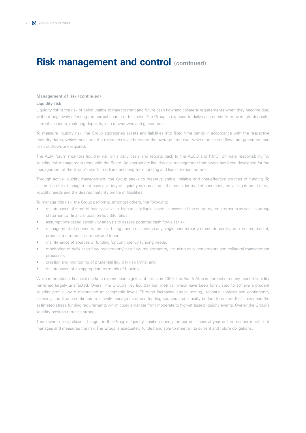#### **Management of risk (continued)**

#### **Liquidity risk**

Liquidity risk is the risk of being unable to meet current and future cash flow and collateral requirements when they become due, without negatively affecting the normal course of business. The Group is exposed to daily cash needs from overnight deposits, current accounts, maturing deposits, loan drawdowns and guarantees

To measure liquidity risk, the Group aggregates assets and liabilities into fixed time bands in accordance with the respective maturity dates, which measures the mismatch level between the average time over which the cash inflows are generated and cash outflows are required.

The ALM forum monitors liquidity risk on a daily basis and reports back to the ALCO and RMC. Ultimate responsibility for liquidity risk management rests with the Board. An appropriate liquidity risk management framework has been developed for the management of the Group's short-, medium- and long-term funding and liquidity requirements.

Through active liquidity management, the Group seeks to preserve stable, reliable and cost-effective sources of funding. To accomplish this, management uses a variety of liquidity risk measures that consider market conditions, prevailing interest rates, liquidity needs and the desired maturity profile of liabilities.

To manage this risk, the Group performs, amongst others, the following:

- maintenance of stock of readily available, high-quality liquid assets in excess of the statutory requirements as well as strong statement of financial position liquidity ratios;
- assumptions-based sensitivity analysis to assess potential cash flows at risk;
- management of concentration risk, being undue reliance on any single counterparty or counterparty group, sector, market, product, instrument, currency and tenor;
- maintenance of sources of funding for contingency funding needs;
- monitoring of daily cash flow movements/cash flow requirements, including daily settlements and collateral management processes;
- creation and monitoring of prudential liquidity risk limits; and
- maintenance of an appropriate term mix of funding.

While international financial markets experienced significant stress in 2009, the South African domestic money market liquidity remained largely unaffected. Overall the Group's key liquidity risk metrics, which have been formulated to achieve a prudent liquidity profile, were maintained at acceptable levels. Through increased stress testing, scenario analysis and contingency planning, the Group continues to actively manage its stress funding sources and liquidity buffers to ensure that it exceeds the estimated stress funding requirements which could emanate from moderate to high-stressed liquidity events. Overall the Group's liquidity position remains strong.

There were no significant changes in the Group's liquidity position during the current financial year or the manner in which it manages and measures the risk. The Group is adequately funded and able to meet all its current and future obligations.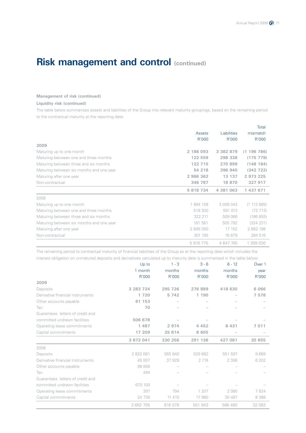#### **Management of risk (continued)**

#### **Liquidity risk (continued)**

The table below summarises assets and liabilities of the Group into relevant maturity groupings, based on the remaining period to the contractual maturity at the reporting date:

|                                          |               |                    | Total     |
|------------------------------------------|---------------|--------------------|-----------|
|                                          | <b>Assets</b> | <b>Liabilities</b> | mismatch  |
|                                          | R'000         | R'000              | R'000     |
| 2009                                     |               |                    |           |
| Maturing up to one month                 | 2 186 093     | 3 382 879          | (1196786) |
| Maturing between one and three months    | 122 559       | 298 338            | (175779)  |
| Maturing between three and six months    | 122 715       | 270 899            | (148 184) |
| Maturing between six months and one year | 54 218        | 396 940            | (34272)   |
| Maturing after one year                  | 2 986 362     | 13 137             | 2 973 225 |
| Non-contractual                          | 346 787       | 18 870             | 327 917   |
|                                          | 5 818 734     | 4 381 063          | 1 437 671 |
| 2008                                     |               |                    |           |
| Maturing up to one month                 | 1894158       | 3 008 043          | (1113885) |
| Maturing between one and three months    | 518 300       | 591 013            | (72713)   |
| Maturing between three and six months    | 322 211       | 509 066            | (186 855) |
| Maturing between six months and one year | 181 561       | 505 792            | (324 231) |
| Maturing after one year                  | 2 699 350     | 17 152             | 2 682 198 |
| Non-contractual                          | 301 195       | 16 679             | 284 516   |
|                                          | 5916775       | 4 647 745          | 1 269 030 |

The remaining period to contractual maturity of financial liabilities of the Group as at the reporting date which includes the interest obligation on unmatured deposits and derivatives calculated up to maturity date is summarised in the table below:

|                                  | Up to     | $1 - 3$ | $3 - 6$ | $6 - 12$ | Over <sub>1</sub> |
|----------------------------------|-----------|---------|---------|----------|-------------------|
|                                  | 1 month   | months  | months  | months   | year              |
|                                  | R'000     | R'000   | R'000   | R'000    | R'000             |
| 2009                             |           |         |         |          |                   |
| Deposits                         | 3 283 724 | 295 726 | 276889  | 418 630  | 6 0 6 6           |
| Derivative financial instruments | 1720      | 5 7 4 2 | 1 190   |          | 7 5 7 8           |
| Other accounts payable           | 61 153    |         |         |          |                   |
| Tax                              | 70        |         |         |          |                   |
| Guarantees letters of credit and |           |         |         |          |                   |
| committed undrawn facilities     | 506 678   |         |         |          |                   |
| Operating lease commitments      | 1 487     | 2974    | 4 4 5 2 | 8 4 3 1  | 7 0 1 1           |
| Capital commitments              | 17 209    | 25 8 14 | 8 605   |          |                   |
|                                  | 3 872 041 | 330 256 | 291 136 | 427 061  | 20 655            |
| 2008                             |           |         |         |          |                   |
| Deposits                         | 2 822 081 | 565 940 | 529 882 | 551 597  | 9669              |
| Derivative financial instruments | 45 937    | 37929   | 2 7 7 4 | 2 3 0 6  | 6 20 2            |
| Other accounts payable           | 98 958    |         |         |          |                   |
| Tax                              | 494       |         |         |          |                   |
| Guarantees letters of credit and |           |         |         |          |                   |
| committed undrawn facilities     | 670 100   |         |         |          |                   |
| Operating lease commitments      | 397       | 794     | 1 207   | 2 0 8 0  | 7824              |
| Capital commitments              | 24 738    | 11 415  | 17 980  | 30 497   | 8 3 8 8           |
|                                  | 3 662 705 | 616 078 | 551 843 | 586 480  | 32 083            |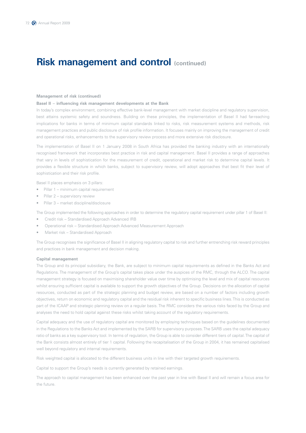## **Risk management and control (continued)**

### **Management of risk (continued)**

### **Basel II – influencing risk management developments at the Bank**

In today's complex environment, combining effective bank-level management with market discipline and regulatory supervision, best attains systemic safety and soundness. Building on these principles, the implementation of Basel II had far-reaching implications for banks in terms of minimum capital standards linked to risks, risk measurement systems and methods, risk management practices and public disclosure of risk profile information. It focuses mainly on improving the management of credit and operational risks, enhancements to the supervisory review process and more extensive risk disclosure.

The implementation of Basel II on 1 January 2008 in South Africa has provided the banking industry with an internationally recognised framework that incorporates best practice in risk and capital management. Basel II provides a range of approaches that vary in levels of sophistication for the measurement of credit, operational and market risk to determine capital levels. It provides a flexible structure in which banks, subject to supervisory review, will adopt approaches that best fit their level of sophistication and their risk profile.

Basel II places emphasis on 3 pillars:

- Pillar 1 minimum capital requirement
- Pillar 2 supervisory review
- Pillar 3 market discipline/disclosure

The Group implemented the following approaches in order to determine the regulatory capital requirement under pillar 1 of Basel II:

- Credit risk Standardised Approach Advanced IRB
- Operational risk Standardised Approach Advanced Measurement Approach
- Market risk Standardised Approach

The Group recognises the significance of Basel II in aligning regulatory capital to risk and further entrenching risk reward principles and practices in bank management and decision making.

### **Capital management**

The Group and its principal subsidiary, the Bank, are subject to minimum capital requirements as defined in the Banks Act and Regulations. The management of the Group's capital takes place under the auspices of the RMC, through the ALCO. The capital management strategy is focused on maximising shareholder value over time by optimising the level and mix of capital resources whilst ensuring sufficient capital is available to support the growth objectives of the Group. Decisions on the allocation of capital resources, conducted as part of the strategic planning and budget review, are based on a number of factors including growth objectives, return on economic and regulatory capital and the residual risk inherent to specific business lines. This is conducted as part of the ICAAP and strategic planning review on a regular basis. The RMC considers the various risks faced by the Group and analyses the need to hold capital against these risks whilst taking account of the regulatory requirements.

Capital adequacy and the use of regulatory capital are monitored by employing techniques based on the guidelines documented in the Regulations to the Banks Act and implemented by the SARB for supervisory purposes. The SARB uses the capital adequacy ratio of banks as a key supervisory tool. In terms of regulation, the Group is able to consider different tiers of capital. The capital of the Bank consists almost entirely of tier 1 capital. Following the recapitalisation of the Group in 2004, it has remained capitalised well beyond regulatory and internal requirements.

Risk weighted capital is allocated to the different business units in line with their targeted growth requirements.

Capital to support the Group's needs is currently generated by retained earnings.

The approach to capital management has been enhanced over the past year in line with Basel II and will remain a focus area for the future.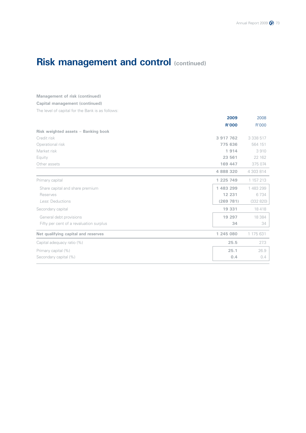# **Risk management and control (continued)**

### **Management of risk (continued) Capital management (continued)**

The level of capital for the Bank is as follows:

|                                         | 2009         | 2008      |
|-----------------------------------------|--------------|-----------|
|                                         | <b>R'000</b> | R'000     |
| Risk weighted assets - Banking book     |              |           |
| Credit risk                             | 3 917 762    | 3 338 517 |
| Operational risk                        | 775 636      | 564 151   |
| Market risk                             | 1914         | 3910      |
| Equity                                  | 23 561       | 22 162    |
| Other assets                            | 169 447      | 375 074   |
|                                         | 4 888 320    | 4 303 814 |
| Primary capital                         | 1 225 749    | 1 157 213 |
| Share capital and share premium         | 1 483 299    | 1 483 299 |
| Reserves                                | 12 231       | 6734      |
| Less: Deductions                        | (269 781)    | (332 820) |
| Secondary capital                       | 19 331       | 18418     |
| General debt provisions                 | 19 297       | 18 3 8 4  |
| Fifty per cent of a revaluation surplus | 34           | 34        |
| Net qualifying capital and reserves     | 1 245 080    | 1 175 631 |
| Capital adequacy ratio (%)              | 25.5         | 27.3      |
| Primary capital (%)                     | 25.1         | 26.9      |
| Secondary capital (%)                   | 0.4          | 0.4       |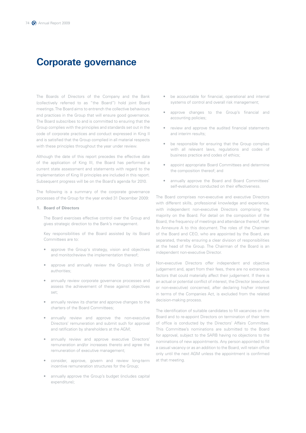### **Corporate governance**

The Boards of Directors of the Company and the Bank (collectively referred to as "the Board") hold joint Board meetings. The Board aims to entrench the collective behaviours and practices in the Group that will ensure good governance. The Board subscribes to and is committed to ensuring that the Group complies with the principles and standards set out in the code of corporate practices and conduct expressed in King II and is satisfied that the Group complied in all material respects with these principles throughout the year under review.

Although the date of this report precedes the effective date of the application of King III, the Board has performed a current state assessment and statements with regard to the implementation of King III principles are included in this report. Subsequent progress will be on the Board's agenda for 2010.

The following is a summary of the corporate governance processes of the Group for the year ended 31 December 2009:

#### **1. Board of Directors**

The Board exercises effective control over the Group and gives strategic direction to the Bank's management.

Key responsibilities of the Board assisted by its Board Committees are to:

- approve the Group's strategy, vision and objectives and monitor/review the implementation thereof;
- approve and annually review the Group's limits of authorities;
- annually review corporate governance processes and assess the achievement of these against objectives set;
- annually review its charter and approve changes to the charters of the Board Committees;
- annually review and approve the non-executive Directors' remuneration and submit such for approval and ratification by shareholders at the AGM;
- annually review and approve executive Directors' remuneration and/or increases thereto and agree the remuneration of executive management;
- consider, approve, govern and review long-term incentive remuneration structures for the Group;
- annually approve the Group's budget (includes capital expenditure);
- be accountable for financial, operational and internal systems of control and overall risk management;
- approve changes to the Group's financial and accounting policies;
- review and approve the audited financial statements and interim results;
- be responsible for ensuring that the Group complies with all relevant laws, regulations and codes of business practice and codes of ethics;
- appoint appropriate Board Committees and determine the composition thereof; and
- annually approve the Board and Board Committees' self-evaluations conducted on their effectiveness.

The Board comprises non-executive and executive Directors with different skills, professional knowledge and experience, with independent non-executive Directors comprising the majority on the Board. For detail on the composition of the Board, the frequency of meetings and attendance thereof, refer to Annexure A to this document. The roles of the Chairman of the Board and CEO, who are appointed by the Board, are separated, thereby ensuring a clear division of responsibilities at the head of the Group. The Chairman of the Board is an independent non-executive Director.

Non-executive Directors offer independent and objective judgement and, apart from their fees, there are no extraneous factors that could materially affect their judgement. If there is an actual or potential conflict of interest, the Director (executive or non-executive) concerned, after declaring his/her interest in terms of the Companies Act, is excluded from the related decision-making process.

The identification of suitable candidates to fill vacancies on the Board and to re-appoint Directors on termination of their term of office is conducted by the Directors' Affairs Committee. This Committee's nominations are submitted to the Board for approval, subject to the SARB having no objections to the nominations of new appointments. Any person appointed to fill a casual vacancy or as an addition to the Board, will retain office only until the next AGM unless the appointment is confirmed at that meeting.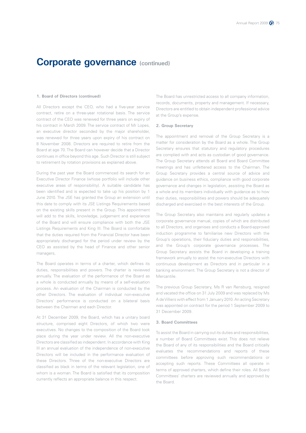### **1. Board of Directors (continued)**

All Directors except the CEO, who had a five-year service contract, retire on a three-year rotational basis. The service contract of the CEO was renewed for three years on expiry of his contract in March 2009. The service contract of Mr Lopes, an executive director seconded by the major shareholder, was renewed for three years upon expiry of his contract on 8 November 2008. Directors are required to retire from the Board at age 70. The Board can however decide that a Director continues in office beyond this age. Such Director is still subject to retirement by rotation provisions as explained above.

During the past year the Board commenced its search for an Executive Director Finance (whose portfolio will include other executive areas of responsibility). A suitable candidate has been identified and is expected to take up his position by 1 June 2010. The JSE has granted the Group an extension until this date to comply with its JSE Listings Requirements based on the existing skills present in the Group. This appointment will add to the skills, knowledge, judgement and experience of the Board and will ensure compliance with both the JSE Listings Requirements and King III. The Board is comfortable that the duties required from the Financial Director have been appropriately discharged for the period under review by the CEO as assisted by the head of Finance and other senior managers,

The Board operates in terms of a charter, which defines its duties, responsibilities and powers. The charter is reviewed annually. The evaluation of the performance of the Board as a whole is conducted annually by means of a self-evaluation process. An evaluation of the Chairman is conducted by the other Directors. The evaluation of individual non-executive Directors' performance is conducted on a bilateral basis between the Chairman and each Director.

At 31 December 2009, the Board, which has a unitary board structure, comprised eight Directors, of which two were executives. No changes to the composition of the Board took place during the year under review. All the non-executive Directors are classified as independent. In accordance with King III an annual evaluation of the independence of non-executive Directors will be included in the performance evaluation of these Directors. Three of the non-executive Directors are classified as black in terms of the relevant legislation, one of whom is a woman. The Board is satisfied that its composition currently reflects an appropriate balance in this respect.

The Board has unrestricted access to all company information, records, documents, property and management. If necessary, Directors are entitled to obtain independent professional advice at the Group's expense.

### **2. Group Secretary**

The appointment and removal of the Group Secretary is a matter for consideration by the Board as a whole. The Group Secretary ensures that statutory and regulatory procedures are complied with and acts as custodian of good governance. The Group Secretary attends all Board and Board Committee meetings and has unfettered access to the Chairman. The Group Secretary provides a central source of advice and guidance on business ethics, compliance with good corporate governance and changes in legislation, assisting the Board as a whole and its members individually with guidance as to how their duties, responsibilities and powers should be adequately discharged and exercised in the best interests of the Group.

The Group Secretary also maintains and regularly updates a corporate governance manual, copies of which are distributed to all Directors, and organises and conducts a Board-approved induction programme to familiarise new Directors with the Group's operations, their fiduciary duties and responsibilities, and the Group's corporate governance processes. The Group Secretary assists the Board in developing a training framework annually to assist the non-executive Directors with continuous development as Directors and in particular in a banking environment. The Group Secretary is not a director of Mercantile.

The previous Group Secretary, Ms R van Rensburg, resigned and vacated the office on 31 July 2009 and was replaced by Ms A de Villiers with effect from 1 January 2010. An acting Secretary was appointed on contract for the period 1 September 2009 to 31 December 2009.

### **3. Board Committees**

To assist the Board in carrying out its duties and responsibilities, a number of Board Committees exist. This does not relieve the Board of any of its responsibilities and the Board critically evaluates the recommendations and reports of these committees before approving such recommendations or accepting such reports. These Committees all operate in terms of approved charters, which define their roles. All Board Committees' charters are reviewed annually and approved by the Board.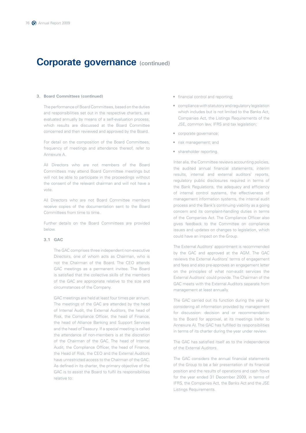### **3. Board Committees (continued)**

The performance of Board Committees, based on the duties and responsibilities set out in the respective charters, are evaluated annually by means of a self-evaluation process, which results are discussed at the Board Committee concerned and then reviewed and approved by the Board.

For detail on the composition of the Board Committees, frequency of meetings and attendance thereof, refer to Annexure A.

All Directors who are not members of the Board Committees may attend Board Committee meetings but will not be able to participate in the proceedings without the consent of the relevant chairman and will not have a vote.

All Directors who are not Board Committee members receive copies of the documentation sent to the Board Committees from time to time.

Further details on the Board Committees are provided below.

### **3.1 GAC**

The GAC comprises three independent non-executive Directors, one of whom acts as Chairman, who is not the Chairman of the Board. The CEO attends GAC meetings as a permanent invitee. The Board is satisfied that the collective skills of the members of the GAC are appropriate relative to the size and circumstances of the Company.

GAC meetings are held at least four times per annum. The meetings of the GAC are attended by the head of Internal Audit, the External Auditors, the head of Risk, the Compliance Officer, the head of Finance, the head of Alliance Banking and Support Services and the head of Treasury. If a special meeting is called the attendance of non-members is at the discretion of the Chairman of the GAC. The head of Internal Audit, the Compliance Officer, the head of Finance, the Head of Risk, the CEO and the External Auditors have unrestricted access to the Chairman of the GAC. As defined in its charter, the primary objective of the GAC is to assist the Board to fulfil its responsibilities relative to:

- financial control and reporting;
- compliance with statutory and regulatory legislation which includes but is not limited to the Banks Act, Companies Act, the Listings Requirements of the JSE, common law, IFRS and tax legislation;
- corporate governance;
- risk management; and
- shareholder reporting.

Inter alia, the Committee reviews accounting policies, the audited annual financial statements, interim results, internal and external auditors' reports, regulatory public disclosures required in terms of the Bank Regulations, the adequacy and efficiency of internal control systems, the effectiveness of management information systems, the internal audit process and the Bank's continuing viability as a going concern and its complaint-handling duties in terms of the Companies Act. The Compliance Officer also gives feedback to the Committee on compliance issues and updates on changes to legislation, which could have an impact on the Group.

The External Auditors' appointment is recommended by the GAC and approved at the AGM. The GAC reviews the External Auditors' terms of engagement and fees and also pre-approves an engagement letter on the principles of what non-audit services the External Auditors' could provide. The Chairman of the GAC meets with the External Auditors separate from management at least annually.

The GAC carried out its function during the year by considering all information provided by management for discussion: decision and or recommendation to the Board for approval, at its meetings (refer to Annexure A). The GAC has fulfilled its responsibilities in terms of its charter during the year under review.

The GAC has satisfied itself as to the independence of the External Auditors.

The GAC considers the annual financial statements of the Group to be a fair presentation of its financial position and the results of operations and cash flows for the year ended 31 December 2009, in terms of IFRS, the Companies Act, the Banks Act and the JSE Listings Requirements.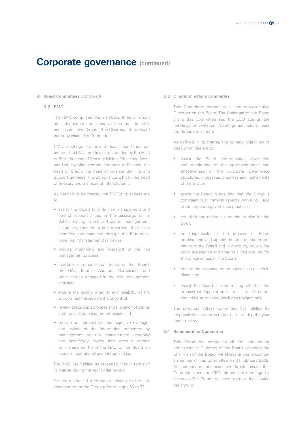### **3. Board Committees** (continued)

### **3.2 RMC**

The RMC comprises five members, three of whom are independent non-executive Directors, the CEO and an executive Director. The Chairman of the Board currently chairs this Committee.

RMC meetings are held at least four times per annum. The RMC meetings are attended by the head of Risk, the head of Treasury Middle Office and Asset and Liability Management, the head of Finance, the head of Credit, the head of Alliance Banking and Support Services, the Compliance Officer, the head of Treasury and the head of Internal Audit.

As defined in its charter, the RMC's objectives are to:

- assist the Board fulfil its risk management and control responsibilities in the discharge of its duties relating to risk and control management, assurance, monitoring and reporting of all risks identified and managed through the Enterprisewide Risk Management Framework;
- provide monitoring and oversight of the risk management process;
- facilitate communication between the Board, the GAC, Internal Auditors, Compliance and other parties engaged in the risk management activities;
- ensure the quality, integrity and reliability of the Group's risk management and control;
- review the Group's process and allocation of capital and the capital management policy; and
- provide an independent and objective oversight and review of the information presented by management on risk management generally and specifically, taking into account reports by management and the GAC to the Board on financial, operational and strategic risks.

The RMC has fulfilled its responsibilities in terms of its charter during the year under review.

For more detailed information relating to the risk management of the Group refer to pages 60 to 73.

#### **3.3 Directors' Affairs Committee**

 This Committee comprises all the non-executive Directors on the Board. The Chairman of the Board chairs this Committee and the CEO attends the meetings by invitation. Meetings are held at least four times per annum.

 As defined in its charter, the primary objectives of this Committee are to:

- assist the Board determination, evaluation and monitoring of the appropriateness and effectiveness of the corporate governance structures, processes, practices and instruments of the Group;
- assist the Board in ensuring that the Group is compliant in all material aspects with King II and other corporate governance practices;
- establish and maintain a continuity plan for the Board;
- be responsible for the process of Board nominations and appointments for recommendation to the Board and in doing so, review the skills, experience and other qualities required for the effectiveness of the Board;
- ensure that a management succession plan is in place; and
- assist the Board in determining whether the employment/appointment of any Directors should be terminated (excludes resignations).

The Directors' Affairs Committee has fulfilled its responsibilities in terms of its charter during the year under review.

### **3.4 Remuneration Committee**

 This Committee comprises all the independent non-executive Directors of the Board excluding the Chairman of the Board. Mr Njikizana was appointed a member of this Committee on 24 February 2009. An independent non-executive Director chairs this Committee and the CEO attends the meetings by invitation. The Committee must meet at least twice per annum.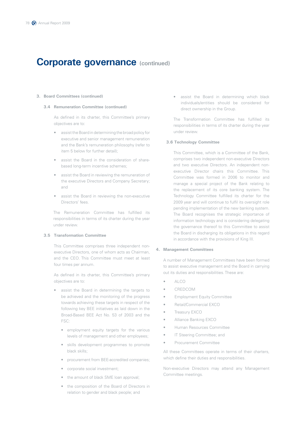### **3. Board Committees (continued)**

### **3.4 Remuneration Committee (continued)**

As defined in its charter, this Committee's primary objectives are to:

- assist the Board in determining the broad policy for executive and senior management remuneration and the Bank's remuneration philosophy (refer to item 5 below for further detail);
- assist the Board in the consideration of sharebased long-term incentive schemes;
- assist the Board in reviewing the remuneration of the executive Directors and Company Secretary; and
- assist the Board in reviewing the non-executive Directors' fees.

The Remuneration Committee has fulfilled its responsibilities in terms of its charter during the year under review.

### **3.5 Transformation Committee**

This Committee comprises three independent nonexecutive Directors, one of whom acts as Chairman, and the CEO. This Committee must meet at least four times per annum.

As defined in its charter, this Committee's primary objectives are to:

- assist the Board in determining the targets to be achieved and the monitoring of the progress towards achieving these targets in respect of the following key BEE initiatives as laid down in the Broad-Based BEE Act No. 53 of 2003 and the FSC:
	- employment equity targets for the various levels of management and other employees;
	- • skills development programmes to promote black skills;
	- procurement from BEE-accredited companies;
	- corporate social investment;
	- the amount of black SME loan approval;
	- the composition of the Board of Directors in relation to gender and black people; and

• assist the Board in determining which black individuals/entities should be considered for direct ownership in the Group.

The Transformation Committee has fulfilled its responsibilities in terms of its charter during the year under review.

### **3.6 Technology Committee**

This Committee, which is a Committee of the Bank, comprises two independent non-executive Directors and two executive Directors. An independent nonexecutive Director chairs this Committee. This Committee was formed in 2006 to monitor and manage a special project of the Bank relating to the replacement of its core banking system. The Technology Committee fulfilled its charter for the 2009 year and will continue to fulfil its oversight role pending implementation of the new banking system. The Board recognises the strategic importance of information technology and is considering delegating the governance thereof to this Committee to assist the Board in discharging its obligations in this regard in accordance with the provisions of King III.

### **4. Management Committees**

A number of Management Committees have been formed to assist executive management and the Board in carrying out its duties and responsibilities. These are:

- $\Delta$ LCO
- • CREDCOM
- **Employment Equity Committee**
- Retail/Commercial EXCO
- Treasury EXCO
- Alliance Banking EXCO
- Human Resources Committee
- IT Steering Committee; and
- Procurement Committee

All these Committees operate in terms of their charters, which define their duties and responsibilities.

Non-executive Directors may attend any Management Committee meetings.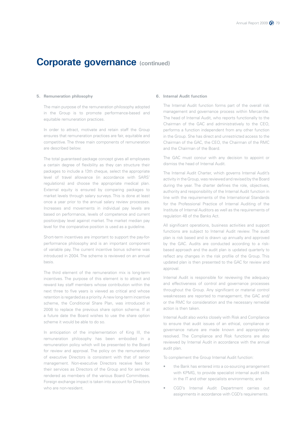### **5. Remuneration philosophy**

The main purpose of the remuneration philosophy adopted in the Group is to promote performance-based and equitable remuneration practices.

In order to attract, motivate and retain staff the Group ensures that remuneration practices are fair, equitable and competitive. The three main components of remuneration are described below.

The total guaranteed package concept gives all employees a certain degree of flexibility as they can structure their packages to include a 13th cheque, select the appropriate level of travel allowance (in accordance with SARS' regulations) and choose the appropriate medical plan. External equity is ensured by comparing packages to market levels through salary surveys. This is done at least once a year prior to the annual salary review processes. Increases and movements in individual pay levels are based on performance, levels of competence and current position/pay level against market. The market median pay level for the comparative position is used as a guideline.

Short-term incentives are important to support the pay-forperformance philosophy and is an important component of variable pay. The current incentive bonus scheme was introduced in 2004. The scheme is reviewed on an annual basis.

The third element of the remuneration mix is long-term incentives. The purpose of this element is to attract and reward key staff members whose contribution within the next three to five years is viewed as critical and whose retention is regarded as a priority. A new long-term incentive scheme, the Conditional Share Plan, was introduced in 2008 to replace the previous share option scheme. If at a future date the Board wishes to use the share option scheme it would be able to do so.

In anticipation of the implementation of King III, the remuneration philosophy has been embodied in a remuneration policy which will be presented to the Board for review and approval. The policy on the remuneration of executive Directors is consistent with that of senior management. Non-executive Directors receive fees for their services as Directors of the Group and for services rendered as members of the various Board Committees. Foreign exchange impact is taken into account for Directors who are non-resident.

### **6. Internal Audit function**

The Internal Audit function forms part of the overall risk management and governance process within Mercantile. The head of Internal Audit, who reports functionally to the Chairman of the GAC and administratively to the CEO, performs a function independent from any other function in the Group. She has direct and unrestricted access to the Chairman of the GAC, the CEO, the Chairman of the RMC and the Chairman of the Board.

The GAC must concur with any decision to appoint or dismiss the head of Internal Audit.

The Internal Audit Charter, which governs Internal Audit's activity in the Group, was reviewed and revised by the Board during the year. The charter defines the role, objectives, authority and responsibility of the Internal Audit function in line with the requirements of the International Standards for the Professional Practice of Internal Auditing of the Institute of Internal Auditors as well as the requirements of regulation 48 of the Banks Act.

All significant operations, business activities and support functions are subject to Internal Audit review. The audit plan is risk based and is drawn up annually and approved by the GAC. Audits are conducted according to a riskbased approach and the audit plan is updated quarterly to reflect any changes in the risk profile of the Group. This updated plan is then presented to the GAC for review and approval.

Internal Audit is responsible for reviewing the adequacy and effectiveness of control and governance processes throughout the Group. Any significant or material control weaknesses are reported to management, the GAC and/ or the RMC for consideration and the necessary remedial action is then taken.

Internal Audit also works closely with Risk and Compliance to ensure that audit issues of an ethical, compliance or governance nature are made known and appropriately resolved. The Compliance and Risk functions are also reviewed by Internal Audit in accordance with the annual audit plan.

To complement the Group Internal Audit function:

- the Bank has entered into a co-sourcing arrangement with KPMG, to provide specialist internal audit skills in the IT and other specialists environments; and
- CGD's Internal Audit Department carries out assignments in accordance with CGD's requirements.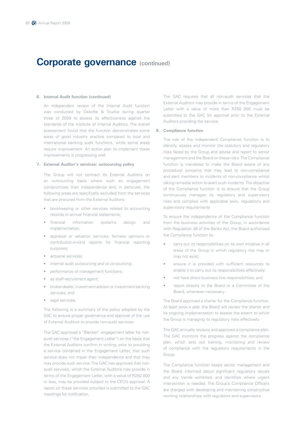#### **6. Internal Audit function (continued)**

An independent review of the Internal Audit function was conducted by Deloitte & Touche during quarter three of 2009 to assess its effectiveness against the standards of the Institute of Internal Auditors. The overall assessment found that the function demonstrates some areas of good industry practice compared to local and international banking audit functions, while some areas require improvement. An action plan to implement these improvements is progressing well.

### **7. External Auditor's services: outsourcing policy**

The Group will not contract its External Auditors on an outsourcing basis where such an engagement compromises their independence and, in particular, the following areas are specifically excluded from the services that are procured from the External Auditors:

- bookkeeping or other services related to accounting records or annual financial statements;
- financial information systems design and implementation;
- appraisal or valuation services, fairness opinions or contribution-in-kind reports for financial reporting purposes;
- actuarial services;
- internal audit outsourcing and or co-sourcing;
- performance of management functions;
- as staff-recruitment agent:
- • broker-dealer, investment advisor or investment banking services; and
- legal services.

The following is a summary of the policy adopted by the GAC to ensure proper governance and approval of the use of External Auditors to provide non-audit services:

The GAC approved a "Blanket" engagement letter for nonaudit services ("the Engagement Letter") on the basis that the External Auditors confirm in writing, prior to providing a service contained in the Engagement Letter, that such service does not impair their independence and that they may provide such service. The GAC has approved that nonaudit services, which the External Auditors may provide in terms of the Engagement Letter, with a value of R250 000 or less, may be provided subject to the CEO's approval. A report on these services provided is submitted to the GAC meetings for notification.

The GAC requires that all non-audit services that the External Auditors may provide in terms of the Engagement Letter with a value of more than R250 000 must be submitted to the GAC for approval prior to the External Auditors providing the service.

### **8. Compliance function**

The role of the independent Compliance function is to identify, assess and monitor the statutory and regulatory risks faced by the Group and advise and report to senior management and the Board on these risks. The Compliance function is mandated to make the Board aware of any procedural concerns that may lead to non-compliance and alert members to incidents of non-compliance whilst taking remedial action to avert such incidents. The objective of the Compliance function is to ensure that the Group continuously manages its regulatory and supervisory risks and complies with applicable laws, regulations and supervisory requirements

To ensure the independence of the Compliance function from the business activities of the Group, in accordance with Regulation 49 of the Banks Act, the Board authorised the Compliance function to:

- carry out its responsibilities on its own initiative in all areas of the Group in which regulatory risk may or may not exist;
- ensure it is provided with sufficient resources to enable it to carry out its responsibilities effectively;
- not have direct business line responsibilities; and
- report directly to the Board or a Committee of the Board, whenever necessary.

The Board approved a charter for the Compliance function. At least once a year, the Board will review the charter and its ongoing implementation to assess the extent to which the Group is managing its regulatory risks effectively.

The GAC annually reviews and approves a compliance plan. The GAC monitors the progress against the compliance plan, which sets out training, monitoring and review of compliance with the regulatory requirements in the Group

The Compliance function keeps senior management and the Board informed about significant regulatory issues and any trends exhibited, and identifies where urgent intervention is needed. The Group's Compliance Officers are charged with developing and maintaining constructive working relationships with regulators and supervisors.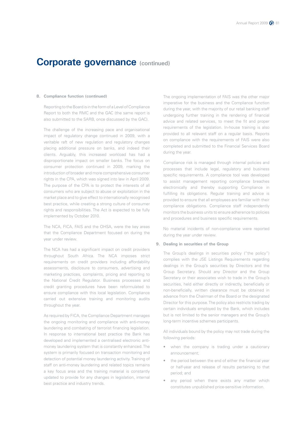### **8. Compliance function (continued)**

Reporting to the Board is in the form of a Level of Compliance Report to both the RMC and the GAC (the same report is also submitted to the SARB, once discussed by the GAC).

The challenge of the increasing pace and organisational impact of regulatory change continued in 2009, with a veritable raft of new regulation and regulatory changes placing additional pressure on banks, and indeed their clients. Arguably, this increased workload has had a disproportionate impact on smaller banks. The focus on consumer protection continued in 2009, marking the introduction of broader and more comprehensive consumer rights in the CPA, which was signed into law in April 2009. The purpose of the CPA is to protect the interests of all consumers who are subject to abuse or exploitation in the market place and to give effect to internationally recognised best practice, while creating a strong culture of consumer rights and responsibilities. The Act is expected to be fully implemented by October 2010.

The NCA, FICA, FAIS and the OHSA, were the key areas that the Compliance Department focused on during the year under review.

The NCA has had a significant impact on credit providers throughout South Africa. The NCA imposes strict requirements on credit providers including affordability assessments, disclosure to consumers, advertising and marketing practices, complaints, pricing and reporting to the National Credit Regulator. Business processes and credit granting procedures have been reformulated to ensure compliance with this local legislation. Compliance carried out extensive training and monitoring audits throughout the year.

As required by FICA, the Compliance Department manages the ongoing monitoring and compliance with anti-money laundering and combating of terrorist financing legislation. In response to international best practice the Bank has developed and implemented a centralised electronic antimoney laundering system that is constantly enhanced. The system is primarily focused on transaction monitoring and detection of potential money laundering activity. Training of staff on anti-money laundering and related topics remains a key focus area and the training material is constantly updated to provide for any changes in legislation, internal best practice and industry trends.

The ongoing implementation of FAIS was the other major imperative for the business and the Compliance function during the year, with the majority of our retail banking staff undergoing further training in the rendering of financial advice and related services, to meet the fit and proper requirements of the legislation. In-house training is also provided to all relevant staff on a regular basis. Reports on compliance with the requirements of FAIS were also completed and submitted to the Financial Services Board during the year.

Compliance risk is managed through internal policies and processes that include legal, regulatory and business specific requirements. A compliance tool was developed to assist management reporting compliance breaches electronically and thereby supporting Compliance in fulfilling its obligations. Regular training and advice is provided to ensure that all employees are familiar with their compliance obligations. Compliance staff independently monitors the business units to ensure adherence to policies and procedures and business specific requirements.

No material incidents of non-compliance were reported during the year under review.

### **9. Dealing in securities of the Group**

The Group's dealings in securities policy ("the policy") complies with the JSE Listings Requirements regarding dealings in the Group's securities by Directors and the Group Secretary. Should any Director and the Group Secretary or their associates wish to trade in the Group's securities, held either directly or indirectly, beneficially or non-beneficially, written clearance must be obtained in advance from the Chairman of the Board or the designated Director for this purpose. The policy also restricts trading by certain individuals employed by the Bank, which includes but is not limited to the senior managers and the Group's long-term incentive schemes participants.

All individuals bound by the policy may not trade during the following periods:

- when the company is trading under a cautionary announcement;
- the period between the end of either the financial year or half-year and release of results pertaining to that period; and
- any period when there exists any matter which constitutes unpublished price-sensitive information.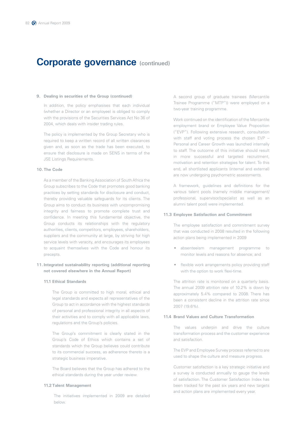### **9. Dealing in securities of the Group (continued)**

In addition, the policy emphasises that each individual (whether a Director or an employee) is obliged to comply with the provisions of the Securities Services Act No 36 of 2004, which deals with insider trading rules.

The policy is implemented by the Group Secretary who is required to keep a written record of all written clearances given and, as soon as the trade has been executed, to ensure that disclosure is made on SENS in terms of the JSE Listings Requirements.

### **10.The Code**

As a member of the Banking Association of South Africa the Group subscribes to the Code that promotes good banking practices by setting standards for disclosure and conduct, thereby providing valuable safeguards for its clients. The Group aims to conduct its business with uncompromising integrity and fairness to promote complete trust and confidence. In meeting this fundamental objective, the Group conducts its relationships with the regulatory authorities, clients, competitors, employees, shareholders, suppliers and the community at large, by striving for high service levels with veracity, and encourages its employees to acquaint themselves with the Code and honour its precepts.

### **11.Integrated sustainability reporting (additional reporting not covered elsewhere in the Annual Report)**

### **11.1 Ethical Standards**

The Group is committed to high moral, ethical and legal standards and expects all representatives of the Group to act in accordance with the highest standards of personal and professional integrity in all aspects of their activities and to comply with all applicable laws, regulations and the Group's policies.

The Group's commitment is clearly stated in the Group's Code of Ethics which contains a set of standards which the Group believes could contribute to its commercial success, as adherence thereto is a strategic business imperative.

The Board believes that the Group has adhered to the ethical standards during the year under review.

### **11.2 Talent Management**

The initiatives implemented in 2009 are detailed below.

A second group of graduate trainees (Mercantile Trainee Programme ("MTP")) were employed on a two-year training programme.

Work continued on the identification of the Mercantile employment brand or Employee Value Proposition ("EVP"). Following extensive research, consultation with staff and voting process the chosen EVP – Personal and Career Growth was launched internally to staff. The outcome of this initiative should result in more successful and targeted recruitment, motivation and retention strategies for talent. To this end, all shortlisted applicants (internal and external) are now undergoing psychometric assessments.

A framework, guidelines and definitions for the various talent pools (namely middle management/ professional, supervisor/specialist as well as an alumni talent pool) were implemented.

#### **11.3 Employee Satisfaction and Commitment**

The employee satisfaction and commitment survey that was conducted in 2008 resulted in the following action plans being implemented in 2009

- absenteeism management programme to monitor levels and reasons for absence; and
- flexible work arrangements policy providing staff with the option to work flexi-time.

The attrition rate is monitored on a quarterly basis. The annual 2009 attrition rate of 10.2% is down by approximately 5.4% compared to 2008. There has been a consistent decline in the attrition rate since 2007 (19.6%).

### **11.4 Brand Values and Culture Transformation**

The values underpin and drive the culture transformation process and the customer experience and satisfaction.

The EVP and Employee Survey process referred to are used to shape the culture and measure progress.

Customer satisfaction is a key strategic initiative and a survey is conducted annually to gauge the levels of satisfaction. The Customer Satisfaction Index has been tracked for the past six years and new targets and action plans are implemented every year.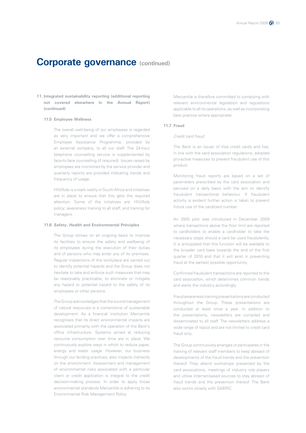### **11.Integrated sustainability reporting (additional reporting not covered elsewhere in the Annual Report) (continued)**

### **11.5 Employee Wellness**

The overall well-being of our employees is regarded as very important and we offer a comprehensive Employee Assistance Programme, provided by an external company, to all our staff. The 24-hour telephone counselling service is supplemented by face-to-face counselling (if required). Issues raised by employees are monitored by the service provider and quarterly reports are provided indicating trends and frequency of usage.

HIV/Aids is a stark reality in South Africa and initiatives are in place to ensure that this gets the required attention. Some of the initiatives are: HIV/Aids policy; awareness training to all staff; and training for managers.

### **11.6 Safety, Health and Environmental Principles**

The Group strives on an ongoing basis to improve its facilities to ensure the safety and wellbeing of its employees during the execution of their duties and of persons who may enter any of its premises. Regular inspections of the workplace are carried out to identify potential hazards and the Group does not hesitate to take and enforce such measures that may be reasonably practicable, to eliminate or mitigate any hazard or potential hazard to the safety of its employees or other persons.

The Group acknowledges that the sound management of natural resources is a cornerstone of sustainable development. As a financial institution Mercantile recognises that its direct environmental impacts are associated primarily with the operation of the Bank's office infrastructure. Systems aimed at reducing resource consumption over time are in place. We continuously explore ways in which to reduce paper, energy and water usage. However, our business through our lending practices, also impacts indirectly on the environment. Assessment and management of environmental risks associated with a particular client or credit application is integral to the credit decision-making process. In order to apply those environmental standards Mercantile is adhering to its Environmental Risk Management Policy.

Mercantile is therefore committed to complying with relevant environmental legislation and regulations applicable to all its operations, as well as incorporating best practice where appropriate.

### **11.7 Fraud**

### *Credit card fraud:*

The Bank is an issuer of Visa credit cards and has, in line with the card association regulations, adopted pro-active measures to prevent fraudulent use of this product.

Monitoring fraud reports are based on a set of parameters prescribed by the card association and perused on a daily basis with the aim to identify fraudulent transactional behaviour. If fraudulent activity is evident further action is taken to prevent future use of the card/card number.

An SMS pilot was introduced in December 2009 where transactions above the floor limit are reported to cardholders to enable a cardholder to take the necessary steps should a card be used fraudulently. It is anticipated that this function will be available to the broader card base towards the end of the first quarter of 2010 and that it will asist in preventing fraud at the earliest possible opportunity.

Confirmed fraudulent transactions are reported to the card association, which determines common trends and alerts the industry accordingly.

Fraud awareness training presentations are conducted throughout the Group. These presentations are conducted at least once a year. In addition to the presentations, newsletters are compiled and disseminated to all staff. The newsletters address a wide range of topics and are not limited to credit card fraud only.

The Group continuously arranges or participates in the training of relevant staff members to keep abreast of developments of the fraud trends and the prevention thereof. They attend workshops presented by the card associations, meetings of industry role players and utilise internet-based sources to stay abreast of fraud trends and the prevention thereof. The Bank also works closely with SABRIC.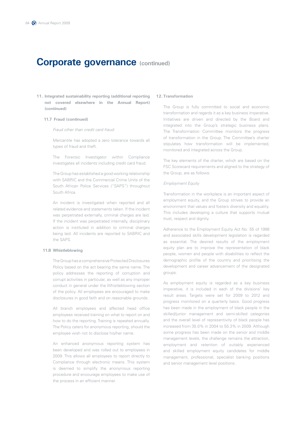**11. Integrated sustainability reporting (additional reporting not covered elsewhere in the Annual Report) (continued)**

### **11.7 Fraud (continued)**

*Fraud other than credit card fraud:*

Mercantile has adopted a zero tolerance towards all types of fraud and theft.

The Forensic Investigator within Compliance investigates all incidents including credit card fraud.

The Group has established a good working relationship with SABRIC and the Commercial Crime Units of the South African Police Services ("SAPS") throughout South Africa.

An incident is investigated when reported and all related evidence and statements taken. If the incident was perpetrated externally, criminal charges are laid. If the incident was perpetrated internally, disciplinary action is instituted in addition to criminal charges being laid. All incidents are reported to SABRIC and the SAPS.

### **11.8 Whistleblowing**

The Group has a comprehensive Protected Disclosures Policy based on the act bearing the same name. The policy addresses the reporting of corruption and corrupt activities in particular, as well as any improper conduct in general under the Whistleblowing section of the policy. All employees are encouraged to make disclosures in good faith and on reasonable grounds.

All branch employees and affected head office employees received training on what to report on and how to do the reporting. Training is repeated annually. The Policy caters for anonymous reporting, should the employee wish not to disclose his/her name.

An enhanced anonymous reporting system has been developed and was rolled out to employees in 2009. This allows all employees to report directly to Compliance through electronic means. This system is deemed to simplify the anonymous reporting procedure and encourage employees to make use of the process in an efficient manner.

### **12.Transformation**

The Group is fully committed to social and economic transformation and regards it as a key business imperative. Initiatives are driven and directed by the Board and integrated into the Group's strategic business plans. The Transformation Committee monitors the progress of transformation in the Group. The Committee's charter stipulates how transformation will be implemented, monitored and integrated across the Group.

The key elements of the charter, which are based on the FSC Scorecard requirements and aligned to the strategy of the Group, are as follows:

### *Employment Equity*

Transformation in the workplace is an important aspect of employment equity, and the Group strives to provide an environment that values and fosters diversity and equality. This includes developing a culture that supports mutual trust, respect and dignity.

Adherence to the Employment Equity Act No. 55 of 1998 and associated skills development legislation is regarded as essential. The desired results of the employment equity plan are to improve the representation of black people, women and people with disabilities to reflect the demographic profile of the country and prioritising the development and career advancement of the designated groups.

As employment equity is regarded as a key business imperative, it is included in each of the divisions' key result areas. Targets were set for 2009 to 2012 and progress monitored on a quarterly basis. Good progress has been made in the employment of black people in the skilled/junior management and semi-skilled categories and the overall level of representivity of black people has increased from 35.0% in 2004 to 55.3% in 2009. Although some progress has been made on the senior and middle management levels, the challenge remains the attraction, employment and retention of suitably experienced and skilled employment equity candidates for middle management, professional, specialist banking positions and senior management level positions.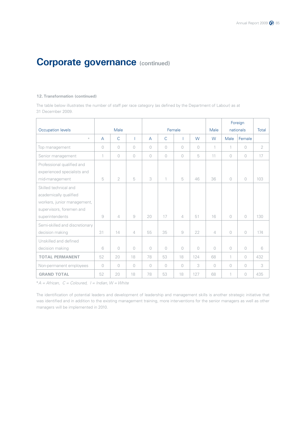### **12.Transformation (continued)**

The table below illustrates the number of staff per race category (as defined by the Department of Labour) as at 31 December 2009.

|                                                                                                            |                |                |                |                |               |                |            |          |            | Foreign    |                |
|------------------------------------------------------------------------------------------------------------|----------------|----------------|----------------|----------------|---------------|----------------|------------|----------|------------|------------|----------------|
| Occupation levels                                                                                          |                | Male           |                |                |               | Female         |            | Male     |            | nationals  | Total          |
| $\divideontimes$                                                                                           | $\overline{A}$ | $\mathsf{C}$   | 1              | $\overline{A}$ | $\mathcal{C}$ |                | W          | W        | Male       | Female     |                |
| Top management                                                                                             | $\bigcirc$     | $\bigcirc$     | $\bigcirc$     | $\bigcirc$     | $\bigcirc$    | $\bigcirc$     | $\bigcirc$ | 1        | 1          | $\bigcirc$ | $\overline{2}$ |
| Senior management                                                                                          | 1              | $\bigcirc$     | $\bigcirc$     | $\bigcirc$     | $\bigcirc$    | $\bigcirc$     | 5          | 11       | $\bigcirc$ | $\Omega$   | 17             |
| Professional qualified and<br>experienced specialists and<br>mid-management                                | 5              | $\overline{2}$ | 5              | 3              | 1             | 5              | 46         | 36       | $\circ$    | $\bigcap$  | 103            |
| Skilled technical and<br>academically qualified<br>workers, junior management,<br>supervisors, foremen and |                |                |                |                |               |                |            |          |            |            |                |
| superintendents                                                                                            | 9              | $\overline{4}$ | 9              | 20             | 17            | $\overline{4}$ | 51         | 16       | $\circ$    | $\bigcirc$ | 130            |
| Semi-skilled and discretionary<br>decision making                                                          | 31             | 14             | $\overline{4}$ | 55             | 35            | 9              | 22         | 4        | $\bigcirc$ | $\bigcap$  | 174            |
| Unskilled and defined<br>decision making                                                                   | 6              | $\bigcirc$     | $\bigcirc$     | $\Omega$       | $\bigcirc$    | $\bigcirc$     | $\bigcap$  | 0        | $\circ$    | $\bigcap$  | 6              |
| <b>TOTAL PERMANENT</b>                                                                                     | 52             | 20             | 18             | 78             | 53            | 18             | 124        | 68       | 1          | $\bigcirc$ | 432            |
| Non-permanent employees                                                                                    | $\bigcirc$     | $\bigcirc$     | $\bigcirc$     | $\bigcirc$     | $\bigcirc$    | $\bigcirc$     | 3          | $\Omega$ | $\bigcirc$ | $\bigcap$  | 3              |
| <b>GRAND TOTAL</b>                                                                                         | 52             | 20             | 18             | 78             | 53            | 18             | 127        | 68       | 1          | $\bigcap$  | 435            |

\**A = African, C = Coloured, I = Indian, W = White*

The identification of potential leaders and development of leadership and management skills is another strategic initiative that was identified and in addition to the existing management training, more interventions for the senior managers as well as other managers will be implemented in 2010.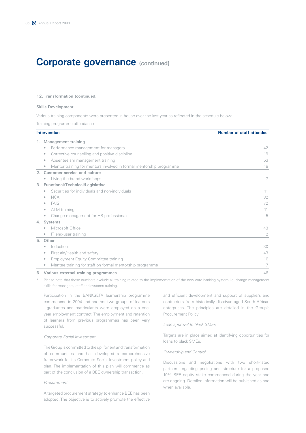### **12.Transformation (continued)**

### **Skills Development**

Various training components were presented in-house over the last year as reflected in the schedule below: Training programme attendance

|    |           | <b>Intervention</b>                                                 | <b>Number of staff attended</b> |
|----|-----------|---------------------------------------------------------------------|---------------------------------|
| 1. |           | <b>Management training</b>                                          |                                 |
|    | ۰         | Performance management for managers                                 | 42                              |
|    | ۰         | Corrective counselling and positive discipline                      | 19                              |
|    | $\bullet$ | Absenteeism management training                                     | 53                              |
|    | ۰         | Mentor training for mentors involved in formal mentorship programme | 18                              |
|    |           | 2. Customer service and culture                                     |                                 |
|    |           | Living the brand workshops                                          | 7                               |
|    |           | 3. Functional/Technical/Legislative                                 |                                 |
|    | ۰         | Securities for individuals and non-individuals                      | 11                              |
|    | ۰         | <b>NCA</b>                                                          | 32                              |
|    | ۰         | FAIS                                                                | 72                              |
|    | ۰         | <b>ALM</b> training                                                 | 11                              |
|    | ۰         | Change management for HR professionals                              | 5                               |
|    |           | 4. Systems                                                          |                                 |
|    |           | Microsoft Office                                                    | 43                              |
|    | $\bullet$ | IT end-user training                                                | 2                               |
|    |           | 5. Other                                                            |                                 |
|    |           | Induction                                                           | 30                              |
|    | ۰         | First aid/Health and safety                                         | 43                              |
|    | ۰         | <b>Employment Equity Committee training</b>                         | 16                              |
|    | ۰         | Mentee training for staff on formal mentorship programme            | 17                              |
|    |           | 6. Various external training programmes                             | 46                              |

Please note that these numbers exclude all training related to the implementation of the new core banking system i.e. change management skills for managers, staff and systems training.

Participation in the BANKSETA learnership programme commenced in 2004 and another two groups of learners - graduates and matriculants were employed on a oneyear employment contract. The employment and retention of learners from previous programmes has been very successful.

#### *Corporate Social Investment*

The Group is committed to the upliftment and transformation of communities and has developed a comprehensive framework for its Corporate Social Investment policy and plan. The implementation of this plan will commence as part of the conclusion of a BEE ownership transaction.

#### *Procurement*

A targeted procurement strategy to enhance BEE has been adopted. The objective is to actively promote the effective

and efficient development and support of suppliers and contractors from historically disadvantaged South African enterprises. The principles are detailed in the Group's Procurement Policy.

### *Loan approval to black SMEs*

Targets are in place aimed at identifying opportunities for loans to black SMEs.

### *Ownership and Control*

Discussions and negotiations with two short-listed partners regarding pricing and structure for a proposed 10% BEE equity stake commenced during the year and are ongoing. Detailed information will be published as and when available.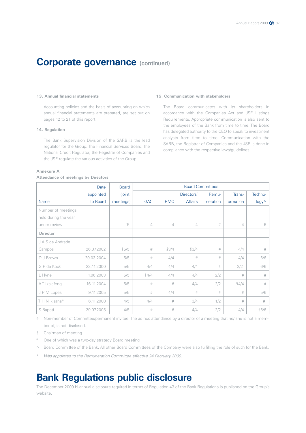### **13. Annual financial statements**

Accounting policies and the basis of accounting on which annual financial statements are prepared, are set out on pages 12 to 21 of this report.

### **14. Regulation**

The Bank Supervision Division of the SARB is the lead regulator for the Group. The Financial Services Board, the National Credit Regulator, the Registrar of Companies and the JSE regulate the various activities of the Group.

### **Annexure A**

### **Attendance of meetings by Directors**

#### **15. Communication with stakeholders**

The Board communicates with its shareholders in accordance with the Companies Act and JSE Listings Requirements. Appropriate communication is also sent to the employees of the Bank from time to time. The Board has delegated authority to the CEO to speak to investment analysts from time to time. Communication with the SARB, the Registrar of Companies and the JSE is done in compliance with the respective laws/guidelines.

|                      | Date       | <b>Board</b>         | <b>Board Committees</b> |                |                |          |           |                   |
|----------------------|------------|----------------------|-------------------------|----------------|----------------|----------|-----------|-------------------|
|                      | appointed  | (joint)              |                         |                | Directors'     | Remu-    | Trans-    | Techno-           |
| Name                 | to Board   | meetings)            | <b>GAC</b>              | <b>RMC</b>     | <b>Affairs</b> | neration | formation | logy <sup>^</sup> |
| Number of meetings   |            |                      |                         |                |                |          |           |                   |
| held during the year |            |                      |                         |                |                |          |           |                   |
| under review         |            | $\circ$ <sub>5</sub> | 4                       | $\overline{4}$ | 4              | 2        | 4         | 6                 |
| <b>Director</b>      |            |                      |                         |                |                |          |           |                   |
| J A S de Andrade     |            |                      |                         |                |                |          |           |                   |
| Campos               | 26.07.2002 | \$5/5                | #                       | \$3/4          | \$3/4          | #        | 4/4       | #                 |
| D J Brown            | 29.03.2004 | 5/5                  | #                       | 4/4            | #              | #        | 4/4       | 6/6               |
| G P de Kock          | 23.11.2000 | 5/5                  | 4/4                     | 4/4            | 4/4            | ş        | 2/2       | 6/6               |
| L Hyne               | 1.06.2003  | 5/5                  | \$4/4                   | 4/4            | 4/4            | 2/2      | #         | #                 |
| AT Ikalafeng         | 16.11.2004 | 5/5                  | #                       | #              | 4/4            | 2/2      | §4/4      | $\#$              |
| J P M Lopes          | 9.11.2005  | 5/5                  | #                       | 4/4            | #              | #        | $\#$      | 5/6               |
| TH Njikizana*        | 6.11.2008  | 4/5                  | 4/4                     | #              | 3/4            | 1/2      | $\#$      | #                 |
| S Rapeti             | 29.07.2005 | 4/5                  | #                       | #              | 4/4            | 2/2      | 4/4       | \$6/6             |

# Non-member of Committee/permanent invitee. The ad hoc attendance by a director of a meeting that he/ she is not a member of, is not disclosed.

- § Chairman of meeting
- º One of which was a two-day strategy Board meeting
- ^ Board Committee of the Bank. All other Board Committees of the Company were also fulfilling the role of such for the Bank.
- \* *Was appointed to the Remuneration Committee effective 24 February 2009.*

## **Bank Regulations public disclosure**

The December 2009 bi-annual disclosure required in terms of Regulation 43 of the Bank Regulations is published on the Group's website.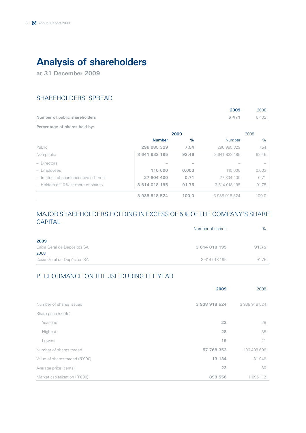# **Analysis of shareholders**

**at 31 December 2009**

### SHAREHOLDERS' SPREAD

|                                      |               |       | 2009          | 2008  |
|--------------------------------------|---------------|-------|---------------|-------|
| Number of public shareholders        |               |       | 6471          | 6402  |
| Percentage of shares held by:        |               |       |               |       |
|                                      |               | 2009  |               | 2008  |
|                                      | <b>Number</b> | %     | Number        | $\%$  |
| Public                               | 296 985 329   | 7.54  | 296 985 329   | 7.54  |
| Non-public                           | 3 641 933 195 | 92.46 | 3 641 933 195 | 92.46 |
| - Directors                          |               |       |               |       |
| - Employees                          | 110 600       | 0.003 | 110 600       | 0.003 |
| - Trustees of share incentive scheme | 27 804 400    | 0.71  | 27 804 400    | 0.71  |
| - Holders of 10% or more of shares   | 3 614 018 195 | 91.75 | 3 614 018 195 | 91.75 |
|                                      | 3 938 918 524 | 100.0 | 3 938 918 524 | 100.0 |

### MAJOR SHAREHOLDERS HOLDING IN EXCESS OF 5% OF THE COMPANY'S SHARE CAPITAL

|                             | Number of shares | $\%$  |
|-----------------------------|------------------|-------|
| 2009                        |                  |       |
| Caixa Geral de Depósitos SA | 3 614 018 195    | 91.75 |
| 2008                        |                  |       |
| Caixa Geral de Depósitos SA | 3 614 018 195    | 91.75 |

### PERFORMANCE ON THE JSE DURING THE YEAR

|                                | 2009          | 2008          |
|--------------------------------|---------------|---------------|
|                                |               |               |
| Number of shares issued        | 3 938 918 524 | 3 938 918 524 |
| Share price (cents)            |               |               |
| Year-end                       | 23            | 28            |
| Highest                        | 28            | 38            |
| Lowest                         | 19            | 21            |
| Number of shares traded        | 57 768 353    | 106 408 606   |
| Value of shares traded (R'000) | 13 134        | 31 946        |
| Average price (cents)          | 23            | 30            |
| Market capitalisation (R'000)  | 899 556       | 1 095 112     |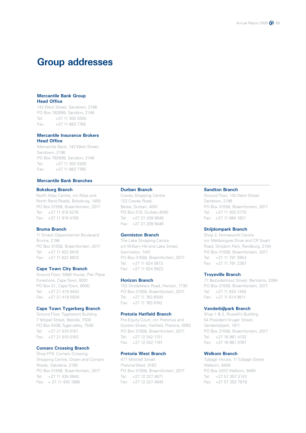## **Group addresses**

### **Mercantile Bank Group Head Office**

142 West Street, Sandown, 2196 PO Box 782699, Sandton, 2146 Tel: +27 11 302 0300 Fax: +27 11 883 7765

### **Mercantile Insurance Brokers Head Office**

Mercantile Bank, 142 West Street, Sandown, 2196 PO Box 782699, Sandton, 2146 Tel: +27 11 302 0300 Fax: +27 11 883 7765

### **Mercantile Bank Branches**

### **Boksburg Branch**

North Atlas Centre, cnr Atlas and North Rand Roads, Boksburg, 1459 PO Box 31558, Braamfontein, 2017 Tel: +27 11 918 5276 Fax: +27 11 918 4159

### **Bruma Branch**

11 Ernest Oppenheimer Boulevard Bruma, 2198 PO Box 31558, Braamfontein, 2017 Tel: +27 11 622 0916 Fax: +27 11 622 8833

### **Cape Town City Branch**

Ground Floor, M&B House, Pier Place Foreshore, Cape Town, 8001 PO Box 51, Cape Town, 8000 Tel: +27 21 419 9402 Fax: +27 21 419 5929

### **Cape Town Tygerberg Branch**

Ground Floor, Tygerpoort Building 7 Mispel Street, Belville, 7530 PO Box 5436, Tygervalley, 7536 Tel: +27 21 910 0161 Fax: +27 21 910 0163

### **Comaro Crossing Branch**

Shop FF9, Comaro Crossing Shopping Centre, Orpen and Comaro Roads, Oakdene, 2190 PO Box 31558, Braamfontein, 2017 Tel: +27 11 435 0640 Fax: + 27 11 435 1586

#### **Durban Branch**

Cowey Shopping Centre 123 Cowey Road, Berea, Durban, 4001 PO Box 519, Durban,4000 Tel: +27 31 209 9048 Fax: +27 31 209 9446

### **Germiston Branch**

The Lake Shopping Centre cnr William Hill and Lake Street, Germiston, 1401 PO Box 31558, Braamfontein, 2017 Tel: +27 11 824 5813 Fax: +27 11 824 5823

### **Horizon Branch**

153 Ontdekkers Road, Horizon, 1730 PO Box 31558, Braamfontein, 2017 Tel: +27 11 763 6000 Fax: +27 11 763 8742

### **Pretoria Hatfield Branch**

Pro-Equity Court, cnr Pretorius and Gordon Street, Hatfield, Pretoria, 0083 PO Box 31558, Braamfontein, 2017 Tel: +27 12 342 1151 Fax: +27 12 342 1191

### **Pretoria West Branch**

477 Mitchell Street Pretoria West, 0183 PO Box 31558, Braamfontein, 2017 Tel: +27 12 327 4671 Fax: +27 12 327 4645

#### **Sandton Branch**

Ground Floor, 142 West Street Sandown, 2196 PO Box 31558, Braamfontein, 2017 Tel: +27 11 302 0775 Fax: +27 11 884 1821

### **Strijdompark Branch**

Shop 2, Homeworld Centre cnr Malibongwe Drive and CR Swart Road, Strijdom Park, Randburg, 2194 PO Box 31558, Braamfontein, 2017 Tel: +27 11 791 0854 Fax: +27 11 791 2387

### **Troyeville Branch**

77 Bezuidenhout Street, Bertrams, 2094 PO Box 31558, Braamfontein, 2017 Tel: +27 11 624 1450 Fax: +27 11 614 9611

#### **Vanderbijlpark Branch**

Shop 1 & 2, Russell's Building 54 President Kruger Street, Vanderbijlpark, 1911 PO Box 31558, Braamfontein, 2017 Tel: +27 16 981 4132 Fax: +27 16 981 0767

### **Welkom Branch**

Tulbagh House, 11 Tulbagh Street Welkom, 9459 PO Box 2207, Welkom, 9460 Tel: +27 57 357 3143 Fax: +27 57 352 7879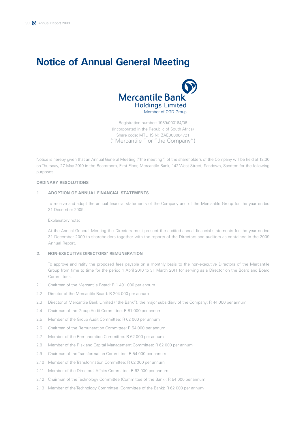## **Notice of Annual General Meeting**



Registration number: 1989/000164/06 (Incorporated in the Republic of South Africa) Share code: MTL ISIN: ZAE000064721 ("Mercantile " or "the Company")

Notice is hereby given that an Annual General Meeting ("the meeting") of the shareholders of the Company will be held at 12:30 on Thursday, 27 May 2010 in the Boardroom, First Floor, Mercantile Bank, 142 West Street, Sandown, Sandton for the following purposes:

### **ORDINARY RESOLUTIONS**

### **1. ADOPTION OF ANNUAL FINANCIAL STATEMENTS**

To receive and adopt the annual financial statements of the Company and of the Mercantile Group for the year ended 31 December 2009.

Explanatory note:

At the Annual General Meeting the Directors must present the audited annual financial statements for the year ended 31 December 2009 to shareholders together with the reports of the Directors and auditors as contained in the 2009 Annual Report.

### **2. NON-EXECUTIVE DIRECTORS' REMUNERATION**

To approve and ratify the proposed fees payable on a monthly basis to the non-executive Directors of the Mercantile Group from time to time for the period 1 April 2010 to 31 March 2011 for serving as a Director on the Board and Board Committees.

- 2.1 Chairman of the Mercantile Board: R 1 491 000 per annum
- 2.2 Director of the Mercantile Board: R 204 000 per annum
- 2.3 Director of Mercantile Bank Limited ("the Bank"), the major subsidiary of the Company: R 44 000 per annum
- 2.4 Chairman of the Group Audit Committee: R 81 000 per annum
- 2.5 Member of the Group Audit Committee: R 62 000 per annum
- 2.6 Chairman of the Remuneration Committee: R 54 000 per annum
- 2.7 Member of the Remuneration Committee: R 62 000 per annum
- 2.8 Member of the Risk and Capital Management Committee: R 62 000 per annum
- 2.9 Chairman of the Transformation Committee: R 54 000 per annum
- 2.10 Member of the Transformation Committee: R 62 000 per annum
- 2.11 Member of the Directors' Affairs Committee: R 62 000 per annum
- 2.12 Chairman of the Technology Committee (Committee of the Bank): R 54 000 per annum
- 2.13 Member of the Technology Committee (Committee of the Bank): R 62 000 per annum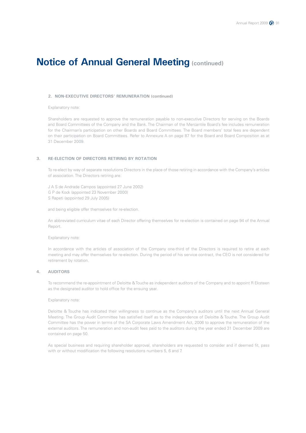## **Notice of Annual General Meeting (continued)**

### **2. NON-EXECUTIVE DIRECTORS' REMUNERATION (continued)**

#### Explanatory note:

Shareholders are requested to approve the remuneration payable to non-executive Directors for serving on the Boards and Board Committees of the Company and the Bank. The Chairman of the Mercantile Board's fee includes remuneration for the Chairman's participation on other Boards and Board Committees. The Board members' total fees are dependent on their participation on Board Committees. Refer to Annexure A on page 87 for the Board and Board Composition as at 31 December 2009.

### **3. RE-ELECTION OF DIRECTORS RETIRING BY ROTATION**

To re-elect by way of separate resolutions Directors in the place of those retiring in accordance with the Company's articles of association. The Directors retiring are:

J A S de Andrade Campos (appointed 27 June 2002) G P de Kock (appointed 23 November 2000) S Rapeti (appointed 29 July 2005)

and being eligible offer themselves for re-election.

An abbreviated curriculum vitae of each Director offering themselves for re-election is contained on page 94 of the Annual Report.

#### Explanatory note:

In accordance with the articles of association of the Company one-third of the Directors is required to retire at each meeting and may offer themselves for re-election. During the period of his service contract, the CEO is not considered for retirement by rotation.

### **4. AUDITORS**

To recommend the re-appointment of Deloitte & Touche as independent auditors of the Company and to appoint R Eksteen as the designated auditor to hold office for the ensuing year.

### Explanatory note:

Deloitte & Touche has indicated their willingness to continue as the Company's auditors until the next Annual General Meeting. The Group Audit Committee has satisfied itself as to the independence of Deloitte & Touche. The Group Audit Committee has the power in terms of the SA Corporate Laws Amendment Act, 2006 to approve the remuneration of the external auditors. The remuneration and non-audit fees paid to the auditors during the year ended 31 December 2009 are contained on page 50.

As special business and requiring shareholder approval, shareholders are requested to consider and if deemed fit, pass with or without modification the following resolutions numbers 5, 6 and 7.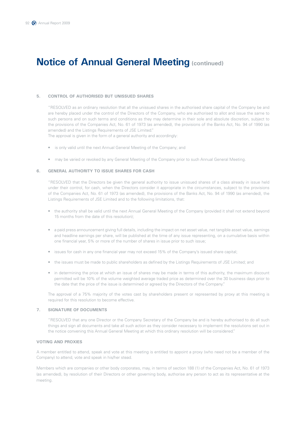# **Notice of Annual General Meeting (continued)**

### **5. CONTROL OF AUTHORISED BUT UNISSUED SHARES**

"RESOLVED as an ordinary resolution that all the unissued shares in the authorised share capital of the Company be and are hereby placed under the control of the Directors of the Company, who are authorised to allot and issue the same to such persons and on such terms and conditions as they may determine in their sole and absolute discretion, subject to the provisions of the Companies Act, No. 61 of 1973 (as amended), the provisions of the Banks Act, No. 94 of 1990 (as amended) and the Listings Requirements of JSE Limited."

The approval is given in the form of a general authority and accordingly:

- is only valid until the next Annual General Meeting of the Company; and
- may be varied or revoked by any General Meeting of the Company prior to such Annual General Meeting.

### **6. GENERAL AUTHORITY TO ISSUE SHARES FOR CASH**

"RESOLVED that the Directors be given the general authority to issue unissued shares of a class already in issue held under their control, for cash, when the Directors consider it appropriate in the circumstances, subject to the provisions of the Companies Act, No. 61 of 1973 (as amended), the provisions of the Banks Act, No. 94 of 1990 (as amended), the Listings Requirements of JSE Limited and to the following limitations, that:

- the authority shall be valid until the next Annual General Meeting of the Company (provided it shall not extend beyond 15 months from the date of this resolution);
- a paid press announcement giving full details, including the impact on net asset value, net tangible asset value, earnings and headline earnings per share, will be published at the time of any issue representing, on a cumulative basis within one financial year, 5% or more of the number of shares in issue prior to such issue;
- issues for cash in any one financial year may not exceed 15% of the Company's issued share capital;
- the issues must be made to public shareholders as defined by the Listings Requirements of JSE Limited; and
- in determining the price at which an issue of shares may be made in terms of this authority, the maximum discount permitted will be 10% of the volume weighted average traded price as determined over the 30 business days prior to the date that the price of the issue is determined or agreed by the Directors of the Company."

The approval of a 75% majority of the votes cast by shareholders present or represented by proxy at this meeting is required for this resolution to become effective.

### **7. SIGNATURE OF DOCUMENTS**

"RESOLVED that any one Director or the Company Secretary of the Company be and is hereby authorised to do all such things and sign all documents and take all such action as they consider necessary to implement the resolutions set out in the notice convening this Annual General Meeting at which this ordinary resolution will be considered."

### **VOTING AND PROXIES**

A member entitled to attend, speak and vote at this meeting is entitled to appoint a proxy (who need not be a member of the Company) to attend, vote and speak in his/her stead.

Members which are companies or other body corporates, may, in terms of section 188 (1) of the Companies Act, No. 61 of 1973 (as amended), by resolution of their Directors or other governing body, authorise any person to act as its representative at the meeting.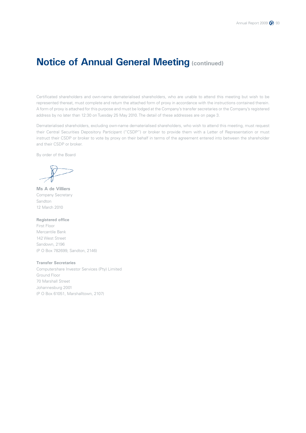## **Notice of Annual General Meeting (continued)**

Certificated shareholders and own-name dematerialised shareholders, who are unable to attend this meeting but wish to be represented thereat, must complete and return the attached form of proxy in accordance with the instructions contained therein. A form of proxy is attached for this purpose and must be lodged at the Company's transfer secretaries or the Company's registered address by no later than 12:30 on Tuesday 25 May 2010. The detail of these addresses are on page 3.

Dematerialised shareholders, excluding own-name dematerialised shareholders, who wish to attend this meeting, must request their Central Securities Depository Participant ("CSDP") or broker to provide them with a Letter of Representation or must instruct their CSDP or broker to vote by proxy on their behalf in terms of the agreement entered into between the shareholder and their CSDP or broker.

By order of the Board

**Ms A de Villiers**  Company Secretary Sandton 12 March 2010

### **Registered** office

First Floor Mercantile Bank 142 West Street Sandown, 2196 (P O Box 782699, Sandton, 2146)

### **Transfer Secretaries**

Computershare Investor Services (Pty) Limited Ground Floor 70 Marshall Street Johannesburg 2001 (P O Box 61051, Marshalltown, 2107)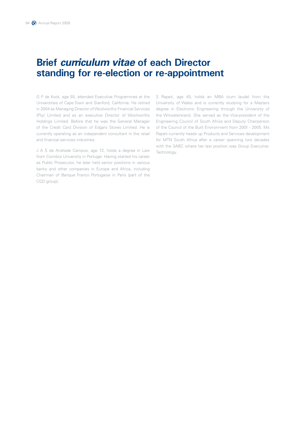## **Brief** *curriculum vitae* **of each Director standing for re-election or re-appointment**

G P de Kock, age 55, attended Executive Programmes at the Universities of Cape Town and Stanford, California. He retired in 2004 as Managing Director of Woolworths Financial Services (Pty) Limited and as an executive Director of Woolworths Holdings Limited. Before that he was the General Manager of the Credit Card Division of Edgars Stores Limited. He is currently operating as an independent consultant in the retail and financial services industries.

J A S de Andrade Campos, age 72, holds a degree in Law from Coimbra University in Portugal. Having started his career as Public Prosecutor, he later held senior positions in various banks and other companies in Europe and Africa, including Chairman of Banque Franco Portugaise in Paris (part of the CGD group).

S Rapeti, age 45, holds an MBA (cum laude) from the University of Wales and is currently studying for a Masters degree in Electronic Engineering through the University of the Witwatersrand. She served as the Vice-president of the Engineering Council of South Africa and Deputy Chairperson of the Council of the Built Environment from 2001 - 2005. Ms Rapeti currently heads up Products and Services development for MTN South Africa after a career spanning two decades with the SABC where her last position was Group Executive: Technology.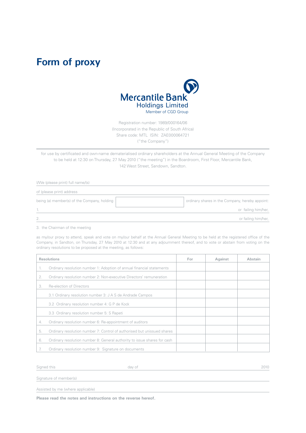## **Form of proxy**



Registration number: 1989/000164/06 (Incorporated in the Republic of South Africa) Share code: MTL ISIN: ZAE000064721 ("the Company")

for use by certificated and own-name dematerialised ordinary shareholders at the Annual General Meeting of the Company to be held at 12:30 on Thursday, 27 May 2010 ("the meeting") in the Boardroom, First Floor, Mercantile Bank, 142 West Street, Sandown, Sandton.

| I/We (please print) full name/(s)           |                                                 |
|---------------------------------------------|-------------------------------------------------|
| of (please print) address                   |                                                 |
| being (a) member(s) of the Company, holding | ordinary shares in the Company, hereby appoint: |
|                                             | or failing him/her,                             |
| 2.                                          | or failing him/her,                             |

3. the Chairman of the meeting

as my/our proxy to attend, speak and vote on my/our behalf at the Annual General Meeting to be held at the registered office of the Company, in Sandton, on Thursday, 27 May 2010 at 12:30 and at any adjournment thereof, and to vote or abstain from voting on the ordinary resolutions to be proposed at the meeting, as follows:

| <b>Resolutions</b> |                                                                          | For | Against | Abstain |
|--------------------|--------------------------------------------------------------------------|-----|---------|---------|
| Ш.                 | Ordinary resolution number 1: Adoption of annual financial statements    |     |         |         |
| 2.                 | Ordinary resolution number 2: Non-executive Directors' remuneration      |     |         |         |
| 3.                 | Re-election of Directors                                                 |     |         |         |
|                    | 3.1 Ordinary resolution number 3: J A S de Andrade Campos                |     |         |         |
|                    | 3.2 Ordinary resolution number 4: G P de Kock                            |     |         |         |
|                    | 3.3 Ordinary resolution number 5: S Rapeti                               |     |         |         |
| 4.                 | Ordinary resolution number 6: Re-appointment of auditors                 |     |         |         |
| 5.                 | Ordinary resolution number 7: Control of authorised but unissued shares  |     |         |         |
| 6.                 | Ordinary resolution number 8: General authority to issue shares for cash |     |         |         |
|                    | Ordinary resolution number 9: Signature on documents                     |     |         |         |

| Signed this                       | dav of | 2010 |
|-----------------------------------|--------|------|
| Signature of member(s)            |        |      |
| Assisted by me (where applicable) |        |      |

**Please read the notes and instructions on the reverse hereof.**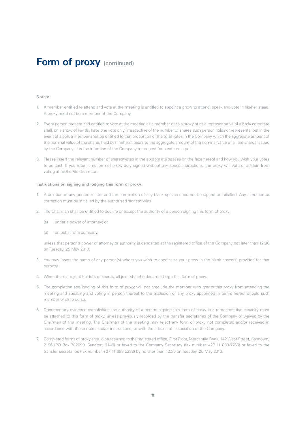## **Form of proxy (continued)**

### **Notes:**

- 1. A member entitled to attend and vote at the meeting is entitled to appoint a proxy to attend, speak and vote in his/her stead. A proxy need not be a member of the Company.
- 2. Every person present and entitled to vote at the meeting as a member or as a proxy or as a representative of a body corporate shall, on a show of hands, have one vote only, irrespective of the number of shares such person holds or represents, but in the event of a poll, a member shall be entitled to that proportion of the total votes in the Company which the aggregate amount of the nominal value of the shares held by him/her/it bears to the aggregate amount of the nominal value of all the shares issued by the Company. It is the intention of the Company to request for a vote on a poll.
- 3. Please insert the relevant number of shares/votes in the appropriate spaces on the face hereof and how you wish your votes to be cast. If you return this form of proxy duly signed without any specific directions, the proxy will vote or abstain from voting at his/her/its discretion.

#### **Instructions on signing and lodging this form of proxy:**

- 1. A deletion of any printed matter and the completion of any blank spaces need not be signed or initialled. Any alteration or correction must be initialled by the authorised signatory/ies.
- 2. The Chairman shall be entitled to decline or accept the authority of a person signing this form of proxy:
	- (a) under a power of attorney; or
	- (b) on behalf of a company,

unless that person's power of attorney or authority is deposited at the registered office of the Company not later than 12:30 on Tuesday, 25 May 2010.

- 3. You may insert the name of any person(s) whom you wish to appoint as your proxy in the blank space(s) provided for that purpose.
- 4. When there are joint holders of shares, all joint shareholders must sign this form of proxy.
- 5. The completion and lodging of this form of proxy will not preclude the member who grants this proxy from attending the meeting and speaking and voting in person thereat to the exclusion of any proxy appointed in terms hereof should such member wish to do so.
- 6. Documentary evidence establishing the authority of a person signing this form of proxy in a representative capacity must be attached to this form of proxy, unless previously recorded by the transfer secretaries of the Company or waived by the Chairman of the meeting. The Chairman of the meeting may reject any form of proxy not completed and/or received in accordance with these notes and/or instructions, or with the articles of association of the Company.
- 7. Completed forms of proxy should be returned to the registered office, First Floor, Mercantile Bank, 142 West Street, Sandown, 2196 (PO Box 782699, Sandton, 2146) or faxed to the Company Secretary (fax number +27 11 883-7765) or faxed to the transfer secretaries (fax number +27 11 688 5238) by no later than 12:30 on Tuesday, 25 May 2010.